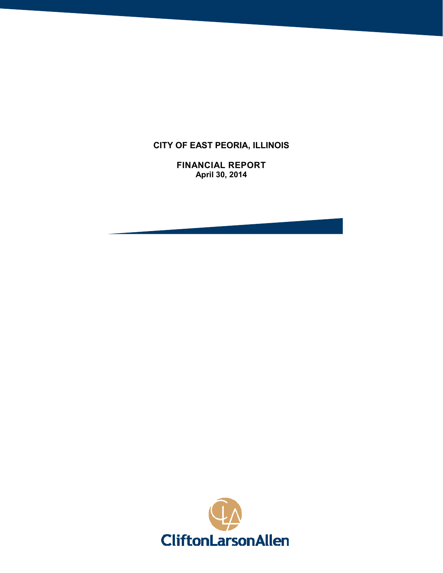# **CITY OF EAST PEORIA, ILLINOIS**

**FINANCIAL REPORT April 30, 2014**

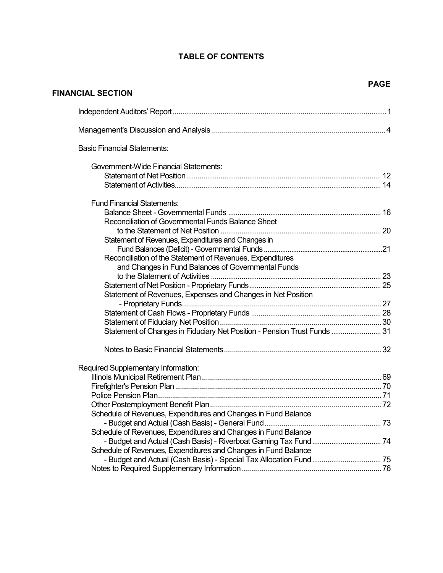# **TABLE OF CONTENTS**

**FINANCIAL SECTION**

| <b>Basic Financial Statements:</b>                                       |  |
|--------------------------------------------------------------------------|--|
| Government-Wide Financial Statements:                                    |  |
|                                                                          |  |
|                                                                          |  |
| <b>Fund Financial Statements:</b>                                        |  |
|                                                                          |  |
| Reconciliation of Governmental Funds Balance Sheet                       |  |
|                                                                          |  |
| Statement of Revenues, Expenditures and Changes in                       |  |
|                                                                          |  |
| Reconciliation of the Statement of Revenues, Expenditures                |  |
| and Changes in Fund Balances of Governmental Funds                       |  |
|                                                                          |  |
|                                                                          |  |
| Statement of Revenues, Expenses and Changes in Net Position              |  |
|                                                                          |  |
|                                                                          |  |
|                                                                          |  |
| Statement of Changes in Fiduciary Net Position - Pension Trust Funds  31 |  |
|                                                                          |  |
| Required Supplementary Information:                                      |  |
|                                                                          |  |
|                                                                          |  |
|                                                                          |  |
|                                                                          |  |
| Schedule of Revenues, Expenditures and Changes in Fund Balance           |  |
|                                                                          |  |
| Schedule of Revenues, Expenditures and Changes in Fund Balance           |  |
|                                                                          |  |
| Schedule of Revenues, Expenditures and Changes in Fund Balance           |  |
|                                                                          |  |
|                                                                          |  |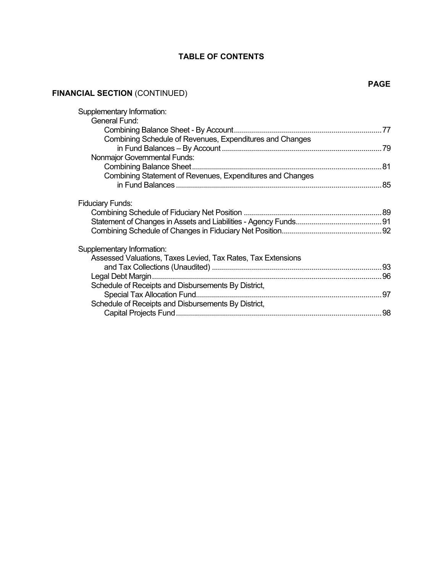# **TABLE OF CONTENTS**

# **FINANCIAL SECTION** (CONTINUED)

| Supplementary Information:                                   |    |
|--------------------------------------------------------------|----|
| General Fund:                                                |    |
|                                                              |    |
| Combining Schedule of Revenues, Expenditures and Changes     |    |
|                                                              |    |
| Nonmajor Governmental Funds:                                 |    |
|                                                              |    |
| Combining Statement of Revenues, Expenditures and Changes    |    |
|                                                              |    |
|                                                              |    |
| <b>Fiduciary Funds:</b>                                      |    |
|                                                              |    |
|                                                              |    |
|                                                              |    |
|                                                              |    |
| Supplementary Information:                                   |    |
| Assessed Valuations, Taxes Levied, Tax Rates, Tax Extensions |    |
|                                                              |    |
| Legal Debt Margin                                            |    |
| Schedule of Receipts and Disbursements By District,          |    |
|                                                              | 97 |
| Schedule of Receipts and Disbursements By District,          |    |
|                                                              |    |
|                                                              |    |

## **PAGE**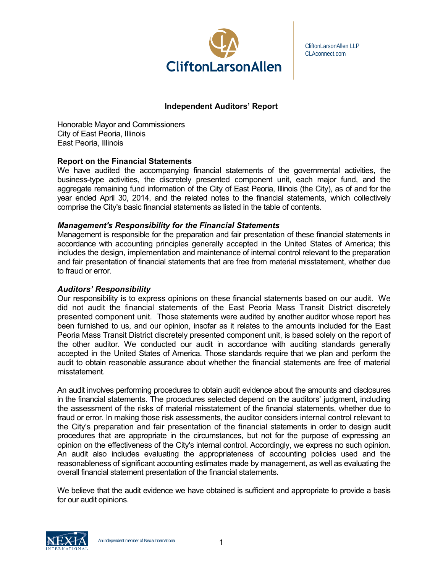

CliftonLarsonAllen LLP CLAconnect.com

## **Independent Auditors' Report**

Honorable Mayor and Commissioners City of East Peoria, Illinois East Peoria, Illinois

## **Report on the Financial Statements**

We have audited the accompanying financial statements of the governmental activities, the business-type activities, the discretely presented component unit, each major fund, and the aggregate remaining fund information of the City of East Peoria, Illinois (the City), as of and for the year ended April 30, 2014, and the related notes to the financial statements, which collectively comprise the City's basic financial statements as listed in the table of contents.

## *Management's Responsibility for the Financial Statements*

Management is responsible for the preparation and fair presentation of these financial statements in accordance with accounting principles generally accepted in the United States of America; this includes the design, implementation and maintenance of internal control relevant to the preparation and fair presentation of financial statements that are free from material misstatement, whether due to fraud or error.

#### *Auditors' Responsibility*

Our responsibility is to express opinions on these financial statements based on our audit. We did not audit the financial statements of the East Peoria Mass Transit District discretely presented component unit. Those statements were audited by another auditor whose report has been furnished to us, and our opinion, insofar as it relates to the amounts included for the East Peoria Mass Transit District discretely presented component unit, is based solely on the report of the other auditor. We conducted our audit in accordance with auditing standards generally accepted in the United States of America. Those standards require that we plan and perform the audit to obtain reasonable assurance about whether the financial statements are free of material misstatement.

An audit involves performing procedures to obtain audit evidence about the amounts and disclosures in the financial statements. The procedures selected depend on the auditors' judgment, including the assessment of the risks of material misstatement of the financial statements, whether due to fraud or error. In making those risk assessments, the auditor considers internal control relevant to the City's preparation and fair presentation of the financial statements in order to design audit procedures that are appropriate in the circumstances, but not for the purpose of expressing an opinion on the effectiveness of the City's internal control. Accordingly, we express no such opinion. An audit also includes evaluating the appropriateness of accounting policies used and the reasonableness of significant accounting estimates made by management, as well as evaluating the overall financial statement presentation of the financial statements.

We believe that the audit evidence we have obtained is sufficient and appropriate to provide a basis for our audit opinions.

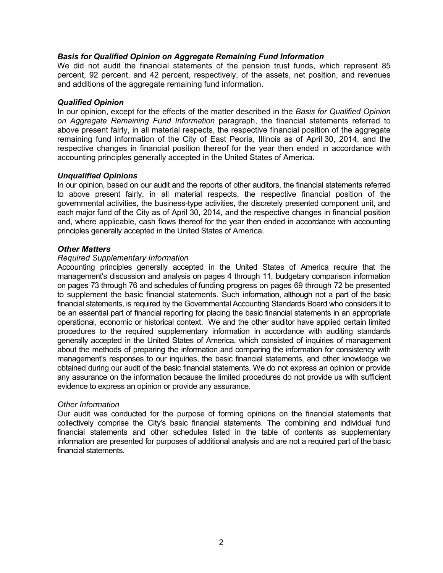## *Basis for Qualified Opinion on Aggregate Remaining Fund Information*

We did not audit the financial statements of the pension trust funds, which represent 85 percent, 92 percent, and 42 percent, respectively, of the assets, net position, and revenues and additions of the aggregate remaining fund information.

#### *Qualified Opinion*

In our opinion, except for the effects of the matter described in the *Basis for Qualified Opinion on Aggregate Remaining Fund Information* paragraph, the financial statements referred to above present fairly, in all material respects, the respective financial position of the aggregate remaining fund information of the City of East Peoria, Illinois as of April 30, 2014, and the respective changes in financial position thereof for the year then ended in accordance with accounting principles generally accepted in the United States of America.

#### *Unqualified Opinions*

In our opinion, based on our audit and the reports of other auditors, the financial statements referred to above present fairly, in all material respects, the respective financial position of the governmental activities, the business-type activities, the discretely presented component unit, and each major fund of the City as of April 30, 2014, and the respective changes in financial position and, where applicable, cash flows thereof for the year then ended in accordance with accounting principles generally accepted in the United States of America.

#### *Other Matters*

#### *Required Supplementary Information*

Accounting principles generally accepted in the United States of America require that the management's discussion and analysis on pages 4 through 11, budgetary comparison information on pages 73 through 76 and schedules of funding progress on pages 69 through 72 be presented to supplement the basic financial statements. Such information, although not a part of the basic financial statements, is required by the Governmental Accounting Standards Board who considers it to be an essential part of financial reporting for placing the basic financial statements in an appropriate operational, economic or historical context. We and the other auditor have applied certain limited procedures to the required supplementary information in accordance with auditing standards generally accepted in the United States of America, which consisted of inquiries of management about the methods of preparing the information and comparing the information for consistency with management's responses to our inquiries, the basic financial statements, and other knowledge we obtained during our audit of the basic financial statements. We do not express an opinion or provide any assurance on the information because the limited procedures do not provide us with sufficient evidence to express an opinion or provide any assurance.

#### *Other Information*

Our audit was conducted for the purpose of forming opinions on the financial statements that collectively comprise the City's basic financial statements. The combining and individual fund financial statements and other schedules listed in the table of contents as supplementary information are presented for purposes of additional analysis and are not a required part of the basic financial statements.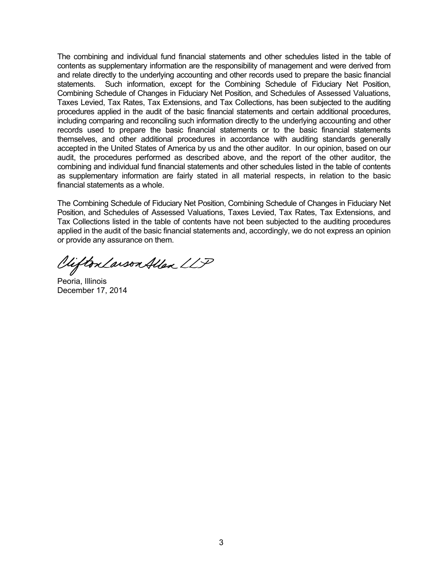The combining and individual fund financial statements and other schedules listed in the table of contents as supplementary information are the responsibility of management and were derived from and relate directly to the underlying accounting and other records used to prepare the basic financial statements. Such information, except for the Combining Schedule of Fiduciary Net Position, Combining Schedule of Changes in Fiduciary Net Position, and Schedules of Assessed Valuations, Taxes Levied, Tax Rates, Tax Extensions, and Tax Collections, has been subjected to the auditing procedures applied in the audit of the basic financial statements and certain additional procedures, including comparing and reconciling such information directly to the underlying accounting and other records used to prepare the basic financial statements or to the basic financial statements themselves, and other additional procedures in accordance with auditing standards generally accepted in the United States of America by us and the other auditor. In our opinion, based on our audit, the procedures performed as described above, and the report of the other auditor, the combining and individual fund financial statements and other schedules listed in the table of contents as supplementary information are fairly stated in all material respects, in relation to the basic financial statements as a whole.

The Combining Schedule of Fiduciary Net Position, Combining Schedule of Changes in Fiduciary Net Position, and Schedules of Assessed Valuations, Taxes Levied, Tax Rates, Tax Extensions, and Tax Collections listed in the table of contents have not been subjected to the auditing procedures applied in the audit of the basic financial statements and, accordingly, we do not express an opinion or provide any assurance on them.

Viifton Larson Allen LLP

Peoria, Illinois December 17, 2014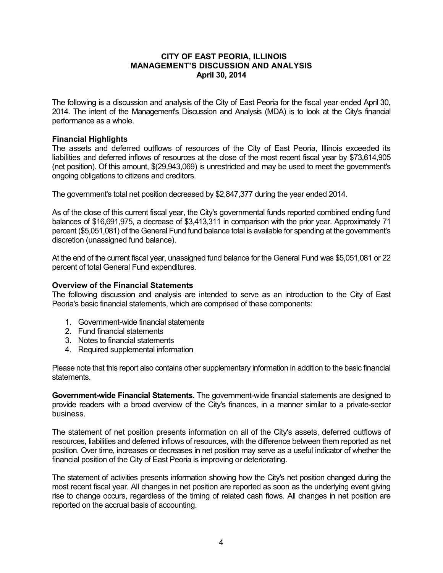The following is a discussion and analysis of the City of East Peoria for the fiscal year ended April 30, 2014. The intent of the Management's Discussion and Analysis (MDA) is to look at the City's financial performance as a whole.

## **Financial Highlights**

The assets and deferred outflows of resources of the City of East Peoria, Illinois exceeded its liabilities and deferred inflows of resources at the close of the most recent fiscal year by \$73,614,905 (net position). Of this amount, \$(29,943,069) is unrestricted and may be used to meet the government's ongoing obligations to citizens and creditors.

The government's total net position decreased by \$2,847,377 during the year ended 2014.

As of the close of this current fiscal year, the City's governmental funds reported combined ending fund balances of \$16,691,975, a decrease of \$3,413,311 in comparison with the prior year. Approximately 71 percent (\$5,051,081) of the General Fund fund balance total is available for spending at the government's discretion (unassigned fund balance).

At the end of the current fiscal year, unassigned fund balance for the General Fund was \$5,051,081 or 22 percent of total General Fund expenditures.

#### **Overview of the Financial Statements**

The following discussion and analysis are intended to serve as an introduction to the City of East Peoria's basic financial statements, which are comprised of these components:

- 1. Government-wide financial statements
- 2. Fund financial statements
- 3. Notes to financial statements
- 4. Required supplemental information

Please note that this report also contains other supplementary information in addition to the basic financial statements.

**Government-wide Financial Statements.** The government-wide financial statements are designed to provide readers with a broad overview of the City's finances, in a manner similar to a private-sector business.

The statement of net position presents information on all of the City's assets, deferred outflows of resources, liabilities and deferred inflows of resources, with the difference between them reported as net position. Over time, increases or decreases in net position may serve as a useful indicator of whether the financial position of the City of East Peoria is improving or deteriorating.

The statement of activities presents information showing how the City's net position changed during the most recent fiscal year. All changes in net position are reported as soon as the underlying event giving rise to change occurs, regardless of the timing of related cash flows. All changes in net position are reported on the accrual basis of accounting.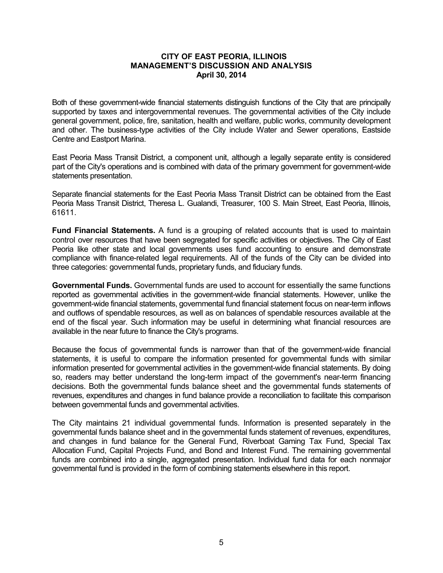Both of these government-wide financial statements distinguish functions of the City that are principally supported by taxes and intergovernmental revenues. The governmental activities of the City include general government, police, fire, sanitation, health and welfare, public works, community development and other. The business-type activities of the City include Water and Sewer operations, Eastside Centre and Eastport Marina.

East Peoria Mass Transit District, a component unit, although a legally separate entity is considered part of the City's operations and is combined with data of the primary government for government-wide statements presentation.

Separate financial statements for the East Peoria Mass Transit District can be obtained from the East Peoria Mass Transit District, Theresa L. Gualandi, Treasurer, 100 S. Main Street, East Peoria, Illinois, 61611.

**Fund Financial Statements.** A fund is a grouping of related accounts that is used to maintain control over resources that have been segregated for specific activities or objectives. The City of East Peoria like other state and local governments uses fund accounting to ensure and demonstrate compliance with finance-related legal requirements. All of the funds of the City can be divided into three categories: governmental funds, proprietary funds, and fiduciary funds.

**Governmental Funds.** Governmental funds are used to account for essentially the same functions reported as governmental activities in the government-wide financial statements. However, unlike the government-wide financial statements, governmental fund financial statement focus on near-term inflows and outflows of spendable resources, as well as on balances of spendable resources available at the end of the fiscal year. Such information may be useful in determining what financial resources are available in the near future to finance the City's programs.

Because the focus of governmental funds is narrower than that of the government-wide financial statements, it is useful to compare the information presented for governmental funds with similar information presented for governmental activities in the government-wide financial statements. By doing so, readers may better understand the long-term impact of the government's near-term financing decisions. Both the governmental funds balance sheet and the governmental funds statements of revenues, expenditures and changes in fund balance provide a reconciliation to facilitate this comparison between governmental funds and governmental activities.

The City maintains 21 individual governmental funds. Information is presented separately in the governmental funds balance sheet and in the governmental funds statement of revenues, expenditures, and changes in fund balance for the General Fund, Riverboat Gaming Tax Fund, Special Tax Allocation Fund, Capital Projects Fund, and Bond and Interest Fund. The remaining governmental funds are combined into a single, aggregated presentation. Individual fund data for each nonmajor governmental fund is provided in the form of combining statements elsewhere in this report.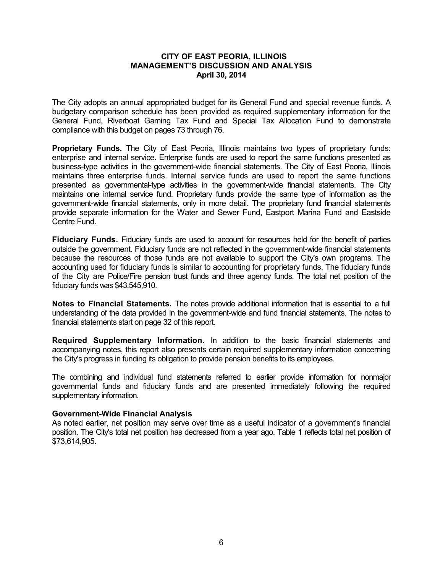The City adopts an annual appropriated budget for its General Fund and special revenue funds. A budgetary comparison schedule has been provided as required supplementary information for the General Fund, Riverboat Gaming Tax Fund and Special Tax Allocation Fund to demonstrate compliance with this budget on pages 73 through 76.

**Proprietary Funds.** The City of East Peoria, Illinois maintains two types of proprietary funds: enterprise and internal service. Enterprise funds are used to report the same functions presented as business-type activities in the government-wide financial statements. The City of East Peoria, Illinois maintains three enterprise funds. Internal service funds are used to report the same functions presented as governmental-type activities in the government-wide financial statements. The City maintains one internal service fund. Proprietary funds provide the same type of information as the government-wide financial statements, only in more detail. The proprietary fund financial statements provide separate information for the Water and Sewer Fund, Eastport Marina Fund and Eastside Centre Fund.

**Fiduciary Funds.** Fiduciary funds are used to account for resources held for the benefit of parties outside the government. Fiduciary funds are not reflected in the government-wide financial statements because the resources of those funds are not available to support the City's own programs. The accounting used for fiduciary funds is similar to accounting for proprietary funds. The fiduciary funds of the City are Police/Fire pension trust funds and three agency funds. The total net position of the fiduciary funds was \$43,545,910.

**Notes to Financial Statements.** The notes provide additional information that is essential to a full understanding of the data provided in the government-wide and fund financial statements. The notes to financial statements start on page 32 of this report.

**Required Supplementary Information.** In addition to the basic financial statements and accompanying notes, this report also presents certain required supplementary information concerning the City's progress in funding its obligation to provide pension benefits to its employees.

The combining and individual fund statements referred to earlier provide information for nonmajor governmental funds and fiduciary funds and are presented immediately following the required supplementary information.

#### **Government-Wide Financial Analysis**

As noted earlier, net position may serve over time as a useful indicator of a government's financial position. The City's total net position has decreased from a year ago. Table 1 reflects total net position of \$73,614,905.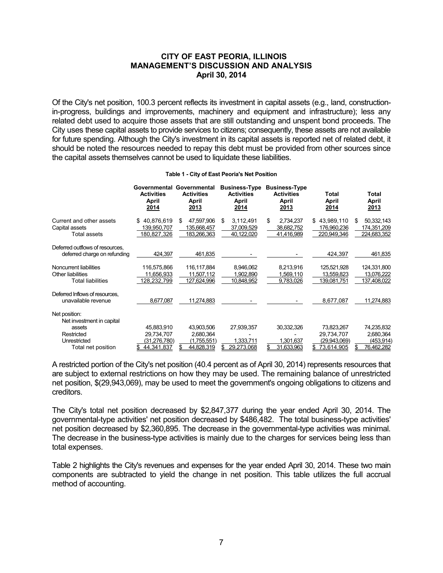Of the City's net position, 100.3 percent reflects its investment in capital assets (e.g., land, constructionin-progress, buildings and improvements, machinery and equipment and infrastructure); less any related debt used to acquire those assets that are still outstanding and unspent bond proceeds. The City uses these capital assets to provide services to citizens; consequently, these assets are not available for future spending. Although the City's investment in its capital assets is reported net of related debt, it should be noted the resources needed to repay this debt must be provided from other sources since the capital assets themselves cannot be used to liquidate these liabilities.

|                                                                                                          | Governmental<br><b>Activities</b><br>April<br>2014       | Governmental<br><b>Activities</b><br>April<br>2013   | <b>Business-Type</b><br><b>Activities</b><br>April<br>2014 | <b>Business-Type</b><br><b>Activities</b><br>April<br>2013 | Total<br>April<br>2014                                       | Total<br>April<br>2013                              |
|----------------------------------------------------------------------------------------------------------|----------------------------------------------------------|------------------------------------------------------|------------------------------------------------------------|------------------------------------------------------------|--------------------------------------------------------------|-----------------------------------------------------|
| Current and other assets<br>Capital assets<br><b>Total assets</b>                                        | 40,876,619<br>S<br>139,950,707<br>180,827,326            | 47,597,906<br>\$<br>135,668,457<br>183,266,363       | 3,112,491<br>\$<br>37,009,529<br>40,122,020                | \$<br>2,734,237<br>38,682,752<br>41,416,989                | 43,989,110<br>\$<br>176,960,236<br>220,949,346               | 50,332,143<br>S<br>174,351,209<br>224,683,352       |
| Deferred outflows of resources,<br>deferred charge on refunding                                          | 424,397                                                  | 461,835                                              |                                                            |                                                            | 424,397                                                      | 461,835                                             |
| Noncurrent liabilities<br>Other liabilities<br><b>Total liabilities</b>                                  | 116,575,866<br>11,656,933<br>128,232,799                 | 116,117,884<br>11,507,112<br>127,624,996             | 8,946,062<br>1,902,890<br>10,848,952                       | 8,213,916<br>1,569,110<br>9,783,026                        | 125,521,928<br>13,559,823<br>139,081,751                     | 124,331,800<br>13,076,222<br>137,408,022            |
| Deferred Inflows of resources,<br>unavailable revenue                                                    | 8,677,087                                                | 11,274,883                                           |                                                            |                                                            | 8,677,087                                                    | 11,274,883                                          |
| Net position:<br>Net investment in capital<br>assets<br>Restricted<br>Unrestricted<br>Total net position | 45,883,910<br>29,734,707<br>(31,276,780)<br>\$44.341.837 | 43,903,506<br>2,680,364<br>(1.755.551)<br>44.828.319 | 27.939.357<br>1.333.711<br>29.273.068                      | 30,332,326<br>.301.637<br>31.633.963                       | 73,823,267<br>29,734,707<br>(29.943.069)<br>73.614.905<br>S. | 74,235,832<br>2,680,364<br>(453, 914)<br>76.462.282 |

#### **Table 1 - City of East Peoria's Net Position**

A restricted portion of the City's net position (40.4 percent as of April 30, 2014) represents resources that are subject to external restrictions on how they may be used. The remaining balance of unrestricted net position, \$(29,943,069), may be used to meet the government's ongoing obligations to citizens and creditors.

The City's total net position decreased by \$2,847,377 during the year ended April 30, 2014. The governmental-type activities' net position decreased by \$486,482. The total business-type activities' net position decreased by \$2,360,895. The decrease in the governmental-type activities was minimal. The decrease in the business-type activities is mainly due to the charges for services being less than total expenses.

Table 2 highlights the City's revenues and expenses for the year ended April 30, 2014. These two main components are subtracted to yield the change in net position. This table utilizes the full accrual method of accounting.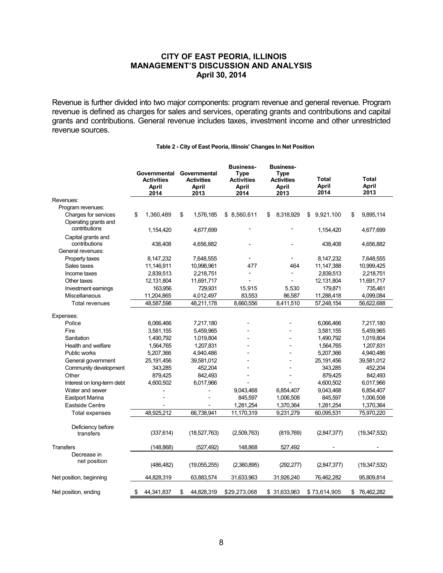Revenue is further divided into two major components: program revenue and general revenue. Program revenue is defined as charges for sales and services, operating grants and contributions and capital grants and contributions. General revenue includes taxes, investment income and other unrestricted revenue sources.

|                            | Governmental<br>Governmental<br><b>Activities</b><br><b>Activities</b><br>April<br>April |            | <b>Business-</b><br><b>Business-</b><br><b>Type</b><br><b>Type</b><br><b>Activities</b><br><b>Activities</b><br>April<br>April |              | <b>Total</b><br><b>April</b><br>2014 |              | <b>Total</b><br><b>April</b><br>2013 |              |                  |
|----------------------------|------------------------------------------------------------------------------------------|------------|--------------------------------------------------------------------------------------------------------------------------------|--------------|--------------------------------------|--------------|--------------------------------------|--------------|------------------|
| Revenues:                  |                                                                                          | 2014       | 2013                                                                                                                           | 2014         |                                      | 2013         |                                      |              |                  |
| Program revenues:          |                                                                                          |            |                                                                                                                                |              |                                      |              |                                      |              |                  |
| Charges for services       | \$                                                                                       | 1,360,489  | \$<br>1,576,185                                                                                                                | \$ 8,560,611 | \$                                   | 8,318,929    | \$                                   | 9,921,100    | \$<br>9,895,114  |
| Operating grants and       |                                                                                          |            |                                                                                                                                |              |                                      |              |                                      |              |                  |
| contributions              |                                                                                          | 1,154,420  | 4,677,699                                                                                                                      |              |                                      |              |                                      | 1,154,420    | 4,677,699        |
| Capital grants and         |                                                                                          |            |                                                                                                                                |              |                                      |              |                                      |              |                  |
| contributions              |                                                                                          | 438,408    | 4,656,882                                                                                                                      |              |                                      |              |                                      | 438,408      | 4,656,882        |
| General revenues:          |                                                                                          |            |                                                                                                                                |              |                                      |              |                                      |              |                  |
| Property taxes             |                                                                                          | 8,147,232  | 7,648,555                                                                                                                      |              |                                      |              |                                      | 8,147,232    | 7,648,555        |
| Sales taxes                |                                                                                          | 11,146,911 | 10,998,961                                                                                                                     | 477          |                                      | 464          |                                      | 11,147,388   | 10,999,425       |
| Income taxes               |                                                                                          | 2,839,513  | 2,218,751                                                                                                                      |              |                                      |              |                                      | 2,839,513    | 2,218,751        |
| Other taxes                |                                                                                          | 12,131,804 | 11,691,717                                                                                                                     |              |                                      |              |                                      | 12,131,804   | 11,691,717       |
| Investment earnings        |                                                                                          | 163,956    | 729,931                                                                                                                        | 15,915       |                                      | 5,530        |                                      | 179,871      | 735,461          |
| Miscellaneous              |                                                                                          | 11,204,865 | 4,012,497                                                                                                                      | 83,553       |                                      | 86,587       |                                      | 11,288,418   | 4,099,084        |
| <b>Total revenues</b>      |                                                                                          | 48,587,598 | 48,211,178                                                                                                                     | 8,660,556    |                                      | 8,411,510    |                                      | 57,248,154   | 56,622,688       |
|                            |                                                                                          |            |                                                                                                                                |              |                                      |              |                                      |              |                  |
| Expenses:                  |                                                                                          |            |                                                                                                                                |              |                                      |              |                                      |              |                  |
| Police                     |                                                                                          | 6,066,466  | 7,217,180                                                                                                                      |              |                                      |              |                                      | 6,066,466    | 7,217,180        |
| Fire                       |                                                                                          | 3,581,155  | 5,459,965                                                                                                                      |              |                                      |              |                                      | 3,581,155    | 5,459,965        |
| Sanitation                 |                                                                                          | 1,490,792  | 1,019,804                                                                                                                      |              |                                      |              |                                      | 1,490,792    | 1,019,804        |
| Health and welfare         |                                                                                          | 1,564,765  | 1,207,831                                                                                                                      |              |                                      |              |                                      | 1,564,765    | 1,207,831        |
| Public works               |                                                                                          | 5,207,366  | 4,940,486                                                                                                                      |              |                                      |              |                                      | 5,207,366    | 4,940,486        |
| General government         |                                                                                          | 25,191,456 | 39,581,012                                                                                                                     |              |                                      |              |                                      | 25,191,456   | 39,581,012       |
| Community development      |                                                                                          | 343,285    | 452,204                                                                                                                        |              |                                      |              |                                      | 343,285      | 452,204          |
| Other                      |                                                                                          | 879,425    | 842,493                                                                                                                        |              |                                      |              |                                      | 879,425      | 842,493          |
| Interest on long-term debt |                                                                                          | 4,600,502  | 6,017,966                                                                                                                      |              |                                      |              |                                      | 4,600,502    | 6,017,966        |
| Water and sewer            |                                                                                          |            |                                                                                                                                | 9,043,468    |                                      | 6,854,407    |                                      | 9,043,468    | 6,854,407        |
| <b>Eastport Marina</b>     |                                                                                          |            |                                                                                                                                | 845,597      |                                      | 1,006,508    |                                      | 845,597      | 1,006,508        |
| <b>Eastside Centre</b>     |                                                                                          |            |                                                                                                                                | 1,281,254    |                                      | 1,370,364    |                                      | 1,281,254    | 1,370,364        |
| Total expenses             |                                                                                          | 48,925,212 | 66,738,941                                                                                                                     | 11,170,319   |                                      | 9,231,279    |                                      | 60,095,531   | 75,970,220       |
| Deficiency before          |                                                                                          |            |                                                                                                                                |              |                                      |              |                                      |              |                  |
| transfers                  |                                                                                          | (337, 614) | (18,527,763)                                                                                                                   | (2,509,763)  |                                      | (819,769)    |                                      | (2,847,377)  | (19,347,532)     |
|                            |                                                                                          |            |                                                                                                                                |              |                                      |              |                                      |              |                  |
| <b>Transfers</b>           |                                                                                          | (148, 868) | (527, 492)                                                                                                                     | 148,868      |                                      | 527,492      |                                      |              |                  |
| Decrease in                |                                                                                          |            |                                                                                                                                |              |                                      |              |                                      |              |                  |
| net position               |                                                                                          |            |                                                                                                                                |              |                                      |              |                                      |              |                  |
|                            |                                                                                          | (486, 482) | (19,055,255)                                                                                                                   | (2,360,895)  |                                      | (292, 277)   |                                      | (2,847,377)  | (19,347,532)     |
| Net position, beginning    |                                                                                          | 44,828,319 | 63,883,574                                                                                                                     | 31,633,963   |                                      | 31,926,240   |                                      | 76,462,282   | 95,809,814       |
|                            |                                                                                          |            |                                                                                                                                |              |                                      |              |                                      |              |                  |
| Net position, ending       | \$                                                                                       | 44,341,837 | \$<br>44,828,319                                                                                                               | \$29,273,068 |                                      | \$31,633,963 |                                      | \$73,614,905 | \$<br>76,462,282 |

#### **Table 2 - City of East Peoria, Illinois' Changes In Net Position**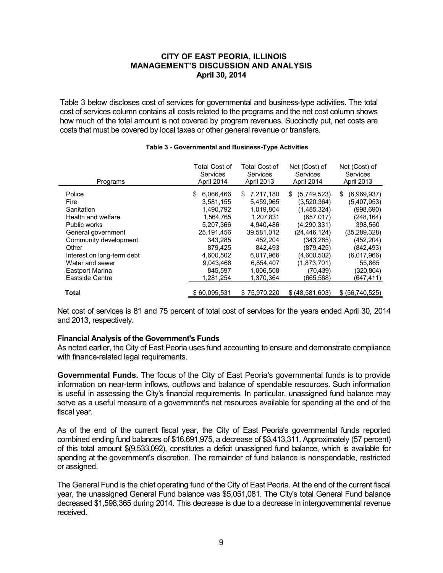Table 3 below discloses cost of services for governmental and business-type activities. The total cost of services column contains all costs related to the programs and the net cost column shows how much of the total amount is not covered by program revenues. Succinctly put, net costs are costs that must be covered by local taxes or other general revenue or transfers.

| Programs                                                                                                                          | <b>Total Cost of</b>                                                                                     | <b>Total Cost of</b>                                                                                   | Net (Cost) of                                                                                                          | Net (Cost) of                                                                                                      |
|-----------------------------------------------------------------------------------------------------------------------------------|----------------------------------------------------------------------------------------------------------|--------------------------------------------------------------------------------------------------------|------------------------------------------------------------------------------------------------------------------------|--------------------------------------------------------------------------------------------------------------------|
|                                                                                                                                   | <b>Services</b>                                                                                          | <b>Services</b>                                                                                        | Services                                                                                                               | Services                                                                                                           |
|                                                                                                                                   | April 2014                                                                                               | <b>April 2013</b>                                                                                      | April 2014                                                                                                             | <b>April 2013</b>                                                                                                  |
| Police<br><b>Fire</b><br>Sanitation<br>Health and welfare<br>Public works<br>General government<br>Community development<br>Other | 6,066,466<br>SS.<br>3,581,155<br>1,490,792<br>1.564.765<br>5.207.366<br>25,191,456<br>343,285<br>879,425 | 7,217,180<br>S<br>5,459,965<br>1,019,804<br>1.207.831<br>4.940.486<br>39,581,012<br>452,204<br>842,493 | (5,749,523)<br>S<br>(3,520,364)<br>(1,485,324)<br>(657.017)<br>(4,290,331)<br>(24, 446, 124)<br>(343,285)<br>(879,425) | (6,969,937)<br>S<br>(5,407,953)<br>(998, 690)<br>(248, 164)<br>398,560<br>(35,289,328)<br>(452, 204)<br>(842, 493) |
| Interest on long-term debt                                                                                                        | 4,600,502                                                                                                | 6,017,966                                                                                              | (4,600,502)                                                                                                            | (6,017,966)                                                                                                        |
| Water and sewer                                                                                                                   | 9.043.468                                                                                                | 6.854.407                                                                                              | (1,873,701)                                                                                                            | 55.865                                                                                                             |
| Eastport Marina                                                                                                                   | 845.597                                                                                                  | 1.006.508                                                                                              | (70.439)                                                                                                               | (320, 804)                                                                                                         |
| Eastside Centre                                                                                                                   | 1.281.254                                                                                                | 1.370.364                                                                                              | (665,568)                                                                                                              | (647,411)                                                                                                          |
| <b>Total</b>                                                                                                                      | \$60.095.531                                                                                             | \$75.970.220                                                                                           | \$ (48,581,603)                                                                                                        | \$ (56, 740, 525)                                                                                                  |

## **Table 3 - Governmental and Business-Type Activities**

Net cost of services is 81 and 75 percent of total cost of services for the years ended April 30, 2014 and 2013, respectively.

#### **Financial Analysis of the Government's Funds**

As noted earlier, the City of East Peoria uses fund accounting to ensure and demonstrate compliance with finance-related legal requirements.

**Governmental Funds.** The focus of the City of East Peoria's governmental funds is to provide information on near-term inflows, outflows and balance of spendable resources. Such information is useful in assessing the City's financial requirements. In particular, unassigned fund balance may serve as a useful measure of a government's net resources available for spending at the end of the fiscal year.

As of the end of the current fiscal year, the City of East Peoria's governmental funds reported combined ending fund balances of \$16,691,975, a decrease of \$3,413,311. Approximately (57 percent) of this total amount \$(9,533,092), constitutes a deficit unassigned fund balance, which is available for spending at the government's discretion. The remainder of fund balance is nonspendable, restricted or assigned.

The General Fund is the chief operating fund of the City of East Peoria. At the end of the current fiscal year, the unassigned General Fund balance was \$5,051,081. The City's total General Fund balance decreased \$1,598,365 during 2014. This decrease is due to a decrease in intergovernmental revenue received.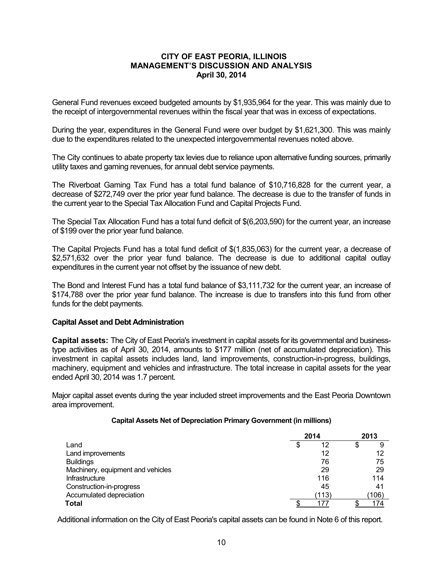General Fund revenues exceed budgeted amounts by \$1,935,964 for the year. This was mainly due to the receipt of intergovernmental revenues within the fiscal year that was in excess of expectations.

During the year, expenditures in the General Fund were over budget by \$1,621,300. This was mainly due to the expenditures related to the unexpected intergovernmental revenues noted above.

The City continues to abate property tax levies due to reliance upon alternative funding sources, primarily utility taxes and gaming revenues, for annual debt service payments.

The Riverboat Gaming Tax Fund has a total fund balance of \$10,716,828 for the current year, a decrease of \$272,749 over the prior year fund balance. The decrease is due to the transfer of funds in the current year to the Special Tax Allocation Fund and Capital Projects Fund.

The Special Tax Allocation Fund has a total fund deficit of \$(6,203,590) for the current year, an increase of \$199 over the prior year fund balance.

The Capital Projects Fund has a total fund deficit of \$(1,835,063) for the current year, a decrease of \$2,571,632 over the prior year fund balance. The decrease is due to additional capital outlay expenditures in the current year not offset by the issuance of new debt.

The Bond and Interest Fund has a total fund balance of \$3,111,732 for the current year, an increase of \$174,788 over the prior year fund balance. The increase is due to transfers into this fund from other funds for the debt payments.

#### **Capital Asset and Debt Administration**

**Capital assets:** The City of East Peoria's investment in capital assets for its governmental and businesstype activities as of April 30, 2014, amounts to \$177 million (net of accumulated depreciation). This investment in capital assets includes land, land improvements, construction-in-progress, buildings, machinery, equipment and vehicles and infrastructure. The total increase in capital assets for the year ended April 30, 2014 was 1.7 percent.

Major capital asset events during the year included street improvements and the East Peoria Downtown area improvement.

#### **Capital Assets Net of Depreciation Primary Government (in millions)**

|                                   |   | 2014  | 2013 |       |  |
|-----------------------------------|---|-------|------|-------|--|
| Land                              | S | 12    | \$   | 9     |  |
| Land improvements                 |   | 12    |      | 12    |  |
| <b>Buildings</b>                  |   | 76    |      | 75    |  |
| Machinery, equipment and vehicles |   | 29    |      | 29    |  |
| Infrastructure                    |   | 116   |      | 114   |  |
| Construction-in-progress          |   | 45    |      | 41    |  |
| Accumulated depreciation          |   | (113) |      | (106) |  |
| Total                             |   | 177   |      | 174   |  |

Additional information on the City of East Peoria's capital assets can be found in Note 6 of this report.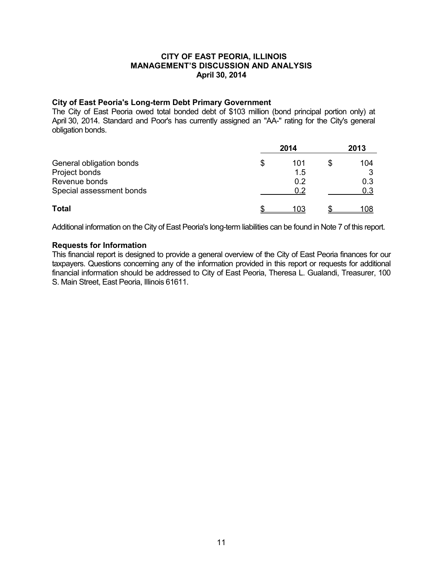#### **City of East Peoria's Long-term Debt Primary Government**

The City of East Peoria owed total bonded debt of \$103 million (bond principal portion only) at April 30, 2014. Standard and Poor's has currently assigned an "AA-" rating for the City's general obligation bonds.

|                          |    | 2013 |   |     |
|--------------------------|----|------|---|-----|
| General obligation bonds | \$ | 101  | S | 104 |
| Project bonds            |    | 1.5  |   | 2   |
| Revenue bonds            |    | 0.2  |   | 0.3 |
| Special assessment bonds |    | 0.2  |   | 0.3 |
| <b>Total</b>             |    | 103  |   | 108 |

Additional information on the City of East Peoria's long-term liabilities can be found in Note 7 of this report.

## **Requests for Information**

This financial report is designed to provide a general overview of the City of East Peoria finances for our taxpayers. Questions concerning any of the information provided in this report or requests for additional financial information should be addressed to City of East Peoria, Theresa L. Gualandi, Treasurer, 100 S. Main Street, East Peoria, Illinois 61611.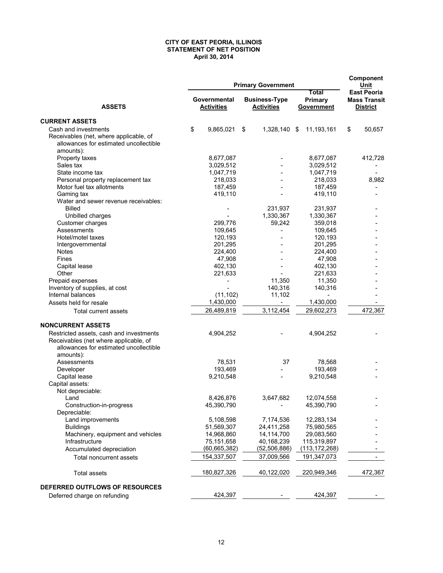#### **CITY OF EAST PEORIA, ILLINOIS STATEMENT OF NET POSITION April 30, 2014**

|                                         |    | Component<br>Unit                 |                                           |                                |                                                              |
|-----------------------------------------|----|-----------------------------------|-------------------------------------------|--------------------------------|--------------------------------------------------------------|
| <b>ASSETS</b>                           |    | Governmental<br><b>Activities</b> | <b>Business-Type</b><br><b>Activities</b> | Total<br>Primary<br>Government | <b>East Peoria</b><br><b>Mass Transit</b><br><b>District</b> |
| <b>CURRENT ASSETS</b>                   |    |                                   |                                           |                                |                                                              |
| Cash and investments                    | \$ | 9,865,021                         | \$<br>1,328,140 \$                        | 11,193,161                     | \$<br>50,657                                                 |
| Receivables (net, where applicable, of  |    |                                   |                                           |                                |                                                              |
| allowances for estimated uncollectible  |    |                                   |                                           |                                |                                                              |
| amounts):                               |    |                                   |                                           |                                |                                                              |
| Property taxes                          |    | 8,677,087                         |                                           | 8,677,087                      | 412,728                                                      |
| Sales tax                               |    | 3,029,512                         |                                           | 3,029,512                      |                                                              |
| State income tax                        |    | 1,047,719                         |                                           | 1,047,719                      |                                                              |
| Personal property replacement tax       |    | 218,033                           |                                           | 218,033                        | 8,982                                                        |
| Motor fuel tax allotments               |    | 187,459                           |                                           | 187,459                        |                                                              |
| Gaming tax                              |    | 419,110                           | $\overline{\phantom{a}}$                  | 419,110                        |                                                              |
| Water and sewer revenue receivables:    |    |                                   |                                           |                                |                                                              |
| <b>Billed</b>                           |    |                                   | 231,937                                   | 231,937                        |                                                              |
| Unbilled charges                        |    |                                   | 1,330,367                                 | 1,330,367                      |                                                              |
| Customer charges                        |    | 299,776                           | 59,242                                    | 359,018                        |                                                              |
| Assessments                             |    | 109,645                           |                                           | 109,645                        |                                                              |
| Hotel/motel taxes                       |    | 120,193                           |                                           | 120,193                        |                                                              |
|                                         |    | 201,295                           |                                           | 201,295                        |                                                              |
| Intergovernmental<br><b>Notes</b>       |    |                                   |                                           |                                |                                                              |
|                                         |    | 224,400                           |                                           | 224,400                        |                                                              |
| Fines                                   |    | 47,908                            |                                           | 47,908                         |                                                              |
| Capital lease                           |    | 402,130                           |                                           | 402,130                        |                                                              |
| Other                                   |    | 221,633                           |                                           | 221,633                        |                                                              |
| Prepaid expenses                        |    |                                   | 11,350                                    | 11,350                         |                                                              |
| Inventory of supplies, at cost          |    |                                   | 140,316                                   | 140,316                        |                                                              |
| Internal balances                       |    | (11, 102)                         | 11,102                                    |                                |                                                              |
| Assets held for resale                  |    | 1,430,000                         | Ξ.                                        | 1,430,000                      |                                                              |
| Total current assets                    |    | 26,489,819                        | 3,112,454                                 | 29,602,273                     | 472,367                                                      |
| <b>NONCURRENT ASSETS</b>                |    |                                   |                                           |                                |                                                              |
| Restricted assets, cash and investments |    | 4,904,252                         |                                           | 4,904,252                      |                                                              |
| Receivables (net where applicable, of   |    |                                   |                                           |                                |                                                              |
| allowances for estimated uncollectible  |    |                                   |                                           |                                |                                                              |
| amounts):                               |    |                                   |                                           |                                |                                                              |
| Assessments                             |    | 78,531                            | 37                                        | 78,568                         |                                                              |
| Developer                               |    | 193,469                           |                                           | 193,469                        |                                                              |
| Capital lease                           |    | 9,210,548                         | $\overline{\phantom{a}}$                  | 9,210,548                      |                                                              |
| Capital assets:                         |    |                                   |                                           |                                |                                                              |
| Not depreciable:                        |    |                                   |                                           |                                |                                                              |
| Land                                    |    | 8,426,876                         | 3,647,682                                 | 12,074,558                     |                                                              |
| Construction-in-progress                |    | 45,390,790                        |                                           | 45,390,790                     |                                                              |
| Depreciable:                            |    |                                   |                                           |                                |                                                              |
| Land improvements                       |    | 5,108,598                         | 7,174,536                                 | 12,283,134                     |                                                              |
| <b>Buildings</b>                        |    | 51,569,307                        | 24,411,258                                | 75,980,565                     |                                                              |
| Machinery, equipment and vehicles       |    | 14,968,860                        | 14,114,700                                | 29,083,560                     |                                                              |
| Infrastructure                          |    | 75,151,658                        | 40,168,239                                | 115,319,897                    |                                                              |
| Accumulated depreciation                |    | (60, 665, 382)                    | (52, 506, 886)                            | (113, 172, 268)                |                                                              |
|                                         |    |                                   |                                           |                                |                                                              |
| Total noncurrent assets                 |    | 154,337,507                       | 37,009,566                                | 191,347,073                    |                                                              |
| <b>Total assets</b>                     |    | 180,827,326                       | 40,122,020                                | 220,949,346                    | 472,367                                                      |
| DEFERRED OUTFLOWS OF RESOURCES          |    |                                   |                                           |                                |                                                              |
| Deferred charge on refunding            |    | 424,397                           |                                           | 424,397                        |                                                              |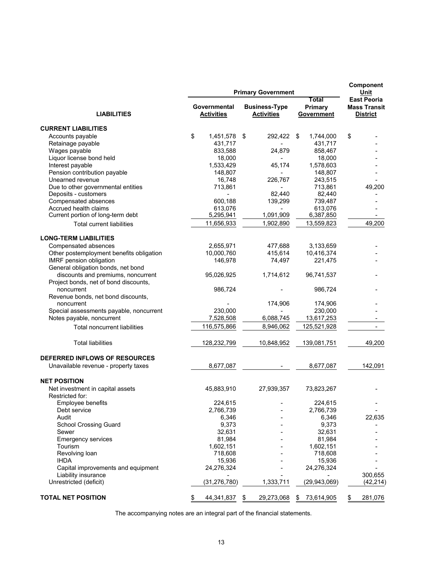|                                                            |    | Component<br>Unit                 |                                           |                                |                                                              |
|------------------------------------------------------------|----|-----------------------------------|-------------------------------------------|--------------------------------|--------------------------------------------------------------|
| <b>LIABILITIES</b>                                         |    | Governmental<br><b>Activities</b> | <b>Business-Type</b><br><b>Activities</b> | Total<br>Primary<br>Government | <b>East Peoria</b><br><b>Mass Transit</b><br><b>District</b> |
| <b>CURRENT LIABILITIES</b>                                 |    |                                   |                                           |                                |                                                              |
| Accounts payable                                           | \$ | 1,451,578                         | \$<br>292,422 \$                          | 1,744,000                      | \$                                                           |
| Retainage payable                                          |    | 431,717                           |                                           | 431,717                        |                                                              |
| Wages payable                                              |    | 833,588                           | 24,879                                    | 858,467                        |                                                              |
| Liquor license bond held                                   |    | 18,000                            |                                           | 18,000                         |                                                              |
| Interest payable                                           |    | 1,533,429                         | 45,174                                    | 1,578,603                      |                                                              |
| Pension contribution payable                               |    | 148,807                           |                                           | 148,807                        |                                                              |
| Unearned revenue                                           |    | 16,748                            | 226,767                                   | 243,515                        |                                                              |
| Due to other governmental entities                         |    | 713,861                           |                                           | 713,861                        | 49,200                                                       |
| Deposits - customers                                       |    |                                   | 82,440                                    | 82,440                         |                                                              |
| Compensated absences                                       |    | 600,188                           | 139,299                                   | 739,487                        |                                                              |
|                                                            |    |                                   |                                           |                                |                                                              |
| Accrued health claims<br>Current portion of long-term debt |    | 613,076<br>5,295,941              | 1,091,909                                 | 613,076<br>6,387,850           |                                                              |
|                                                            |    |                                   |                                           |                                |                                                              |
| <b>Total current liabilities</b>                           |    | 11,656,933                        | 1,902,890                                 | 13,559,823                     | 49,200                                                       |
| <b>LONG-TERM LIABILITIES</b>                               |    |                                   |                                           |                                |                                                              |
| Compensated absences                                       |    | 2,655,971                         | 477,688                                   | 3,133,659                      |                                                              |
| Other postemployment benefits obligation                   |    | 10,000,760                        | 415,614                                   | 10,416,374                     |                                                              |
| IMRF pension obligation                                    |    | 146,978                           | 74,497                                    | 221,475                        |                                                              |
| General obligation bonds, net bond                         |    |                                   |                                           |                                |                                                              |
| discounts and premiums, noncurrent                         |    | 95,026,925                        | 1,714,612                                 | 96,741,537                     |                                                              |
| Project bonds, net of bond discounts,                      |    |                                   |                                           |                                |                                                              |
| noncurrent                                                 |    | 986,724                           |                                           | 986,724                        |                                                              |
| Revenue bonds, net bond discounts,                         |    |                                   |                                           |                                |                                                              |
| noncurrent                                                 |    |                                   | 174,906                                   | 174,906                        |                                                              |
| Special assessments payable, noncurrent                    |    | 230,000                           |                                           | 230,000                        |                                                              |
| Notes payable, noncurrent                                  |    | 7,528,508                         | 6,088,745                                 | 13,617,253                     |                                                              |
| <b>Total noncurrent liabilities</b>                        |    | 116,575,866                       | 8,946,062                                 | 125,521,928                    |                                                              |
|                                                            |    |                                   |                                           |                                |                                                              |
| <b>Total liabilities</b>                                   |    | 128,232,799                       | 10,848,952                                | 139,081,751                    | 49,200                                                       |
| DEFERRED INFLOWS OF RESOURCES                              |    |                                   |                                           |                                |                                                              |
| Unavailable revenue - property taxes                       |    | 8,677,087                         |                                           | 8,677,087                      | 142,091                                                      |
|                                                            |    |                                   |                                           |                                |                                                              |
| <b>NET POSITION</b>                                        |    |                                   |                                           |                                |                                                              |
| Net investment in capital assets                           |    | 45,883,910                        | 27,939,357                                | 73,823,267                     |                                                              |
| Restricted for:                                            |    | 224,615                           |                                           | 224,615                        |                                                              |
| Employee benefits<br>Debt service                          |    | 2,766,739                         |                                           | 2,766,739                      |                                                              |
|                                                            |    |                                   |                                           |                                |                                                              |
| Audit<br><b>School Crossing Guard</b>                      |    | 6,346<br>9,373                    |                                           | 6,346<br>9,373                 | 22,635                                                       |
|                                                            |    |                                   |                                           |                                |                                                              |
| Sewer                                                      |    | 32,631                            |                                           | 32,631                         |                                                              |
| <b>Emergency services</b>                                  |    | 81,984                            |                                           | 81,984                         |                                                              |
| Tourism                                                    |    | 1,602,151                         |                                           | 1,602,151                      |                                                              |
| Revolving loan                                             |    | 718,608                           |                                           | 718,608                        |                                                              |
| <b>IHDA</b>                                                |    | 15,936                            |                                           | 15,936                         |                                                              |
| Capital improvements and equipment                         |    | 24,276,324                        |                                           | 24,276,324                     |                                                              |
| Liability insurance                                        |    |                                   |                                           |                                | 300,655                                                      |
| Unrestricted (deficit)                                     |    | (31, 276, 780)                    | 1,333,711                                 | (29,943,069)                   | (42, 214)                                                    |
| <b>TOTAL NET POSITION</b>                                  |    | 44,341,837                        | \$<br>29,273,068                          | 73,614,905<br>\$.              | 281,076<br>S.                                                |
|                                                            |    |                                   |                                           |                                |                                                              |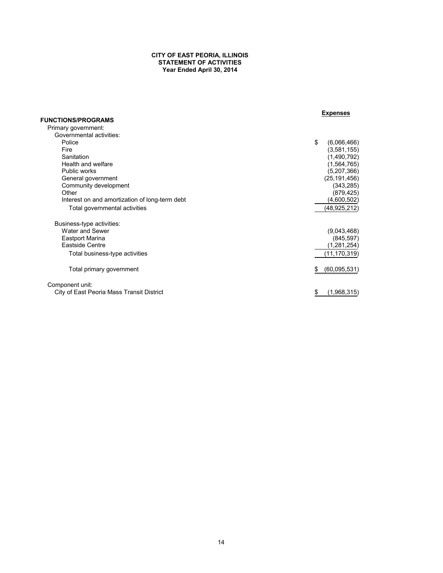#### **CITY OF EAST PEORIA, ILLINOIS STATEMENT OF ACTIVITIES Year Ended April 30, 2014**

|                                                | <b>Expenses</b>    |
|------------------------------------------------|--------------------|
| <b>FUNCTIONS/PROGRAMS</b>                      |                    |
| Primary government:                            |                    |
| Governmental activities:                       |                    |
| Police                                         | \$<br>(6,066,466)  |
| Fire                                           | (3,581,155)        |
| Sanitation                                     | (1,490,792)        |
| Health and welfare                             | (1,564,765)        |
| Public works                                   | (5,207,366)        |
| General government                             | (25, 191, 456)     |
| Community development                          | (343, 285)         |
| Other                                          | (879, 425)         |
| Interest on and amortization of long-term debt | (4,600,502)        |
| Total governmental activities                  | (48,925,212)       |
|                                                |                    |
| Business-type activities:                      |                    |
| Water and Sewer                                | (9,043,468)        |
| <b>Eastport Marina</b>                         | (845, 597)         |
| Eastside Centre                                | (1,281,254)        |
| Total business-type activities                 | (11, 170, 319)     |
|                                                |                    |
| Total primary government                       | (60,095,531)<br>\$ |
|                                                |                    |
| Component unit:                                |                    |
| City of East Peoria Mass Transit District      | (1,968,315)<br>\$  |
|                                                |                    |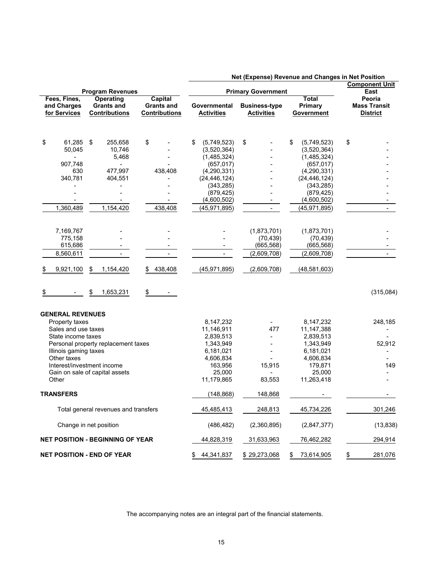|                         |                                                                                                             |                                         |                                      |                           |                            |    |                          |    |                            | .<br><b>Component Unit</b>                               |                 |  |  |
|-------------------------|-------------------------------------------------------------------------------------------------------------|-----------------------------------------|--------------------------------------|---------------------------|----------------------------|----|--------------------------|----|----------------------------|----------------------------------------------------------|-----------------|--|--|
| <b>Program Revenues</b> |                                                                                                             |                                         |                                      | <b>Primary Government</b> |                            |    |                          |    |                            |                                                          | East            |  |  |
|                         | Fees, Fines,<br><b>Operating</b><br><b>Capital</b><br><b>Grants and</b><br>and Charges<br><b>Grants and</b> |                                         | Governmental<br><b>Business-type</b> |                           |                            |    |                          |    |                            | <b>Total</b><br>Peoria<br><b>Mass Transit</b><br>Primary |                 |  |  |
| for Services            |                                                                                                             | <b>Contributions</b>                    | <b>Contributions</b>                 |                           | <b>Activities</b>          |    | <b>Activities</b>        |    | Government                 |                                                          | <b>District</b> |  |  |
|                         |                                                                                                             |                                         |                                      |                           |                            |    |                          |    |                            |                                                          |                 |  |  |
| \$                      | 61,285<br>50,045                                                                                            | 255,658<br>- \$<br>10,746               | \$                                   | \$                        | (5,749,523)<br>(3,520,364) | \$ |                          | \$ | (5,749,523)<br>(3,520,364) | \$                                                       |                 |  |  |
|                         | $\blacksquare$                                                                                              | 5,468                                   |                                      |                           | (1,485,324)                |    |                          |    | (1,485,324)                |                                                          |                 |  |  |
|                         | 907,748                                                                                                     |                                         |                                      |                           | (657, 017)                 |    |                          |    | (657, 017)                 |                                                          |                 |  |  |
|                         | 630                                                                                                         | 477,997                                 | 438,408                              |                           | (4,290,331)                |    |                          |    | (4,290,331)                |                                                          |                 |  |  |
|                         | 340,781                                                                                                     | 404,551                                 |                                      |                           | (24, 446, 124)             |    |                          |    | (24, 446, 124)             |                                                          |                 |  |  |
|                         |                                                                                                             |                                         |                                      |                           | (343, 285)                 |    |                          |    | (343, 285)                 |                                                          |                 |  |  |
|                         |                                                                                                             |                                         |                                      |                           | (879, 425)<br>(4,600,502)  |    | $\overline{\phantom{a}}$ |    | (879, 425)<br>(4,600,502)  |                                                          |                 |  |  |
|                         | 1,360,489                                                                                                   | 1,154,420                               | 438,408                              |                           | (45, 971, 895)             |    |                          |    | (45, 971, 895)             |                                                          |                 |  |  |
|                         |                                                                                                             |                                         |                                      |                           |                            |    |                          |    |                            |                                                          |                 |  |  |
|                         | 7,169,767                                                                                                   |                                         |                                      |                           |                            |    | (1,873,701)              |    | (1,873,701)                |                                                          |                 |  |  |
|                         | 775,158                                                                                                     |                                         |                                      |                           |                            |    | (70, 439)                |    | (70, 439)                  |                                                          |                 |  |  |
|                         | 615,686                                                                                                     |                                         |                                      |                           |                            |    | (665, 568)               |    | (665, 568)                 |                                                          |                 |  |  |
|                         | 8,560,611                                                                                                   |                                         | $\blacksquare$                       |                           |                            |    | (2,609,708)              |    | (2,609,708)                |                                                          |                 |  |  |
| \$                      | 9,921,100                                                                                                   | \$<br>1,154,420                         | 438,408                              |                           | (45, 971, 895)             |    | (2,609,708)              |    | (48,581,603)               |                                                          |                 |  |  |
|                         |                                                                                                             | \$<br>1,653,231                         | \$                                   |                           |                            |    |                          |    |                            |                                                          | (315,084)       |  |  |
| <b>GENERAL REVENUES</b> |                                                                                                             |                                         |                                      |                           |                            |    |                          |    |                            |                                                          |                 |  |  |
| Property taxes          |                                                                                                             |                                         |                                      |                           | 8,147,232                  |    |                          |    | 8,147,232                  |                                                          | 248,185         |  |  |
| Sales and use taxes     |                                                                                                             |                                         |                                      |                           | 11,146,911                 |    | 477                      |    | 11,147,388                 |                                                          |                 |  |  |
| State income taxes      |                                                                                                             | Personal property replacement taxes     |                                      |                           | 2,839,513                  |    |                          |    | 2,839,513                  |                                                          | 52,912          |  |  |
| Illinois gaming taxes   |                                                                                                             |                                         |                                      |                           | 1,343,949<br>6,181,021     |    |                          |    | 1,343,949<br>6,181,021     |                                                          |                 |  |  |
| Other taxes             |                                                                                                             |                                         |                                      |                           | 4,606,834                  |    |                          |    | 4,606,834                  |                                                          |                 |  |  |
|                         |                                                                                                             | Interest/investment income              |                                      |                           | 163,956                    |    | 15,915                   |    | 179,871                    |                                                          | 149             |  |  |
|                         |                                                                                                             | Gain on sale of capital assets          |                                      |                           | 25,000                     |    |                          |    | 25,000                     |                                                          |                 |  |  |
| Other                   |                                                                                                             |                                         |                                      |                           | 11,179,865                 |    | 83,553                   |    | 11,263,418                 |                                                          |                 |  |  |
| <b>TRANSFERS</b>        |                                                                                                             |                                         |                                      |                           | (148, 868)                 |    | 148,868                  |    |                            |                                                          |                 |  |  |
|                         |                                                                                                             | Total general revenues and transfers    |                                      |                           | 45,485,413                 |    | 248,813                  |    | 45,734,226                 |                                                          | 301,246         |  |  |
|                         |                                                                                                             | Change in net position                  |                                      |                           | (486, 482)                 |    | (2,360,895)              |    | (2,847,377)                |                                                          | (13, 838)       |  |  |
|                         |                                                                                                             | <b>NET POSITION - BEGINNING OF YEAR</b> |                                      |                           | 44,828,319                 |    | 31,633,963               |    | 76,462,282                 |                                                          | 294, 914        |  |  |
|                         |                                                                                                             | <b>NET POSITION - END OF YEAR</b>       |                                      | S.                        | 44,341,837                 |    | \$29,273,068             | \$ | 73,614,905                 | \$                                                       | 281,076         |  |  |

 **Net (Expense) Revenue and Changes in Net Position**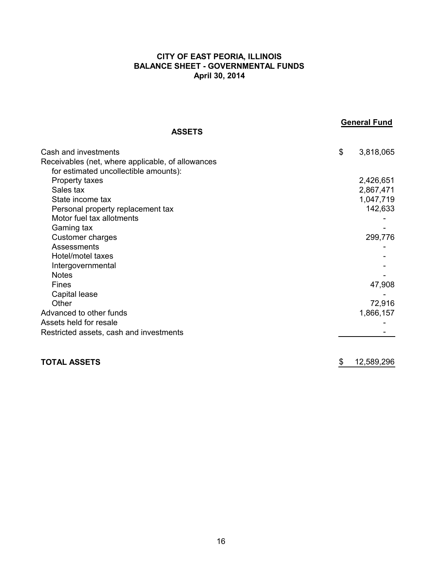## **CITY OF EAST PEORIA, ILLINOIS BALANCE SHEET - GOVERNMENTAL FUNDS April 30, 2014**

| <b>ASSETS</b>                                                                                                      | <b>General Fund</b>                 |
|--------------------------------------------------------------------------------------------------------------------|-------------------------------------|
|                                                                                                                    |                                     |
| Cash and investments<br>Receivables (net, where applicable, of allowances<br>for estimated uncollectible amounts): | \$<br>3,818,065                     |
| Property taxes<br>Sales tax<br>State income tax                                                                    | 2,426,651<br>2,867,471<br>1,047,719 |
| Personal property replacement tax<br>Motor fuel tax allotments<br>Gaming tax                                       | 142,633                             |
| Customer charges<br>Assessments<br>Hotel/motel taxes                                                               | 299,776                             |
| Intergovernmental<br><b>Notes</b><br>Fines<br>Capital lease                                                        | 47,908                              |
| Other<br>Advanced to other funds<br>Assets held for resale                                                         | 72,916<br>1,866,157                 |
| Restricted assets, cash and investments                                                                            |                                     |
| <b>TOTAL ASSETS</b>                                                                                                | \$<br>12,589,296                    |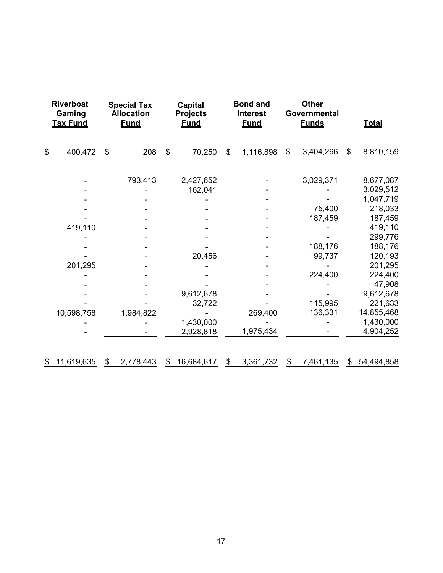| <b>Riverboat</b><br>Gaming<br><b>Tax Fund</b> |            | <b>Special Tax</b><br><b>Allocation</b><br><b>Fund</b> |           | Capital<br><b>Projects</b><br><b>Fund</b> |            | <b>Bond and</b><br>Interest<br><b>Fund</b> |           | <b>Other</b><br>Governmental<br><b>Funds</b> |           | <b>Total</b>   |            |
|-----------------------------------------------|------------|--------------------------------------------------------|-----------|-------------------------------------------|------------|--------------------------------------------|-----------|----------------------------------------------|-----------|----------------|------------|
| \$                                            | 400,472    | \$                                                     | 208       | $\mathfrak{S}$                            | 70,250     | $\mathfrak{L}$                             | 1,116,898 | \$                                           | 3,404,266 | $\mathfrak{L}$ | 8,810,159  |
|                                               |            |                                                        | 793,413   |                                           | 2,427,652  |                                            |           |                                              | 3,029,371 |                | 8,677,087  |
|                                               |            |                                                        |           |                                           | 162,041    |                                            |           |                                              |           |                | 3,029,512  |
|                                               |            |                                                        |           |                                           |            |                                            |           |                                              |           |                | 1,047,719  |
|                                               |            |                                                        |           |                                           |            |                                            |           |                                              | 75,400    |                | 218,033    |
|                                               |            |                                                        |           |                                           |            |                                            |           |                                              | 187,459   |                | 187,459    |
|                                               | 419,110    |                                                        |           |                                           |            |                                            |           |                                              |           |                | 419,110    |
|                                               |            |                                                        |           |                                           |            |                                            |           |                                              |           |                | 299,776    |
|                                               |            |                                                        |           |                                           |            |                                            |           |                                              | 188,176   |                | 188,176    |
|                                               |            |                                                        |           |                                           | 20,456     |                                            |           |                                              | 99,737    |                | 120,193    |
|                                               | 201,295    |                                                        |           |                                           |            |                                            |           |                                              |           |                | 201,295    |
|                                               |            |                                                        |           |                                           |            |                                            |           |                                              | 224,400   |                | 224,400    |
|                                               |            |                                                        |           |                                           |            |                                            |           |                                              |           |                | 47,908     |
|                                               |            |                                                        |           |                                           | 9,612,678  |                                            |           |                                              |           |                | 9,612,678  |
|                                               |            |                                                        |           |                                           | 32,722     |                                            |           |                                              | 115,995   |                | 221,633    |
|                                               | 10,598,758 |                                                        | 1,984,822 |                                           |            |                                            | 269,400   |                                              | 136,331   |                | 14,855,468 |
|                                               |            |                                                        |           |                                           | 1,430,000  |                                            |           |                                              |           |                | 1,430,000  |
|                                               |            |                                                        |           |                                           | 2,928,818  |                                            | 1,975,434 |                                              |           |                | 4,904,252  |
| \$                                            | 11,619,635 | \$                                                     | 2,778,443 | \$                                        | 16,684,617 | \$                                         | 3,361,732 | \$                                           | 7,461,135 | \$             | 54,494,858 |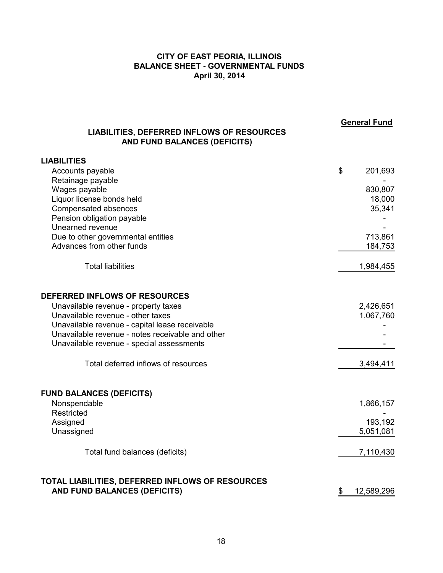## **CITY OF EAST PEORIA, ILLINOIS BALANCE SHEET - GOVERNMENTAL FUNDS April 30, 2014**

| <b>LIABILITIES, DEFERRED INFLOWS OF RESOURCES</b><br>AND FUND BALANCES (DEFICITS) | <b>General Fund</b> |
|-----------------------------------------------------------------------------------|---------------------|
| <b>LIABILITIES</b>                                                                |                     |
| Accounts payable                                                                  | \$<br>201,693       |
| Retainage payable                                                                 |                     |
| Wages payable                                                                     | 830,807             |
| Liquor license bonds held<br>Compensated absences                                 | 18,000<br>35,341    |
| Pension obligation payable                                                        |                     |
| Unearned revenue                                                                  |                     |
| Due to other governmental entities                                                | 713,861             |
| Advances from other funds                                                         | 184,753             |
| <b>Total liabilities</b>                                                          | 1,984,455           |
| <b>DEFERRED INFLOWS OF RESOURCES</b>                                              |                     |
| Unavailable revenue - property taxes                                              | 2,426,651           |
| Unavailable revenue - other taxes                                                 | 1,067,760           |
| Unavailable revenue - capital lease receivable                                    |                     |
| Unavailable revenue - notes receivable and other                                  |                     |
| Unavailable revenue - special assessments                                         |                     |
| Total deferred inflows of resources                                               | 3,494,411           |
| <b>FUND BALANCES (DEFICITS)</b>                                                   |                     |
| Nonspendable                                                                      | 1,866,157           |
| Restricted<br>Assigned                                                            | 193,192             |
| Unassigned                                                                        | 5,051,081           |
|                                                                                   |                     |
| Total fund balances (deficits)                                                    | 7,110,430           |
| TOTAL LIABILITIES, DEFERRED INFLOWS OF RESOURCES                                  |                     |
| AND FUND BALANCES (DEFICITS)                                                      | \$<br>12,589,296    |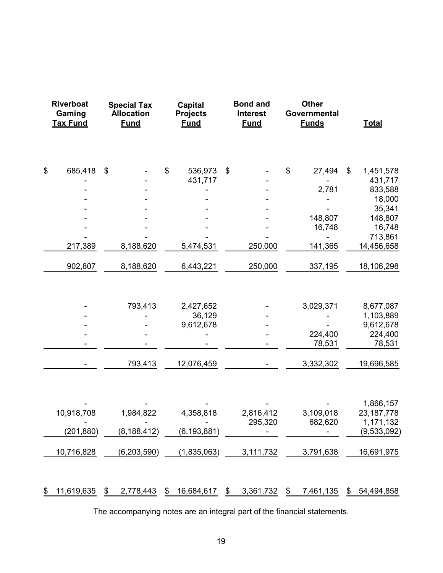| <b>Riverboat</b><br><b>Special Tax</b><br>Gaming<br><b>Allocation</b><br><b>Tax Fund</b><br><b>Fund</b> |                                        | <b>Capital</b><br><b>Projects</b><br><b>Fund</b> |       | <b>Bond and</b><br><b>Interest</b><br><b>Fund</b> |    | <b>Other</b><br>Governmental<br><b>Funds</b> |    | <b>Total</b>                      |                                                                     |
|---------------------------------------------------------------------------------------------------------|----------------------------------------|--------------------------------------------------|-------|---------------------------------------------------|----|----------------------------------------------|----|-----------------------------------|---------------------------------------------------------------------|
| \$                                                                                                      | 685,418                                | \$                                               | $\$\$ | 536,973<br>431,717                                | \$ |                                              | \$ | 27,494                            | \$<br>1,451,578<br>431,717                                          |
|                                                                                                         |                                        |                                                  |       |                                                   |    |                                              |    | 2,781                             | 833,588                                                             |
|                                                                                                         |                                        |                                                  |       |                                                   |    |                                              |    |                                   | 18,000                                                              |
|                                                                                                         |                                        |                                                  |       |                                                   |    |                                              |    | 148,807                           | 35,341<br>148,807                                                   |
|                                                                                                         |                                        |                                                  |       |                                                   |    |                                              |    | 16,748                            | 16,748                                                              |
|                                                                                                         | 217,389                                | 8,188,620                                        |       | 5,474,531                                         |    | 250,000                                      |    | 141,365                           | 713,861<br>14,456,658                                               |
|                                                                                                         | 902,807                                | 8,188,620                                        |       | 6,443,221                                         |    | 250,000                                      |    | 337,195                           | 18,106,298                                                          |
|                                                                                                         |                                        | 793,413                                          |       | 2,427,652<br>36,129<br>9,612,678                  |    |                                              |    | 3,029,371<br>224,400<br>78,531    | 8,677,087<br>1,103,889<br>9,612,678<br>224,400<br>78,531            |
|                                                                                                         |                                        | 793,413                                          |       | 12,076,459                                        |    |                                              |    | 3,332,302                         | 19,696,585                                                          |
|                                                                                                         | 10,918,708<br>(201, 880)<br>10,716,828 | 1,984,822<br>(8, 188, 412)<br>(6,203,590)        |       | 4,358,818<br>(6, 193, 881)<br>(1,835,063)         |    | 2,816,412<br>295,320<br>3,111,732            |    | 3,109,018<br>682,620<br>3,791,638 | 1,866,157<br>23, 187, 778<br>1,171,132<br>(9,533,092)<br>16,691,975 |
| \$                                                                                                      | 11,619,635                             | \$<br>2,778,443                                  | \$    | 16,684,617                                        | \$ | 3,361,732                                    | \$ | 7,461,135                         | \$<br>54,494,858                                                    |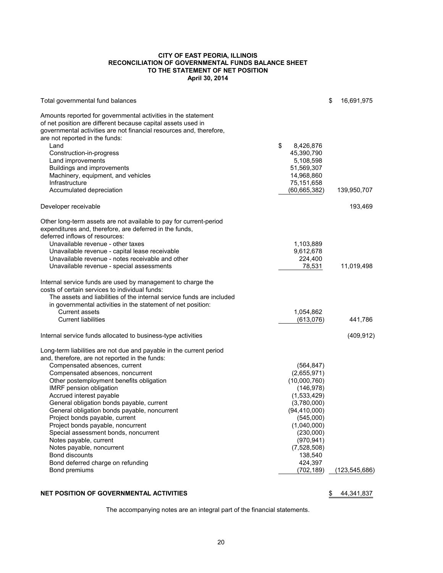#### **CITY OF EAST PEORIA, ILLINOIS RECONCILIATION OF GOVERNMENTAL FUNDS BALANCE SHEET TO THE STATEMENT OF NET POSITION April 30, 2014**

| Total governmental fund balances                                                                                                                                                                                                       |                       | \$<br>16,691,975 |
|----------------------------------------------------------------------------------------------------------------------------------------------------------------------------------------------------------------------------------------|-----------------------|------------------|
| Amounts reported for governmental activities in the statement<br>of net position are different because capital assets used in<br>governmental activities are not financial resources and, therefore,<br>are not reported in the funds: |                       |                  |
| Land                                                                                                                                                                                                                                   | \$<br>8,426,876       |                  |
| Construction-in-progress                                                                                                                                                                                                               | 45,390,790            |                  |
| Land improvements                                                                                                                                                                                                                      | 5,108,598             |                  |
| Buildings and improvements                                                                                                                                                                                                             | 51,569,307            |                  |
| Machinery, equipment, and vehicles                                                                                                                                                                                                     | 14,968,860            |                  |
| Infrastructure                                                                                                                                                                                                                         | 75,151,658            |                  |
| Accumulated depreciation                                                                                                                                                                                                               | (60, 665, 382)        | 139,950,707      |
| Developer receivable                                                                                                                                                                                                                   |                       | 193,469          |
| Other long-term assets are not available to pay for current-period                                                                                                                                                                     |                       |                  |
| expenditures and, therefore, are deferred in the funds,                                                                                                                                                                                |                       |                  |
| deferred inflows of resources:                                                                                                                                                                                                         |                       |                  |
| Unavailable revenue - other taxes                                                                                                                                                                                                      | 1,103,889             |                  |
| Unavailable revenue - capital lease receivable                                                                                                                                                                                         | 9,612,678             |                  |
| Unavailable revenue - notes receivable and other                                                                                                                                                                                       | 224,400               |                  |
| Unavailable revenue - special assessments                                                                                                                                                                                              | 78,531                | 11,019,498       |
| Internal service funds are used by management to charge the                                                                                                                                                                            |                       |                  |
| costs of certain services to individual funds:                                                                                                                                                                                         |                       |                  |
| The assets and liabilities of the internal service funds are included<br>in governmental activities in the statement of net position:                                                                                                  |                       |                  |
| <b>Current assets</b>                                                                                                                                                                                                                  | 1,054,862             |                  |
| <b>Current liabilities</b>                                                                                                                                                                                                             | (613,076)             | 441,786          |
| Internal service funds allocated to business-type activities                                                                                                                                                                           |                       | (409, 912)       |
| Long-term liabilities are not due and payable in the current period                                                                                                                                                                    |                       |                  |
| and, therefore, are not reported in the funds:                                                                                                                                                                                         |                       |                  |
| Compensated absences, current                                                                                                                                                                                                          | (564, 847)            |                  |
| Compensated absences, noncurrent                                                                                                                                                                                                       | (2,655,971)           |                  |
| Other postemployment benefits obligation                                                                                                                                                                                               | (10,000,760)          |                  |
| <b>IMRF</b> pension obligation                                                                                                                                                                                                         | (146, 978)            |                  |
| Accrued interest payable                                                                                                                                                                                                               | (1,533,429)           |                  |
| General obligation bonds payable, current                                                                                                                                                                                              | (3,780,000)           |                  |
| General obligation bonds payable, noncurrent                                                                                                                                                                                           | (94, 410, 000)        |                  |
| Project bonds payable, current                                                                                                                                                                                                         | (545,000)             |                  |
| Project bonds payable, noncurrent                                                                                                                                                                                                      | (1,040,000)           |                  |
| Special assessment bonds, noncurrent                                                                                                                                                                                                   | (230,000)             |                  |
| Notes payable, current                                                                                                                                                                                                                 | (970, 941)            |                  |
| Notes payable, noncurrent                                                                                                                                                                                                              | (7,528,508)           |                  |
| <b>Bond discounts</b>                                                                                                                                                                                                                  | 138,540               |                  |
| Bond deferred charge on refunding<br>Bond premiums                                                                                                                                                                                     | 424,397<br>(702, 189) | (123,545,686)    |
|                                                                                                                                                                                                                                        |                       |                  |

#### **NET POSITION OF GOVERNMENTAL ACTIVITIES** \$44,341,837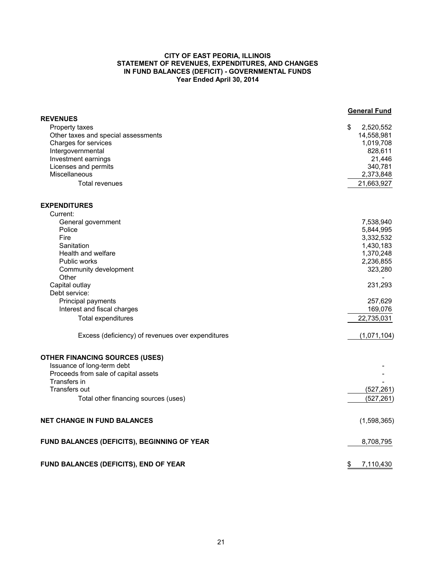#### **CITY OF EAST PEORIA, ILLINOIS STATEMENT OF REVENUES, EXPENDITURES, AND CHANGES IN FUND BALANCES (DEFICIT) - GOVERNMENTAL FUNDS Year Ended April 30, 2014**

|                                                   | <b>General Fund</b> |
|---------------------------------------------------|---------------------|
| <b>REVENUES</b>                                   |                     |
| Property taxes                                    | 2,520,552<br>\$     |
| Other taxes and special assessments               | 14,558,981          |
| Charges for services                              | 1,019,708           |
| Intergovernmental<br>Investment earnings          | 828,611             |
| Licenses and permits                              | 21,446<br>340,781   |
| <b>Miscellaneous</b>                              | 2,373,848           |
| <b>Total revenues</b>                             | 21,663,927          |
|                                                   |                     |
| <b>EXPENDITURES</b>                               |                     |
| Current:                                          |                     |
| General government                                | 7,538,940           |
| Police                                            | 5,844,995           |
| Fire                                              | 3,332,532           |
| Sanitation                                        | 1,430,183           |
| Health and welfare                                | 1,370,248           |
| <b>Public works</b>                               | 2,236,855           |
| Community development                             | 323,280             |
| Other                                             |                     |
| Capital outlay                                    | 231,293             |
| Debt service:                                     |                     |
| Principal payments                                | 257,629             |
| Interest and fiscal charges                       | 169,076             |
| Total expenditures                                | 22,735,031          |
| Excess (deficiency) of revenues over expenditures | (1,071,104)         |
| <b>OTHER FINANCING SOURCES (USES)</b>             |                     |
| Issuance of long-term debt                        |                     |
| Proceeds from sale of capital assets              |                     |
| Transfers in                                      |                     |
| <b>Transfers out</b>                              | (527, 261)          |
| Total other financing sources (uses)              | (527, 261)          |
|                                                   |                     |
| <b>NET CHANGE IN FUND BALANCES</b>                | (1,598,365)         |
| FUND BALANCES (DEFICITS), BEGINNING OF YEAR       | 8,708,795           |
| FUND BALANCES (DEFICITS), END OF YEAR             | 7,110,430<br>\$     |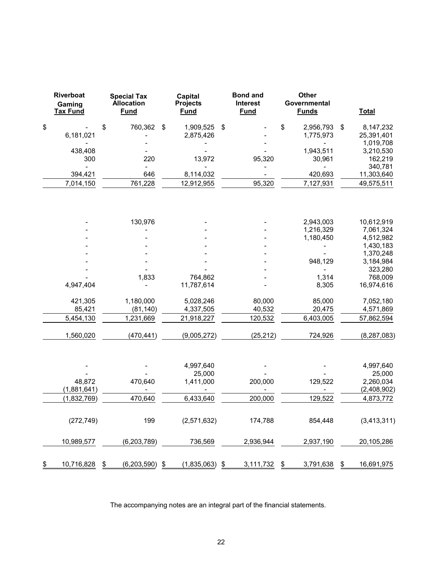| <b>Riverboat</b><br>Gaming<br><u>Tax Fund</u> |             | <b>Special Tax</b><br><b>Allocation</b><br><b>Fund</b> |                       | Capital<br><b>Projects</b><br><b>Fund</b> |             | <b>Bond and</b><br><b>Interest</b><br><b>Fund</b> |           | Other<br>Governmental<br><b>Funds</b> | <b>Total</b>       |  |
|-----------------------------------------------|-------------|--------------------------------------------------------|-----------------------|-------------------------------------------|-------------|---------------------------------------------------|-----------|---------------------------------------|--------------------|--|
| \$                                            |             | \$                                                     | 760,362               | \$                                        | 1,909,525   | $\frac{1}{2}$                                     |           | \$<br>2,956,793                       | \$<br>8,147,232    |  |
|                                               | 6,181,021   |                                                        |                       |                                           | 2,875,426   |                                                   |           | 1,775,973                             | 25,391,401         |  |
|                                               |             |                                                        |                       |                                           |             |                                                   |           |                                       | 1,019,708          |  |
|                                               | 438,408     |                                                        |                       |                                           |             |                                                   |           | 1,943,511                             | 3,210,530          |  |
|                                               | 300         |                                                        | 220<br>$\overline{a}$ |                                           | 13,972      |                                                   | 95,320    | 30,961                                | 162,219<br>340,781 |  |
|                                               | 394,421     |                                                        | 646                   |                                           | 8,114,032   |                                                   |           | 420,693                               | 11,303,640         |  |
|                                               | 7,014,150   |                                                        | 761,228               |                                           | 12,912,955  |                                                   | 95,320    | 7,127,931                             | 49,575,511         |  |
|                                               |             |                                                        |                       |                                           |             |                                                   |           |                                       |                    |  |
|                                               |             |                                                        | 130,976               |                                           |             |                                                   |           | 2,943,003                             | 10,612,919         |  |
|                                               |             |                                                        |                       |                                           |             |                                                   |           | 1,216,329                             | 7,061,324          |  |
|                                               |             |                                                        |                       |                                           |             |                                                   |           | 1,180,450                             | 4,512,982          |  |
|                                               |             |                                                        |                       |                                           |             |                                                   |           |                                       | 1,430,183          |  |
|                                               |             |                                                        |                       |                                           |             |                                                   |           |                                       | 1,370,248          |  |
|                                               |             |                                                        |                       |                                           |             |                                                   |           | 948,129                               | 3,184,984          |  |
|                                               |             |                                                        |                       |                                           |             |                                                   |           |                                       | 323,280            |  |
|                                               |             |                                                        | 1,833                 |                                           | 764,862     |                                                   |           | 1,314                                 | 768,009            |  |
|                                               | 4,947,404   |                                                        |                       |                                           | 11,787,614  |                                                   |           | 8,305                                 | 16,974,616         |  |
|                                               | 421,305     |                                                        | 1,180,000             |                                           | 5,028,246   |                                                   | 80,000    | 85,000                                | 7,052,180          |  |
|                                               | 85,421      |                                                        | (81, 140)             |                                           | 4,337,505   |                                                   | 40,532    | 20,475                                | 4,571,869          |  |
|                                               | 5,454,130   |                                                        | 1,231,669             |                                           | 21,918,227  |                                                   | 120,532   | 6,403,005                             | 57,862,594         |  |
|                                               | 1,560,020   |                                                        | (470, 441)            |                                           | (9,005,272) |                                                   | (25, 212) | 724,926                               | (8, 287, 083)      |  |
|                                               |             |                                                        |                       |                                           |             |                                                   |           |                                       |                    |  |
|                                               |             |                                                        |                       |                                           | 4,997,640   |                                                   |           |                                       | 4,997,640          |  |
|                                               |             |                                                        |                       |                                           | 25,000      |                                                   |           |                                       | 25,000             |  |
|                                               | 48,872      |                                                        | 470,640               |                                           | 1,411,000   |                                                   | 200,000   | 129,522                               | 2,260,034          |  |
|                                               | (1,881,641) |                                                        |                       |                                           |             |                                                   |           |                                       | (2,408,902)        |  |
|                                               | (1,832,769) |                                                        | 470,640               |                                           | 6,433,640   |                                                   | 200,000   | 129,522                               | 4,873,772          |  |
|                                               | (272, 749)  |                                                        | 199                   |                                           | (2,571,632) |                                                   | 174,788   | 854,448                               | (3, 413, 311)      |  |
|                                               | 10,989,577  |                                                        | (6, 203, 789)         |                                           | 736,569     |                                                   | 2,936,944 | 2,937,190                             | 20,105,286         |  |
| \$                                            | 10,716,828  | \$                                                     | (6, 203, 590)         | \$                                        | (1,835,063) | \$                                                | 3,111,732 | \$<br>3,791,638                       | \$<br>16,691,975   |  |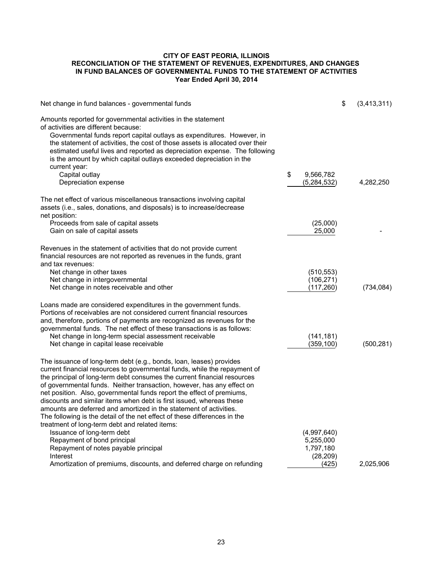#### **CITY OF EAST PEORIA, ILLINOIS RECONCILIATION OF THE STATEMENT OF REVENUES, EXPENDITURES, AND CHANGES IN FUND BALANCES OF GOVERNMENTAL FUNDS TO THE STATEMENT OF ACTIVITIES Year Ended April 30, 2014**

| Net change in fund balances - governmental funds                                                                                                                                                                                                                                                                                                                                                                                                                                                                                                                                                                                                             |                          | \$<br>(3,413,311) |
|--------------------------------------------------------------------------------------------------------------------------------------------------------------------------------------------------------------------------------------------------------------------------------------------------------------------------------------------------------------------------------------------------------------------------------------------------------------------------------------------------------------------------------------------------------------------------------------------------------------------------------------------------------------|--------------------------|-------------------|
| Amounts reported for governmental activities in the statement<br>of activities are different because:<br>Governmental funds report capital outlays as expenditures. However, in<br>the statement of activities, the cost of those assets is allocated over their<br>estimated useful lives and reported as depreciation expense. The following<br>is the amount by which capital outlays exceeded depreciation in the                                                                                                                                                                                                                                        |                          |                   |
| current year:<br>Capital outlay                                                                                                                                                                                                                                                                                                                                                                                                                                                                                                                                                                                                                              | \$<br>9,566,782          |                   |
| Depreciation expense                                                                                                                                                                                                                                                                                                                                                                                                                                                                                                                                                                                                                                         | (5, 284, 532)            | 4,282,250         |
| The net effect of various miscellaneous transactions involving capital<br>assets (i.e., sales, donations, and disposals) is to increase/decrease<br>net position:                                                                                                                                                                                                                                                                                                                                                                                                                                                                                            |                          |                   |
| Proceeds from sale of capital assets<br>Gain on sale of capital assets                                                                                                                                                                                                                                                                                                                                                                                                                                                                                                                                                                                       | (25,000)<br>25,000       |                   |
|                                                                                                                                                                                                                                                                                                                                                                                                                                                                                                                                                                                                                                                              |                          |                   |
| Revenues in the statement of activities that do not provide current<br>financial resources are not reported as revenues in the funds, grant<br>and tax revenues:                                                                                                                                                                                                                                                                                                                                                                                                                                                                                             |                          |                   |
| Net change in other taxes                                                                                                                                                                                                                                                                                                                                                                                                                                                                                                                                                                                                                                    | (510, 553)               |                   |
| Net change in intergovernmental                                                                                                                                                                                                                                                                                                                                                                                                                                                                                                                                                                                                                              | (106, 271)               |                   |
| Net change in notes receivable and other                                                                                                                                                                                                                                                                                                                                                                                                                                                                                                                                                                                                                     | (117, 260)               | (734, 084)        |
| Loans made are considered expenditures in the government funds.<br>Portions of receivables are not considered current financial resources<br>and, therefore, portions of payments are recognized as revenues for the<br>governmental funds. The net effect of these transactions is as follows:<br>Net change in long-term special assessment receivable<br>Net change in capital lease receivable                                                                                                                                                                                                                                                           | (141, 181)<br>(359, 100) | (500, 281)        |
| The issuance of long-term debt (e.g., bonds, loan, leases) provides<br>current financial resources to governmental funds, while the repayment of<br>the principal of long-term debt consumes the current financial resources<br>of governmental funds. Neither transaction, however, has any effect on<br>net position. Also, governmental funds report the effect of premiums,<br>discounts and similar items when debt is first issued, whereas these<br>amounts are deferred and amortized in the statement of activities.<br>The following is the detail of the net effect of these differences in the<br>treatment of long-term debt and related items: |                          |                   |
| Issuance of long-term debt                                                                                                                                                                                                                                                                                                                                                                                                                                                                                                                                                                                                                                   | (4,997,640)              |                   |
| Repayment of bond principal                                                                                                                                                                                                                                                                                                                                                                                                                                                                                                                                                                                                                                  | 5,255,000                |                   |
| Repayment of notes payable principal<br>Interest                                                                                                                                                                                                                                                                                                                                                                                                                                                                                                                                                                                                             | 1,797,180<br>(28, 209)   |                   |
| Amortization of premiums, discounts, and deferred charge on refunding                                                                                                                                                                                                                                                                                                                                                                                                                                                                                                                                                                                        | (425)                    | 2,025,906         |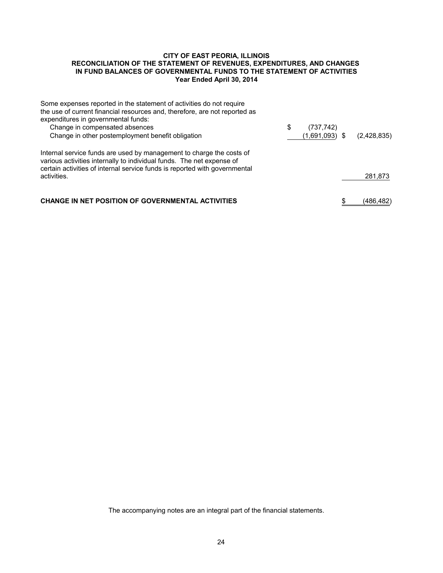#### **CITY OF EAST PEORIA, ILLINOIS RECONCILIATION OF THE STATEMENT OF REVENUES, EXPENDITURES, AND CHANGES IN FUND BALANCES OF GOVERNMENTAL FUNDS TO THE STATEMENT OF ACTIVITIES Year Ended April 30, 2014**

| Some expenses reported in the statement of activities do not require                                                                                                                                                        |                  |             |
|-----------------------------------------------------------------------------------------------------------------------------------------------------------------------------------------------------------------------------|------------------|-------------|
| the use of current financial resources and, therefore, are not reported as                                                                                                                                                  |                  |             |
| expenditures in governmental funds:                                                                                                                                                                                         |                  |             |
| Change in compensated absences                                                                                                                                                                                              | \$<br>(737, 742) |             |
| Change in other postemployment benefit obligation                                                                                                                                                                           | $(1,691,093)$ \$ | (2,428,835) |
| Internal service funds are used by management to charge the costs of<br>various activities internally to individual funds. The net expense of<br>certain activities of internal service funds is reported with governmental |                  |             |
| activities.                                                                                                                                                                                                                 |                  | 281,873     |
| <b>CHANGE IN NET POSITION OF GOVERNMENTAL ACTIVITIES</b>                                                                                                                                                                    |                  | (486,482)   |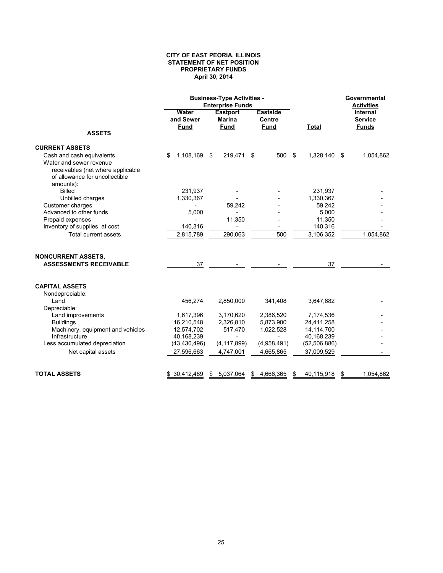#### **CITY OF EAST PEORIA, ILLINOIS STATEMENT OF NET POSITION PROPRIETARY FUNDS April 30, 2014**

|                                                                     |                                   | <b>Business-Type Activities -</b><br><b>Enterprise Funds</b> |                                                 | Governmental<br><b>Activities</b> |                                            |  |
|---------------------------------------------------------------------|-----------------------------------|--------------------------------------------------------------|-------------------------------------------------|-----------------------------------|--------------------------------------------|--|
| <b>ASSETS</b>                                                       | Water<br>and Sewer<br><b>Fund</b> | <b>Eastport</b><br><b>Marina</b><br><b>Fund</b>              | <b>Eastside</b><br><b>Centre</b><br><b>Fund</b> | <b>Total</b>                      | Internal<br><b>Service</b><br><b>Funds</b> |  |
|                                                                     |                                   |                                                              |                                                 |                                   |                                            |  |
| <b>CURRENT ASSETS</b>                                               |                                   |                                                              |                                                 |                                   |                                            |  |
| Cash and cash equivalents                                           | 1,108,169<br>\$                   | 219,471<br>\$                                                | 500<br>\$                                       | - \$<br>1,328,140                 | 1,054,862<br>-\$                           |  |
| Water and sewer revenue                                             |                                   |                                                              |                                                 |                                   |                                            |  |
| receivables (net where applicable<br>of allowance for uncollectible |                                   |                                                              |                                                 |                                   |                                            |  |
| amounts):                                                           |                                   |                                                              |                                                 |                                   |                                            |  |
| <b>Billed</b>                                                       | 231,937                           |                                                              |                                                 | 231,937                           |                                            |  |
| Unbilled charges                                                    | 1,330,367                         |                                                              |                                                 | 1,330,367                         |                                            |  |
| Customer charges                                                    |                                   | 59,242                                                       |                                                 | 59,242                            |                                            |  |
| Advanced to other funds                                             | 5,000                             |                                                              |                                                 | 5,000                             |                                            |  |
| Prepaid expenses                                                    |                                   | 11,350                                                       |                                                 | 11,350                            |                                            |  |
| Inventory of supplies, at cost                                      | 140,316                           |                                                              |                                                 | 140,316                           |                                            |  |
| <b>Total current assets</b>                                         | 2,815,789                         | 290,063                                                      | 500                                             | 3,106,352                         | 1,054,862                                  |  |
| <b>NONCURRENT ASSETS,</b>                                           |                                   |                                                              |                                                 |                                   |                                            |  |
| <b>ASSESSMENTS RECEIVABLE</b>                                       | 37                                |                                                              |                                                 | 37                                |                                            |  |
| <b>CAPITAL ASSETS</b>                                               |                                   |                                                              |                                                 |                                   |                                            |  |
| Nondepreciable:                                                     |                                   |                                                              |                                                 |                                   |                                            |  |
| Land                                                                | 456,274                           | 2,850,000                                                    | 341,408                                         | 3,647,682                         |                                            |  |
| Depreciable:                                                        |                                   |                                                              |                                                 |                                   |                                            |  |
| Land improvements                                                   | 1,617,396                         | 3,170,620                                                    | 2,386,520                                       | 7,174,536                         |                                            |  |
| <b>Buildings</b>                                                    | 16,210,548                        | 2,326,810                                                    | 5,873,900                                       | 24,411,258                        |                                            |  |
| Machinery, equipment and vehicles                                   | 12,574,702                        | 517,470                                                      | 1,022,528                                       | 14,114,700                        |                                            |  |
| Infrastructure<br>Less accumulated depreciation                     | 40,168,239<br>(43, 430, 496)      | $\blacksquare$<br>(4, 117, 899)                              | $\blacksquare$<br>(4,958,491)                   | 40,168,239<br>(52, 506, 886)      |                                            |  |
| Net capital assets                                                  | 27,596,663                        | 4,747,001                                                    | 4,665,865                                       | 37,009,529                        |                                            |  |
|                                                                     |                                   |                                                              |                                                 |                                   |                                            |  |
| <b>TOTAL ASSETS</b>                                                 | \$ 30,412,489                     | \$<br>5,037,064                                              | \$<br>4,666,365                                 | 40,115,918<br>\$                  | 1,054,862<br>\$                            |  |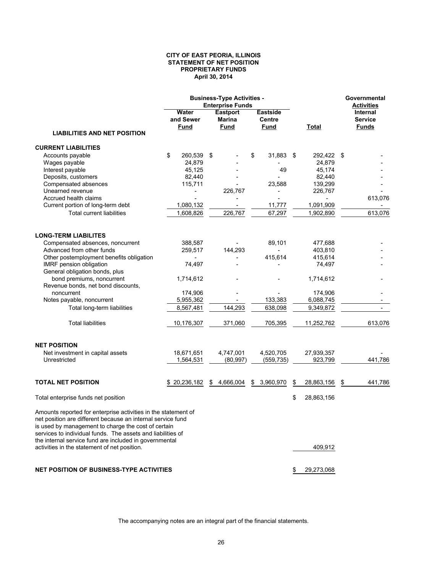#### **CITY OF EAST PEORIA, ILLINOIS STATEMENT OF NET POSITION PROPRIETARY FUNDS April 30, 2014**

|                                                                                                                                                                                   |                                   | <b>Business-Type Activities -</b><br><b>Enterprise Funds</b> |                                                 |       |            |   | Governmental<br><b>Activities</b>                 |  |
|-----------------------------------------------------------------------------------------------------------------------------------------------------------------------------------|-----------------------------------|--------------------------------------------------------------|-------------------------------------------------|-------|------------|---|---------------------------------------------------|--|
|                                                                                                                                                                                   | Water<br>and Sewer<br><b>Fund</b> | <b>Eastport</b><br><b>Marina</b><br><b>Fund</b>              | <b>Eastside</b><br><b>Centre</b><br><b>Fund</b> | Total |            |   | <b>Internal</b><br><b>Service</b><br><b>Funds</b> |  |
| <b>LIABILITIES AND NET POSITION</b>                                                                                                                                               |                                   |                                                              |                                                 |       |            |   |                                                   |  |
| <b>CURRENT LIABILITIES</b>                                                                                                                                                        |                                   |                                                              |                                                 |       |            |   |                                                   |  |
| Accounts payable                                                                                                                                                                  | \$<br>260,539                     | \$                                                           | 31,883<br>\$                                    | \$    | 292,422 \$ |   |                                                   |  |
| Wages payable                                                                                                                                                                     | 24,879                            |                                                              |                                                 |       | 24,879     |   |                                                   |  |
| Interest payable                                                                                                                                                                  | 45,125                            |                                                              | 49                                              |       | 45,174     |   |                                                   |  |
| Deposits, customers                                                                                                                                                               | 82,440                            |                                                              |                                                 |       | 82,440     |   |                                                   |  |
| Compensated absences                                                                                                                                                              | 115,711                           |                                                              | 23,588                                          |       | 139,299    |   |                                                   |  |
| Unearned revenue                                                                                                                                                                  |                                   | 226,767                                                      |                                                 |       | 226,767    |   |                                                   |  |
| Accrued health claims                                                                                                                                                             |                                   |                                                              |                                                 |       |            |   | 613,076                                           |  |
| Current portion of long-term debt                                                                                                                                                 | 1,080,132                         | $\blacksquare$                                               | 11,777                                          |       | 1,091,909  |   |                                                   |  |
| <b>Total current liabilities</b>                                                                                                                                                  | 1,608,826                         | 226,767                                                      | 67,297                                          |       | 1,902,890  |   | 613,076                                           |  |
| <b>LONG-TERM LIABILITES</b>                                                                                                                                                       |                                   |                                                              |                                                 |       |            |   |                                                   |  |
| Compensated absences, noncurrent                                                                                                                                                  | 388,587                           |                                                              | 89,101                                          |       | 477,688    |   |                                                   |  |
| Advanced from other funds                                                                                                                                                         | 259,517                           | 144,293                                                      |                                                 |       | 403,810    |   |                                                   |  |
| Other postemployment benefits obligation                                                                                                                                          |                                   |                                                              | 415,614                                         |       | 415,614    |   |                                                   |  |
| IMRF pension obligation                                                                                                                                                           | 74,497                            |                                                              |                                                 |       | 74,497     |   |                                                   |  |
| General obligation bonds, plus                                                                                                                                                    |                                   |                                                              |                                                 |       |            |   |                                                   |  |
| bond premiums, noncurrent                                                                                                                                                         | 1,714,612                         |                                                              |                                                 |       | 1,714,612  |   |                                                   |  |
| Revenue bonds, net bond discounts,                                                                                                                                                |                                   |                                                              |                                                 |       |            |   |                                                   |  |
| noncurrent                                                                                                                                                                        | 174,906                           |                                                              |                                                 |       | 174,906    |   |                                                   |  |
| Notes payable, noncurrent                                                                                                                                                         | 5,955,362                         |                                                              | 133,383                                         |       | 6,088,745  |   |                                                   |  |
| Total long-term liabilities                                                                                                                                                       | 8,567,481                         | 144,293                                                      | 638,098                                         |       | 9,349,872  |   |                                                   |  |
| <b>Total liabilities</b>                                                                                                                                                          | 10,176,307                        | 371,060                                                      | 705,395                                         |       | 11,252,762 |   | 613,076                                           |  |
|                                                                                                                                                                                   |                                   |                                                              |                                                 |       |            |   |                                                   |  |
| <b>NET POSITION</b>                                                                                                                                                               |                                   |                                                              |                                                 |       |            |   |                                                   |  |
| Net investment in capital assets                                                                                                                                                  | 18,671,651                        | 4,747,001                                                    | 4,520,705                                       |       | 27,939,357 |   |                                                   |  |
| Unrestricted                                                                                                                                                                      | 1,564,531                         | (80, 997)                                                    | (559, 735)                                      |       | 923,799    |   | 441,786                                           |  |
| <b>TOTAL NET POSITION</b>                                                                                                                                                         | \$20,236,182                      | \$<br>4,666,004                                              | \$<br>3,960,970                                 | \$    | 28,863,156 | S | 441,786                                           |  |
| Total enterprise funds net position                                                                                                                                               |                                   |                                                              |                                                 | \$    | 28,863,156 |   |                                                   |  |
| Amounts reported for enterprise activities in the statement of                                                                                                                    |                                   |                                                              |                                                 |       |            |   |                                                   |  |
| net position are different because an internal service fund<br>is used by management to charge the cost of certain<br>services to individual funds. The assets and liabilities of |                                   |                                                              |                                                 |       |            |   |                                                   |  |
| the internal service fund are included in governmental<br>activities in the statement of net position.                                                                            |                                   |                                                              |                                                 |       | 409,912    |   |                                                   |  |
| <b>NET POSITION OF BUSINESS-TYPE ACTIVITIES</b>                                                                                                                                   |                                   |                                                              |                                                 | \$    | 29,273,068 |   |                                                   |  |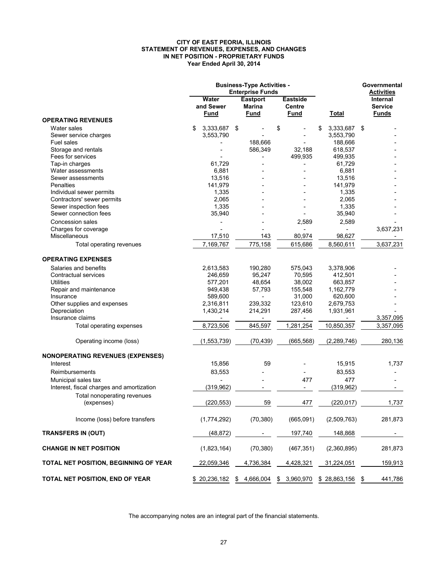#### **CITY OF EAST PEORIA, ILLINOIS STATEMENT OF REVENUES, EXPENSES, AND CHANGES IN NET POSITION - PROPRIETARY FUNDS Year Ended April 30, 2014**

|                                           | <b>Business-Type Activities -</b><br><b>Enterprise Funds</b> |                                                          |                                                 |                          | Governmental<br><b>Activities</b>          |
|-------------------------------------------|--------------------------------------------------------------|----------------------------------------------------------|-------------------------------------------------|--------------------------|--------------------------------------------|
|                                           | Water<br>and Sewer<br>Fund                                   | Eastport<br>Marina<br><b>Fund</b>                        | <b>Eastside</b><br><b>Centre</b><br><b>Fund</b> | <b>Total</b>             | Internal<br><b>Service</b><br><b>Funds</b> |
| <b>OPERATING REVENUES</b>                 |                                                              |                                                          |                                                 |                          |                                            |
| Water sales                               | \$<br>3,333,687                                              | \$                                                       | \$                                              | \$<br>3,333,687          | \$                                         |
| Sewer service charges                     | 3,553,790                                                    |                                                          |                                                 | 3,553,790                |                                            |
| Fuel sales                                |                                                              | 188,666                                                  |                                                 | 188,666                  |                                            |
| Storage and rentals                       |                                                              | 586,349                                                  | 32,188                                          | 618,537                  |                                            |
| Fees for services                         |                                                              |                                                          | 499,935                                         | 499,935                  |                                            |
| Tap-in charges                            | 61.729                                                       |                                                          |                                                 | 61,729                   |                                            |
| Water assessments                         | 6,881                                                        |                                                          |                                                 | 6,881                    |                                            |
| Sewer assessments                         | 13,516                                                       |                                                          |                                                 | 13,516                   |                                            |
| <b>Penalties</b>                          | 141,979                                                      |                                                          |                                                 | 141,979                  |                                            |
| Individual sewer permits                  | 1,335                                                        |                                                          |                                                 | 1,335                    |                                            |
| Contractors' sewer permits                | 2,065                                                        |                                                          |                                                 | 2,065                    |                                            |
| Sewer inspection fees                     | 1,335                                                        |                                                          |                                                 | 1,335                    |                                            |
| Sewer connection fees                     | 35,940                                                       |                                                          |                                                 | 35,940                   |                                            |
| Concession sales                          |                                                              |                                                          | 2,589                                           | 2,589                    |                                            |
| Charges for coverage                      |                                                              |                                                          |                                                 | $\frac{1}{2}$            | 3,637,231                                  |
| Miscellaneous                             | 17,510                                                       | 143                                                      | 80,974                                          | 98,627                   |                                            |
| Total operating revenues                  | 7,169,767                                                    | 775,158                                                  | 615,686                                         | 8,560,611                | 3,637,231                                  |
| <b>OPERATING EXPENSES</b>                 |                                                              |                                                          |                                                 |                          |                                            |
|                                           |                                                              |                                                          |                                                 |                          |                                            |
| Salaries and benefits                     | 2,613,583                                                    | 190,280                                                  | 575,043                                         | 3,378,906                |                                            |
| Contractual services                      | 246,659                                                      | 95,247                                                   | 70,595                                          | 412,501                  |                                            |
| <b>Utilities</b>                          | 577,201                                                      | 48,654                                                   | 38,002                                          | 663,857                  |                                            |
| Repair and maintenance                    | 949,438                                                      | 57,793                                                   | 155,548                                         | 1,162,779                |                                            |
| Insurance                                 | 589,600                                                      |                                                          | 31,000                                          | 620,600                  |                                            |
| Other supplies and expenses               | 2,316,811                                                    | 239,332                                                  | 123,610                                         | 2,679,753                |                                            |
| Depreciation                              | 1,430,214                                                    | 214,291                                                  | 287,456                                         | 1,931,961                |                                            |
| Insurance claims                          |                                                              |                                                          | $\overline{\phantom{0}}$                        | $\overline{\phantom{a}}$ | 3,357,095                                  |
| Total operating expenses                  | 8,723,506                                                    | 845,597                                                  | 1,281,254                                       | 10,850,357               | 3,357,095                                  |
| Operating income (loss)                   | (1, 553, 739)                                                | (70, 439)                                                | (665, 568)                                      | (2, 289, 746)            | 280,136                                    |
| <b>NONOPERATING REVENUES (EXPENSES)</b>   |                                                              |                                                          |                                                 |                          |                                            |
| Interest                                  | 15,856                                                       | 59                                                       |                                                 | 15,915                   | 1,737                                      |
| Reimbursements                            | 83,553                                                       |                                                          |                                                 | 83,553                   |                                            |
|                                           |                                                              |                                                          |                                                 |                          |                                            |
| Municipal sales tax                       |                                                              |                                                          | 477                                             | 477                      |                                            |
| Interest, fiscal charges and amortization | (319, 962)                                                   |                                                          |                                                 | (319, 962)               |                                            |
| Total nonoperating revenues               |                                                              |                                                          |                                                 |                          |                                            |
| (expenses)                                | (220, 553)                                                   | 59                                                       | 477                                             | (220, 017)               | 1,737                                      |
| Income (loss) before transfers            | (1,774,292)                                                  | (70, 380)                                                | (665,091)                                       | (2,509,763)              | 281,873                                    |
| <b>TRANSFERS IN (OUT)</b>                 | (48, 872)                                                    |                                                          | <u>197,740</u>                                  | 148,868                  |                                            |
| <b>CHANGE IN NET POSITION</b>             | (1,823,164)                                                  | (70, 380)                                                | (467, 351)                                      | (2,360,895)              | 281,873                                    |
| TOTAL NET POSITION, BEGINNING OF YEAR     | 22,059,346                                                   | 4,736,384                                                | 4,428,321                                       | 31,224,051               | 159,913                                    |
| TOTAL NET POSITION, END OF YEAR           |                                                              | \$ 20,236,182 \$ 4,666,004 \$ 3,960,970 \$ 28,863,156 \$ |                                                 |                          | 441,786                                    |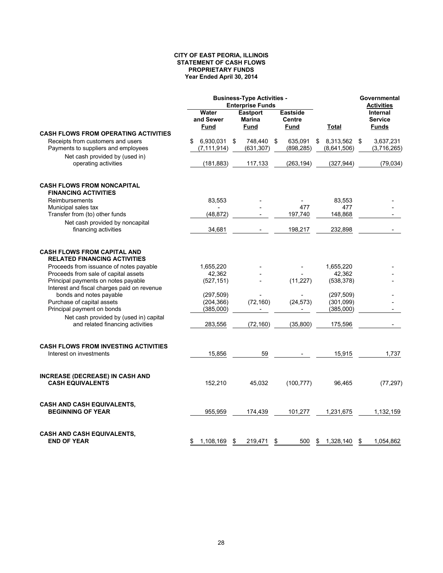#### **CITY OF EAST PEORIA, ILLINOIS STATEMENT OF CASH FLOWS PROPRIETARY FUNDS Year Ended April 30, 2014**

|                                                                            |                                  | <b>Business-Type Activities -</b><br><b>Enterprise Funds</b> |                                          | Governmental<br>Activities     |                                            |
|----------------------------------------------------------------------------|----------------------------------|--------------------------------------------------------------|------------------------------------------|--------------------------------|--------------------------------------------|
|                                                                            | Water<br>and Sewer<br>Fund       | <b>Eastport</b><br><b>Marina</b><br>Fund                     | <b>Eastside</b><br><b>Centre</b><br>Fund | Total                          | Internal<br><b>Service</b><br><b>Funds</b> |
| <b>CASH FLOWS FROM OPERATING ACTIVITIES</b>                                |                                  |                                                              |                                          |                                |                                            |
| Receipts from customers and users<br>Payments to suppliers and employees   | 6,930,031<br>\$<br>(7, 111, 914) | \$<br>748,440<br>(631, 307)                                  | 635,091<br>\$<br>(898, 285)              | 8,313,562<br>\$<br>(8,641,506) | 3,637,231<br>\$<br>(3,716,265)             |
| Net cash provided by (used in)<br>operating activities                     | (181, 883)                       | 117,133                                                      | (263, 194)                               | (327, 944)                     | (79,034)                                   |
| <b>CASH FLOWS FROM NONCAPITAL</b><br><b>FINANCING ACTIVITIES</b>           |                                  |                                                              |                                          |                                |                                            |
| Reimbursements                                                             | 83,553                           |                                                              |                                          | 83,553                         |                                            |
| Municipal sales tax                                                        |                                  |                                                              | 477                                      | 477                            |                                            |
| Transfer from (to) other funds                                             | (48, 872)                        |                                                              | 197,740                                  | 148,868                        |                                            |
| Net cash provided by noncapital                                            |                                  |                                                              |                                          |                                |                                            |
| financing activities                                                       | 34,681                           |                                                              | 198,217                                  | 232,898                        |                                            |
| <b>CASH FLOWS FROM CAPITAL AND</b><br><b>RELATED FINANCING ACTIVITIES</b>  |                                  |                                                              |                                          |                                |                                            |
| Proceeds from issuance of notes payable                                    | 1,655,220                        |                                                              |                                          | 1,655,220                      |                                            |
| Proceeds from sale of capital assets                                       | 42,362                           |                                                              |                                          | 42,362                         |                                            |
| Principal payments on notes payable                                        | (527, 151)                       |                                                              | (11, 227)                                | (538, 378)                     |                                            |
| Interest and fiscal charges paid on revenue                                |                                  |                                                              |                                          |                                |                                            |
| bonds and notes payable                                                    | (297, 509)                       |                                                              |                                          | (297, 509)                     |                                            |
| Purchase of capital assets                                                 | (204, 366)                       | (72, 160)                                                    | (24, 573)                                | (301,099)                      |                                            |
| Principal payment on bonds                                                 | (385,000)                        |                                                              |                                          | (385,000)                      |                                            |
| Net cash provided by (used in) capital<br>and related financing activities | 283,556                          | (72, 160)                                                    | (35, 800)                                | 175,596                        |                                            |
|                                                                            |                                  |                                                              |                                          |                                |                                            |
| <b>CASH FLOWS FROM INVESTING ACTIVITIES</b>                                |                                  |                                                              |                                          |                                |                                            |
| Interest on investments                                                    | 15,856                           | 59                                                           |                                          | 15,915                         | 1,737                                      |
| INCREASE (DECREASE) IN CASH AND<br><b>CASH EQUIVALENTS</b>                 | 152,210                          | 45,032                                                       | (100, 777)                               | 96,465                         | (77, 297)                                  |
| <b>CASH AND CASH EQUIVALENTS,</b><br><b>BEGINNING OF YEAR</b>              | 955,959                          | 174,439                                                      | 101,277                                  | 1,231,675                      | 1,132,159                                  |
| <b>CASH AND CASH EQUIVALENTS,</b><br><b>END OF YEAR</b>                    | 1,108,169<br>\$                  | \$<br>219,471                                                | 500<br>\$                                | 1,328,140<br>\$                | 1,054,862<br>\$                            |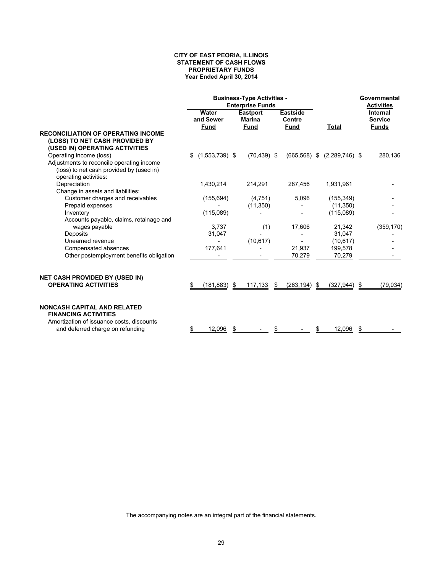#### **CITY OF EAST PEORIA, ILLINOIS STATEMENT OF CASH FLOWS PROPRIETARY FUNDS Year Ended April 30, 2014**

|                                                                                                                | <b>Business-Type Activities -</b><br><b>Enterprise Funds</b> |                                                 |                                                 |                                 | Governmental<br><b>Activities</b>          |
|----------------------------------------------------------------------------------------------------------------|--------------------------------------------------------------|-------------------------------------------------|-------------------------------------------------|---------------------------------|--------------------------------------------|
|                                                                                                                | Water<br>and Sewer<br><b>Fund</b>                            | <b>Eastport</b><br><b>Marina</b><br><b>Fund</b> | <b>Eastside</b><br><b>Centre</b><br><b>Fund</b> | Total                           | Internal<br><b>Service</b><br><b>Funds</b> |
| <b>RECONCILIATION OF OPERATING INCOME</b><br>(LOSS) TO NET CASH PROVIDED BY<br>(USED IN) OPERATING ACTIVITIES  |                                                              |                                                 |                                                 |                                 |                                            |
| Operating income (loss)                                                                                        | $(1,553,739)$ \$<br>\$                                       | $(70, 439)$ \$                                  |                                                 | $(665,568)$ \$ $(2,289,746)$ \$ | 280,136                                    |
| Adjustments to reconcile operating income<br>(loss) to net cash provided by (used in)<br>operating activities: |                                                              |                                                 |                                                 |                                 |                                            |
| Depreciation                                                                                                   | 1,430,214                                                    | 214,291                                         | 287,456                                         | 1,931,961                       |                                            |
| Change in assets and liabilities:                                                                              |                                                              |                                                 |                                                 |                                 |                                            |
| Customer charges and receivables                                                                               | (155, 694)                                                   | (4,751)                                         | 5,096                                           | (155, 349)                      |                                            |
| Prepaid expenses                                                                                               |                                                              | (11, 350)                                       |                                                 | (11, 350)                       |                                            |
| Inventory                                                                                                      | (115,089)                                                    |                                                 |                                                 | (115,089)                       |                                            |
| Accounts payable, claims, retainage and                                                                        |                                                              |                                                 |                                                 |                                 |                                            |
| wages payable                                                                                                  | 3,737                                                        | (1)                                             | 17,606                                          | 21,342                          | (359, 170)                                 |
| Deposits                                                                                                       | 31,047                                                       |                                                 |                                                 | 31,047                          |                                            |
| Unearned revenue                                                                                               |                                                              | (10, 617)                                       |                                                 | (10, 617)                       |                                            |
| Compensated absences                                                                                           | 177,641                                                      |                                                 | 21,937                                          | 199,578                         |                                            |
| Other postemployment benefits obligation                                                                       |                                                              |                                                 | 70,279                                          | 70,279                          |                                            |
| <b>NET CASH PROVIDED BY (USED IN)</b>                                                                          |                                                              |                                                 |                                                 |                                 |                                            |
| <b>OPERATING ACTIVITIES</b>                                                                                    | \$<br>$(181, 883)$ \$                                        | 117,133                                         | - \$<br>$(263, 194)$ \$                         | $(327, 944)$ \$                 | (79, 034)                                  |
| <b>NONCASH CAPITAL AND RELATED</b><br><b>FINANCING ACTIVITIES</b><br>Amortization of issuance costs, discounts |                                                              |                                                 |                                                 |                                 |                                            |
| and deferred charge on refunding                                                                               | 12,096<br>\$                                                 | -\$                                             | \$                                              | 12,096<br>\$                    | \$                                         |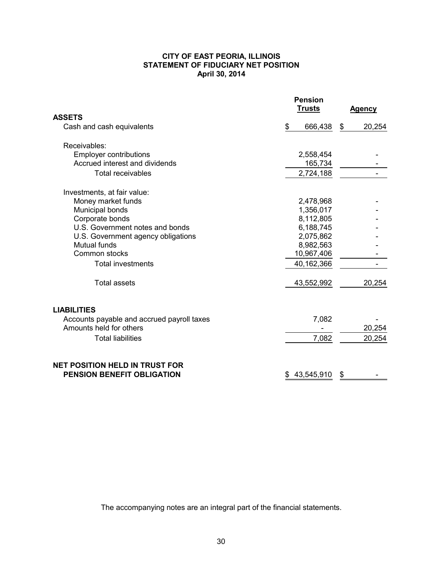#### **CITY OF EAST PEORIA, ILLINOIS STATEMENT OF FIDUCIARY NET POSITION April 30, 2014**

|                                                                            | <b>Pension</b><br><b>Trusts</b> | <b>Agency</b> |
|----------------------------------------------------------------------------|---------------------------------|---------------|
| ASSETS                                                                     |                                 |               |
| Cash and cash equivalents                                                  | 666,438<br>\$                   | 20,254<br>\$  |
| Receivables:                                                               |                                 |               |
| <b>Employer contributions</b><br>Accrued interest and dividends            | 2,558,454<br>165,734            |               |
| <b>Total receivables</b>                                                   | 2,724,188                       |               |
| Investments, at fair value:                                                |                                 |               |
| Money market funds                                                         | 2,478,968                       |               |
| Municipal bonds                                                            | 1,356,017                       |               |
| Corporate bonds                                                            | 8,112,805                       |               |
| U.S. Government notes and bonds                                            | 6,188,745                       |               |
| U.S. Government agency obligations                                         | 2,075,862                       |               |
| Mutual funds                                                               | 8,982,563                       |               |
| Common stocks                                                              | 10,967,406                      |               |
| <b>Total investments</b>                                                   | 40,162,366                      |               |
| <b>Total assets</b>                                                        | 43,552,992                      | 20,254        |
| <b>LIABILITIES</b>                                                         |                                 |               |
| Accounts payable and accrued payroll taxes                                 | 7,082                           |               |
| Amounts held for others                                                    |                                 | 20,254        |
| <b>Total liabilities</b>                                                   | 7,082                           | 20,254        |
| <b>NET POSITION HELD IN TRUST FOR</b><br><b>PENSION BENEFIT OBLIGATION</b> | 43,545,910<br>S                 | \$            |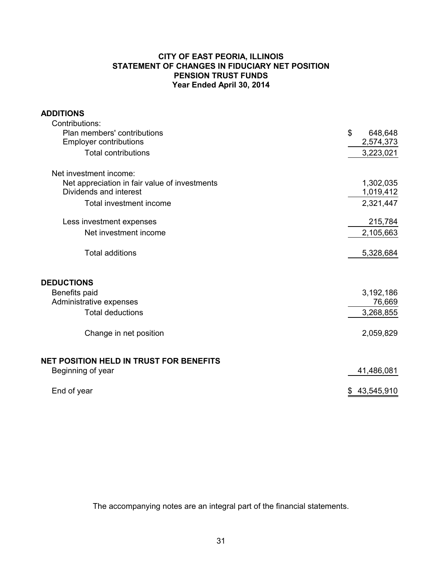## **CITY OF EAST PEORIA, ILLINOIS STATEMENT OF CHANGES IN FIDUCIARY NET POSITION PENSION TRUST FUNDS Year Ended April 30, 2014**

## **ADDITIONS**

| Contributions:                                |                  |
|-----------------------------------------------|------------------|
| Plan members' contributions                   | \$<br>648,648    |
| <b>Employer contributions</b>                 | 2,574,373        |
| <b>Total contributions</b>                    | 3,223,021        |
| Net investment income:                        |                  |
| Net appreciation in fair value of investments | 1,302,035        |
| Dividends and interest                        | 1,019,412        |
| Total investment income                       | 2,321,447        |
| Less investment expenses                      | 215,784          |
| Net investment income                         | 2,105,663        |
| <b>Total additions</b>                        | 5,328,684        |
| <b>DEDUCTIONS</b>                             |                  |
| Benefits paid                                 | 3,192,186        |
| Administrative expenses                       | 76,669           |
| <b>Total deductions</b>                       | 3,268,855        |
| Change in net position                        | 2,059,829        |
| NET POSITION HELD IN TRUST FOR BENEFITS       |                  |
| Beginning of year                             | 41,486,081       |
| End of year                                   | 43,545,910<br>\$ |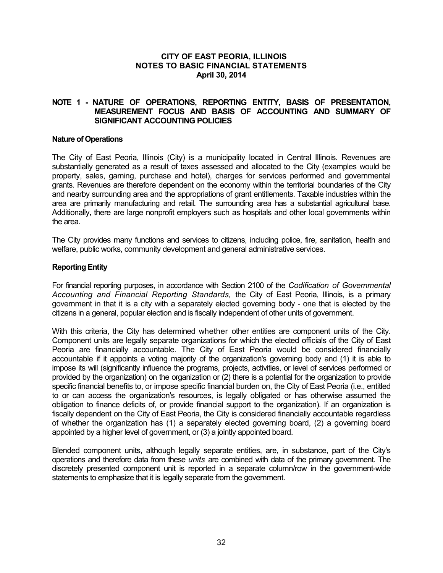#### **CITY OF EAST PEORIA, ILLINOIS NOTES TO BASIC FINANCIAL STATEMENTS April 30, 2014**

## **NOTE 1 - NATURE OF OPERATIONS, REPORTING ENTITY, BASIS OF PRESENTATION, MEASUREMENT FOCUS AND BASIS OF ACCOUNTING AND SUMMARY OF SIGNIFICANT ACCOUNTING POLICIES**

#### **Nature of Operations**

The City of East Peoria, Illinois (City) is a municipality located in Central Illinois. Revenues are substantially generated as a result of taxes assessed and allocated to the City (examples would be property, sales, gaming, purchase and hotel), charges for services performed and governmental grants. Revenues are therefore dependent on the economy within the territorial boundaries of the City and nearby surrounding area and the appropriations of grant entitlements. Taxable industries within the area are primarily manufacturing and retail. The surrounding area has a substantial agricultural base. Additionally, there are large nonprofit employers such as hospitals and other local governments within the area.

The City provides many functions and services to citizens, including police, fire, sanitation, health and welfare, public works, community development and general administrative services.

#### **Reporting Entity**

For financial reporting purposes, in accordance with Section 2100 of the *Codification of Governmental Accounting and Financial Reporting Standards,* the City of East Peoria, Illinois, is a primary government in that it is a city with a separately elected governing body - one that is elected by the citizens in a general, popular election and is fiscally independent of other units of government.

With this criteria, the City has determined whether other entities are component units of the City. Component units are legally separate organizations for which the elected officials of the City of East Peoria are financially accountable. The City of East Peoria would be considered financially accountable if it appoints a voting majority of the organization's governing body and (1) it is able to impose its will (significantly influence the programs, projects, activities, or level of services performed or provided by the organization) on the organization or (2) there is a potential for the organization to provide specific financial benefits to, or impose specific financial burden on, the City of East Peoria (i.e., entitled to or can access the organization's resources, is legally obligated or has otherwise assumed the obligation to finance deficits of, or provide financial support to the organization). If an organization is fiscally dependent on the City of East Peoria, the City is considered financially accountable regardless of whether the organization has (1) a separately elected governing board, (2) a governing board appointed by a higher level of government, or (3) a jointly appointed board.

Blended component units, although legally separate entities, are, in substance, part of the City's operations and therefore data from these *units* are combined with data of the primary government. The discretely presented component unit is reported in a separate column/row in the government-wide statements to emphasize that it is legally separate from the government.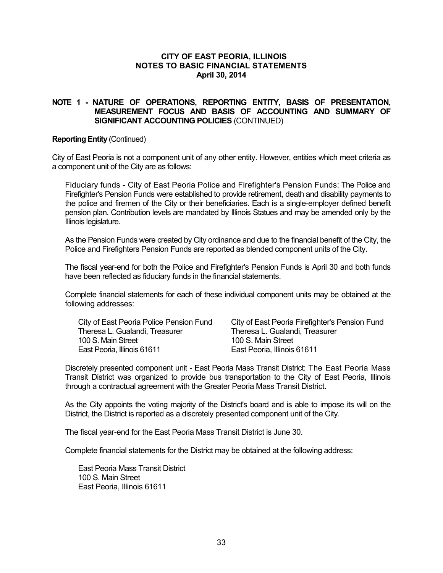#### **CITY OF EAST PEORIA, ILLINOIS NOTES TO BASIC FINANCIAL STATEMENTS April 30, 2014**

## **NOTE 1 - NATURE OF OPERATIONS, REPORTING ENTITY, BASIS OF PRESENTATION, MEASUREMENT FOCUS AND BASIS OF ACCOUNTING AND SUMMARY OF SIGNIFICANT ACCOUNTING POLICIES** (CONTINUED)

#### **Reporting Entity** (Continued)

City of East Peoria is not a component unit of any other entity. However, entities which meet criteria as a component unit of the City are as follows:

Fiduciary funds - City of East Peoria Police and Firefighter's Pension Funds: The Police and Firefighter's Pension Funds were established to provide retirement, death and disability payments to the police and firemen of the City or their beneficiaries. Each is a single-employer defined benefit pension plan. Contribution levels are mandated by Illinois Statues and may be amended only by the Illinois legislature.

As the Pension Funds were created by City ordinance and due to the financial benefit of the City, the Police and Firefighters Pension Funds are reported as blended component units of the City.

The fiscal year-end for both the Police and Firefighter's Pension Funds is April 30 and both funds have been reflected as fiduciary funds in the financial statements.

Complete financial statements for each of these individual component units may be obtained at the following addresses:

Theresa L. Gualandi, Treasurer Theresa L. Gualandi, Treasurer 100 S. Main Street 100 S. Main Street East Peoria, Illinois 61611 **East Peoria, Illinois 61611** 

City of East Peoria Police Pension Fund City of East Peoria Firefighter's Pension Fund

Discretely presented component unit - East Peoria Mass Transit District: The East Peoria Mass Transit District was organized to provide bus transportation to the City of East Peoria, Illinois through a contractual agreement with the Greater Peoria Mass Transit District.

As the City appoints the voting majority of the District's board and is able to impose its will on the District, the District is reported as a discretely presented component unit of the City.

The fiscal year-end for the East Peoria Mass Transit District is June 30.

Complete financial statements for the District may be obtained at the following address:

East Peoria Mass Transit District 100 S. Main Street East Peoria, Illinois 61611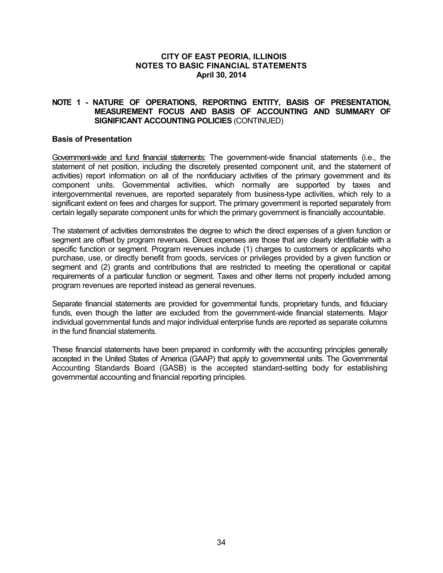## **NOTE 1 - NATURE OF OPERATIONS, REPORTING ENTITY, BASIS OF PRESENTATION, MEASUREMENT FOCUS AND BASIS OF ACCOUNTING AND SUMMARY OF SIGNIFICANT ACCOUNTING POLICIES** (CONTINUED)

### **Basis of Presentation**

Government-wide and fund financial statements: The government-wide financial statements (i.e., the statement of net position, including the discretely presented component unit, and the statement of activities) report information on all of the nonfiduciary activities of the primary government and its component units. Governmental activities, which normally are supported by taxes and intergovernmental revenues, are reported separately from business-type activities, which rely to a significant extent on fees and charges for support. The primary government is reported separately from certain legally separate component units for which the primary government is financially accountable.

The statement of activities demonstrates the degree to which the direct expenses of a given function or segment are offset by program revenues. Direct expenses are those that are clearly identifiable with a specific function or segment. Program revenues include (1) charges to customers or applicants who purchase, use, or directly benefit from goods, services or privileges provided by a given function or segment and (2) grants and contributions that are restricted to meeting the operational or capital requirements of a particular function or segment. Taxes and other items not properly included among program revenues are reported instead as general revenues.

Separate financial statements are provided for governmental funds, proprietary funds, and fiduciary funds, even though the latter are excluded from the government-wide financial statements. Major individual governmental funds and major individual enterprise funds are reported as separate columns in the fund financial statements.

These financial statements have been prepared in conformity with the accounting principles generally accepted in the United States of America (GAAP) that apply to governmental units. The Governmental Accounting Standards Board (GASB) is the accepted standard-setting body for establishing governmental accounting and financial reporting principles.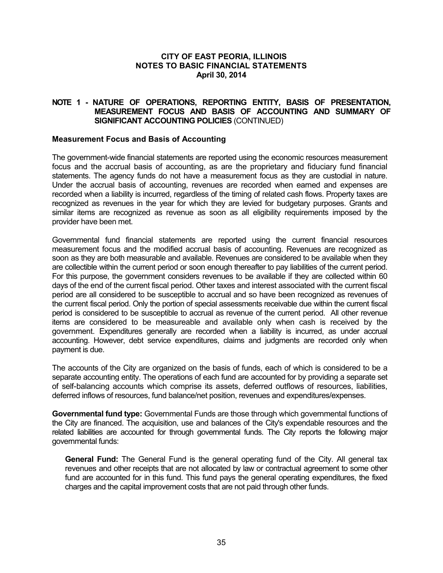## **NOTE 1 - NATURE OF OPERATIONS, REPORTING ENTITY, BASIS OF PRESENTATION, MEASUREMENT FOCUS AND BASIS OF ACCOUNTING AND SUMMARY OF SIGNIFICANT ACCOUNTING POLICIES** (CONTINUED)

## **Measurement Focus and Basis of Accounting**

The government-wide financial statements are reported using the economic resources measurement focus and the accrual basis of accounting, as are the proprietary and fiduciary fund financial statements. The agency funds do not have a measurement focus as they are custodial in nature. Under the accrual basis of accounting, revenues are recorded when earned and expenses are recorded when a liability is incurred, regardless of the timing of related cash flows. Property taxes are recognized as revenues in the year for which they are levied for budgetary purposes. Grants and similar items are recognized as revenue as soon as all eligibility requirements imposed by the provider have been met.

Governmental fund financial statements are reported using the current financial resources measurement focus and the modified accrual basis of accounting. Revenues are recognized as soon as they are both measurable and available. Revenues are considered to be available when they are collectible within the current period or soon enough thereafter to pay liabilities of the current period. For this purpose, the government considers revenues to be available if they are collected within 60 days of the end of the current fiscal period. Other taxes and interest associated with the current fiscal period are all considered to be susceptible to accrual and so have been recognized as revenues of the current fiscal period. Only the portion of special assessments receivable due within the current fiscal period is considered to be susceptible to accrual as revenue of the current period. All other revenue items are considered to be measureable and available only when cash is received by the government. Expenditures generally are recorded when a liability is incurred, as under accrual accounting. However, debt service expenditures, claims and judgments are recorded only when payment is due.

The accounts of the City are organized on the basis of funds, each of which is considered to be a separate accounting entity. The operations of each fund are accounted for by providing a separate set of self-balancing accounts which comprise its assets, deferred outflows of resources, liabilities, deferred inflows of resources, fund balance/net position, revenues and expenditures/expenses.

**Governmental fund type:** Governmental Funds are those through which governmental functions of the City are financed. The acquisition, use and balances of the City's expendable resources and the related liabilities are accounted for through governmental funds. The City reports the following major governmental funds:

**General Fund:** The General Fund is the general operating fund of the City. All general tax revenues and other receipts that are not allocated by law or contractual agreement to some other fund are accounted for in this fund. This fund pays the general operating expenditures, the fixed charges and the capital improvement costs that are not paid through other funds.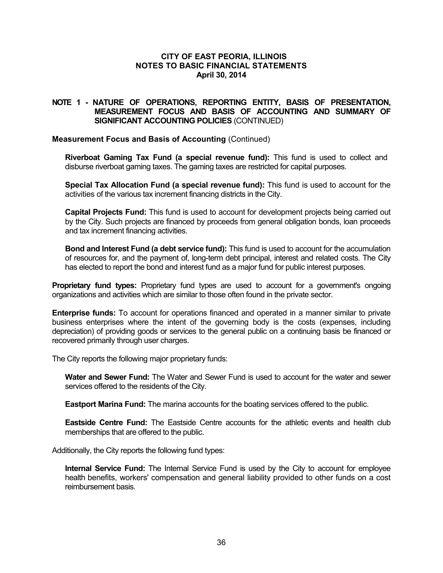## **NOTE 1 - NATURE OF OPERATIONS, REPORTING ENTITY, BASIS OF PRESENTATION, MEASUREMENT FOCUS AND BASIS OF ACCOUNTING AND SUMMARY OF SIGNIFICANT ACCOUNTING POLICIES** (CONTINUED)

### **Measurement Focus and Basis of Accounting** (Continued)

**Riverboat Gaming Tax Fund (a special revenue fund):** This fund is used to collect and disburse riverboat gaming taxes. The gaming taxes are restricted for capital purposes.

**Special Tax Allocation Fund (a special revenue fund):** This fund is used to account for the activities of the various tax increment financing districts in the City.

**Capital Projects Fund:** This fund is used to account for development projects being carried out by the City. Such projects are financed by proceeds from general obligation bonds, loan proceeds and tax increment financing activities.

**Bond and Interest Fund (a debt service fund):** This fund is used to account for the accumulation of resources for, and the payment of, long-term debt principal, interest and related costs. The City has elected to report the bond and interest fund as a major fund for public interest purposes.

**Proprietary fund types:** Proprietary fund types are used to account for a government's ongoing organizations and activities which are similar to those often found in the private sector.

**Enterprise funds:** To account for operations financed and operated in a manner similar to private business enterprises where the intent of the governing body is the costs (expenses, including depreciation) of providing goods or services to the general public on a continuing basis be financed or recovered primarily through user charges.

The City reports the following major proprietary funds:

**Water and Sewer Fund:** The Water and Sewer Fund is used to account for the water and sewer services offered to the residents of the City.

**Eastport Marina Fund:** The marina accounts for the boating services offered to the public.

**Eastside Centre Fund:** The Eastside Centre accounts for the athletic events and health club memberships that are offered to the public.

Additionally, the City reports the following fund types:

**Internal Service Fund:** The Internal Service Fund is used by the City to account for employee health benefits, workers' compensation and general liability provided to other funds on a cost reimbursement basis.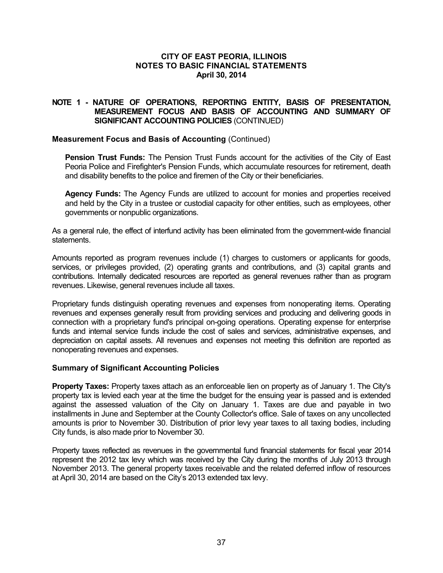## **NOTE 1 - NATURE OF OPERATIONS, REPORTING ENTITY, BASIS OF PRESENTATION, MEASUREMENT FOCUS AND BASIS OF ACCOUNTING AND SUMMARY OF SIGNIFICANT ACCOUNTING POLICIES** (CONTINUED)

### **Measurement Focus and Basis of Accounting** (Continued)

**Pension Trust Funds:** The Pension Trust Funds account for the activities of the City of East Peoria Police and Firefighter's Pension Funds, which accumulate resources for retirement, death and disability benefits to the police and firemen of the City or their beneficiaries.

**Agency Funds:** The Agency Funds are utilized to account for monies and properties received and held by the City in a trustee or custodial capacity for other entities, such as employees, other governments or nonpublic organizations.

As a general rule, the effect of interfund activity has been eliminated from the government-wide financial statements.

Amounts reported as program revenues include (1) charges to customers or applicants for goods, services, or privileges provided, (2) operating grants and contributions, and (3) capital grants and contributions. Internally dedicated resources are reported as general revenues rather than as program revenues. Likewise, general revenues include all taxes.

Proprietary funds distinguish operating revenues and expenses from nonoperating items. Operating revenues and expenses generally result from providing services and producing and delivering goods in connection with a proprietary fund's principal on-going operations. Operating expense for enterprise funds and internal service funds include the cost of sales and services, administrative expenses, and depreciation on capital assets. All revenues and expenses not meeting this definition are reported as nonoperating revenues and expenses.

### **Summary of Significant Accounting Policies**

**Property Taxes:** Property taxes attach as an enforceable lien on property as of January 1. The City's property tax is levied each year at the time the budget for the ensuing year is passed and is extended against the assessed valuation of the City on January 1. Taxes are due and payable in two installments in June and September at the County Collector's office. Sale of taxes on any uncollected amounts is prior to November 30. Distribution of prior levy year taxes to all taxing bodies, including City funds, is also made prior to November 30.

Property taxes reflected as revenues in the governmental fund financial statements for fiscal year 2014 represent the 2012 tax levy which was received by the City during the months of July 2013 through November 2013. The general property taxes receivable and the related deferred inflow of resources at April 30, 2014 are based on the City's 2013 extended tax levy.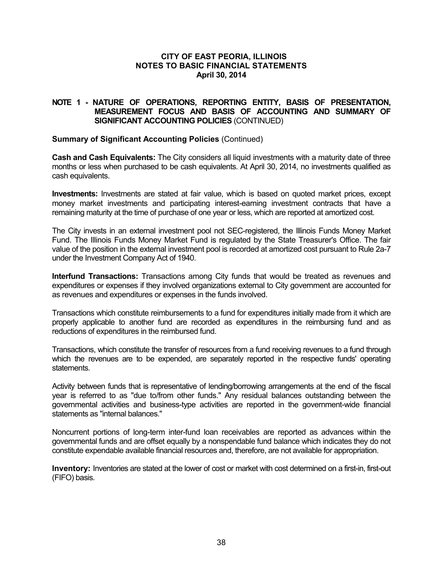## **NOTE 1 - NATURE OF OPERATIONS, REPORTING ENTITY, BASIS OF PRESENTATION, MEASUREMENT FOCUS AND BASIS OF ACCOUNTING AND SUMMARY OF SIGNIFICANT ACCOUNTING POLICIES** (CONTINUED)

### **Summary of Significant Accounting Policies** (Continued)

**Cash and Cash Equivalents:** The City considers all liquid investments with a maturity date of three months or less when purchased to be cash equivalents. At April 30, 2014, no investments qualified as cash equivalents.

**Investments:** Investments are stated at fair value, which is based on quoted market prices, except money market investments and participating interest-earning investment contracts that have a remaining maturity at the time of purchase of one year or less, which are reported at amortized cost.

The City invests in an external investment pool not SEC-registered, the Illinois Funds Money Market Fund. The Illinois Funds Money Market Fund is regulated by the State Treasurer's Office. The fair value of the position in the external investment pool is recorded at amortized cost pursuant to Rule 2a-7 under the Investment Company Act of 1940.

**Interfund Transactions:** Transactions among City funds that would be treated as revenues and expenditures or expenses if they involved organizations external to City government are accounted for as revenues and expenditures or expenses in the funds involved.

Transactions which constitute reimbursements to a fund for expenditures initially made from it which are properly applicable to another fund are recorded as expenditures in the reimbursing fund and as reductions of expenditures in the reimbursed fund.

Transactions, which constitute the transfer of resources from a fund receiving revenues to a fund through which the revenues are to be expended, are separately reported in the respective funds' operating statements.

Activity between funds that is representative of lending/borrowing arrangements at the end of the fiscal year is referred to as "due to/from other funds." Any residual balances outstanding between the governmental activities and business-type activities are reported in the government-wide financial statements as "internal balances."

Noncurrent portions of long-term inter-fund loan receivables are reported as advances within the governmental funds and are offset equally by a nonspendable fund balance which indicates they do not constitute expendable available financial resources and, therefore, are not available for appropriation.

**Inventory:** Inventories are stated at the lower of cost or market with cost determined on a first-in, first-out (FIFO) basis.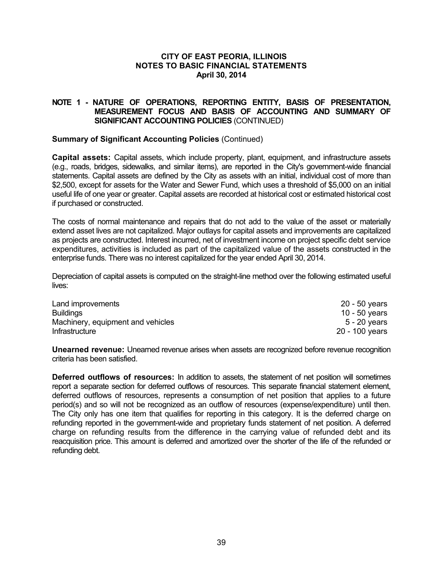## **NOTE 1 - NATURE OF OPERATIONS, REPORTING ENTITY, BASIS OF PRESENTATION, MEASUREMENT FOCUS AND BASIS OF ACCOUNTING AND SUMMARY OF SIGNIFICANT ACCOUNTING POLICIES** (CONTINUED)

### **Summary of Significant Accounting Policies** (Continued)

**Capital assets:** Capital assets, which include property, plant, equipment, and infrastructure assets (e.g., roads, bridges, sidewalks, and similar items), are reported in the City's government-wide financial statements. Capital assets are defined by the City as assets with an initial, individual cost of more than \$2,500, except for assets for the Water and Sewer Fund, which uses a threshold of \$5,000 on an initial useful life of one year or greater. Capital assets are recorded at historical cost or estimated historical cost if purchased or constructed.

The costs of normal maintenance and repairs that do not add to the value of the asset or materially extend asset lives are not capitalized. Major outlays for capital assets and improvements are capitalized as projects are constructed. Interest incurred, net of investment income on project specific debt service expenditures, activities is included as part of the capitalized value of the assets constructed in the enterprise funds. There was no interest capitalized for the year ended April 30, 2014.

Depreciation of capital assets is computed on the straight-line method over the following estimated useful lives:

| Land improvements                 | 20 - 50 years  |
|-----------------------------------|----------------|
| <b>Buildings</b>                  | 10 - 50 years  |
| Machinery, equipment and vehicles | $5 - 20$ years |
| Infrastructure                    | 20 - 100 years |

**Unearned revenue:** Unearned revenue arises when assets are recognized before revenue recognition criteria has been satisfied.

**Deferred outflows of resources:** In addition to assets, the statement of net position will sometimes report a separate section for deferred outflows of resources. This separate financial statement element, deferred outflows of resources, represents a consumption of net position that applies to a future period(s) and so will not be recognized as an outflow of resources (expense/expenditure) until then. The City only has one item that qualifies for reporting in this category. It is the deferred charge on refunding reported in the government-wide and proprietary funds statement of net position. A deferred charge on refunding results from the difference in the carrying value of refunded debt and its reacquisition price. This amount is deferred and amortized over the shorter of the life of the refunded or refunding debt.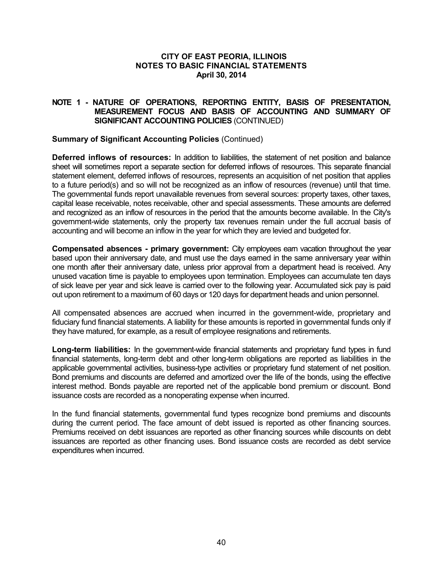## **NOTE 1 - NATURE OF OPERATIONS, REPORTING ENTITY, BASIS OF PRESENTATION, MEASUREMENT FOCUS AND BASIS OF ACCOUNTING AND SUMMARY OF SIGNIFICANT ACCOUNTING POLICIES** (CONTINUED)

### **Summary of Significant Accounting Policies** (Continued)

**Deferred inflows of resources:** In addition to liabilities, the statement of net position and balance sheet will sometimes report a separate section for deferred inflows of resources. This separate financial statement element, deferred inflows of resources, represents an acquisition of net position that applies to a future period(s) and so will not be recognized as an inflow of resources (revenue) until that time. The governmental funds report unavailable revenues from several sources: property taxes, other taxes, capital lease receivable, notes receivable, other and special assessments. These amounts are deferred and recognized as an inflow of resources in the period that the amounts become available. In the City's government-wide statements, only the property tax revenues remain under the full accrual basis of accounting and will become an inflow in the year for which they are levied and budgeted for.

**Compensated absences - primary government:** City employees earn vacation throughout the year based upon their anniversary date, and must use the days earned in the same anniversary year within one month after their anniversary date, unless prior approval from a department head is received. Any unused vacation time is payable to employees upon termination. Employees can accumulate ten days of sick leave per year and sick leave is carried over to the following year. Accumulated sick pay is paid out upon retirement to a maximum of 60 days or 120 days for department heads and union personnel.

All compensated absences are accrued when incurred in the government-wide, proprietary and fiduciary fund financial statements. A liability for these amounts is reported in governmental funds only if they have matured, for example, as a result of employee resignations and retirements.

**Long-term liabilities:** In the government-wide financial statements and proprietary fund types in fund financial statements, long-term debt and other long-term obligations are reported as liabilities in the applicable governmental activities, business-type activities or proprietary fund statement of net position. Bond premiums and discounts are deferred and amortized over the life of the bonds, using the effective interest method. Bonds payable are reported net of the applicable bond premium or discount. Bond issuance costs are recorded as a nonoperating expense when incurred.

In the fund financial statements, governmental fund types recognize bond premiums and discounts during the current period. The face amount of debt issued is reported as other financing sources. Premiums received on debt issuances are reported as other financing sources while discounts on debt issuances are reported as other financing uses. Bond issuance costs are recorded as debt service expenditures when incurred.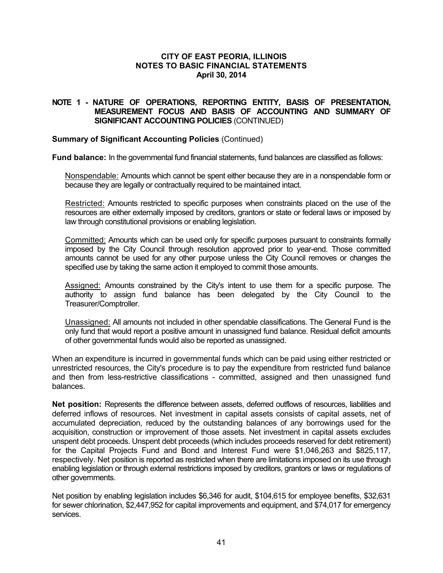## **NOTE 1 - NATURE OF OPERATIONS, REPORTING ENTITY, BASIS OF PRESENTATION, MEASUREMENT FOCUS AND BASIS OF ACCOUNTING AND SUMMARY OF SIGNIFICANT ACCOUNTING POLICIES** (CONTINUED)

## **Summary of Significant Accounting Policies** (Continued)

**Fund balance:** In the governmental fund financial statements, fund balances are classified as follows:

Nonspendable: Amounts which cannot be spent either because they are in a nonspendable form or because they are legally or contractually required to be maintained intact.

Restricted: Amounts restricted to specific purposes when constraints placed on the use of the resources are either externally imposed by creditors, grantors or state or federal laws or imposed by law through constitutional provisions or enabling legislation.

Committed: Amounts which can be used only for specific purposes pursuant to constraints formally imposed by the City Council through resolution approved prior to year-end. Those committed amounts cannot be used for any other purpose unless the City Council removes or changes the specified use by taking the same action it employed to commit those amounts.

Assigned: Amounts constrained by the City's intent to use them for a specific purpose. The authority to assign fund balance has been delegated by the City Council to the Treasurer/Comptroller.

Unassigned: All amounts not included in other spendable classifications. The General Fund is the only fund that would report a positive amount in unassigned fund balance. Residual deficit amounts of other governmental funds would also be reported as unassigned.

When an expenditure is incurred in governmental funds which can be paid using either restricted or unrestricted resources, the City's procedure is to pay the expenditure from restricted fund balance and then from less-restrictive classifications - committed, assigned and then unassigned fund balances.

**Net position:** Represents the difference between assets, deferred outflows of resources, liabilities and deferred inflows of resources. Net investment in capital assets consists of capital assets, net of accumulated depreciation, reduced by the outstanding balances of any borrowings used for the acquisition, construction or improvement of those assets. Net investment in capital assets excludes unspent debt proceeds. Unspent debt proceeds (which includes proceeds reserved for debt retirement) for the Capital Projects Fund and Bond and Interest Fund were \$1,046,263 and \$825,117, respectively. Net position is reported as restricted when there are limitations imposed on its use through enabling legislation or through external restrictions imposed by creditors, grantors or laws or regulations of other governments.

Net position by enabling legislation includes \$6,346 for audit, \$104,615 for employee benefits, \$32,631 for sewer chlorination, \$2,447,952 for capital improvements and equipment, and \$74,017 for emergency services.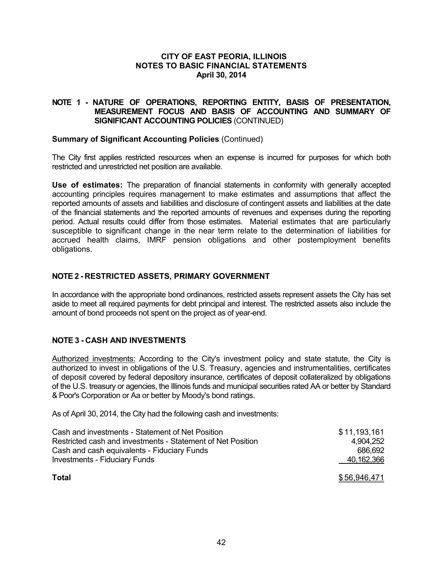## **NOTE 1 - NATURE OF OPERATIONS, REPORTING ENTITY, BASIS OF PRESENTATION, MEASUREMENT FOCUS AND BASIS OF ACCOUNTING AND SUMMARY OF SIGNIFICANT ACCOUNTING POLICIES** (CONTINUED)

### **Summary of Significant Accounting Policies** (Continued)

The City first applies restricted resources when an expense is incurred for purposes for which both restricted and unrestricted net position are available.

**Use of estimates:** The preparation of financial statements in conformity with generally accepted accounting principles requires management to make estimates and assumptions that affect the reported amounts of assets and liabilities and disclosure of contingent assets and liabilities at the date of the financial statements and the reported amounts of revenues and expenses during the reporting period. Actual results could differ from those estimates. Material estimates that are particularly susceptible to significant change in the near term relate to the determination of liabilities for accrued health claims, IMRF pension obligations and other postemployment benefits obligations.

## **NOTE 2 - RESTRICTED ASSETS, PRIMARY GOVERNMENT**

In accordance with the appropriate bond ordinances, restricted assets represent assets the City has set aside to meet all required payments for debt principal and interest. The restricted assets also include the amount of bond proceeds not spent on the project as of year-end.

## **NOTE 3 - CASH AND INVESTMENTS**

Authorized investments: According to the City's investment policy and state statute, the City is authorized to invest in obligations of the U.S. Treasury, agencies and instrumentalities, certificates of deposit covered by federal depository insurance, certificates of deposit collateralized by obligations of the U.S. treasury or agencies, the Illinois funds and municipal securities rated AA or better by Standard & Poor's Corporation or Aa or better by Moody's bond ratings.

As of April 30, 2014, the City had the following cash and investments:

| Cash and investments - Statement of Net Position            | \$11,193,161 |
|-------------------------------------------------------------|--------------|
| Restricted cash and investments - Statement of Net Position | 4.904.252    |
| Cash and cash equivalents - Fiduciary Funds                 | 686.692      |
| <b>Investments - Fiduciary Funds</b>                        | 40,162,366   |
| <b>Total</b>                                                | \$56,946,471 |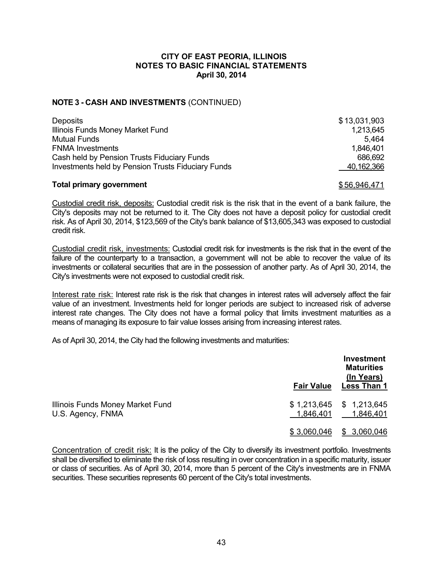## **NOTE 3 - CASH AND INVESTMENTS** (CONTINUED)

| <b>Deposits</b>                                           | \$13,031,903 |
|-----------------------------------------------------------|--------------|
| Illinois Funds Money Market Fund                          | 1,213,645    |
| <b>Mutual Funds</b>                                       | 5.464        |
| <b>FNMA Investments</b>                                   | 1,846,401    |
| Cash held by Pension Trusts Fiduciary Funds               | 686,692      |
| <b>Investments held by Pension Trusts Fiduciary Funds</b> | 40,162,366   |

### **Total primary government**  $$56,946,471$

Custodial credit risk, deposits: Custodial credit risk is the risk that in the event of a bank failure, the City's deposits may not be returned to it. The City does not have a deposit policy for custodial credit risk. As of April 30, 2014, \$123,569 of the City's bank balance of \$13,605,343 was exposed to custodial credit risk.

Custodial credit risk, investments: Custodial credit risk for investments is the risk that in the event of the failure of the counterparty to a transaction, a government will not be able to recover the value of its investments or collateral securities that are in the possession of another party. As of April 30, 2014, the City's investments were not exposed to custodial credit risk.

Interest rate risk: Interest rate risk is the risk that changes in interest rates will adversely affect the fair value of an investment. Investments held for longer periods are subject to increased risk of adverse interest rate changes. The City does not have a formal policy that limits investment maturities as a means of managing its exposure to fair value losses arising from increasing interest rates.

As of April 30, 2014, the City had the following investments and maturities:

|                                                       | <b>Fair Value</b> | Investment<br><b>Maturities</b><br>(In Years)<br><b>Less Than 1</b> |
|-------------------------------------------------------|-------------------|---------------------------------------------------------------------|
| Illinois Funds Money Market Fund<br>U.S. Agency, FNMA | 1,846,401         | $$1,213,645$ $$1,213,645$<br>1,846,401                              |
|                                                       | \$3,060,046       | \$3,060,046                                                         |

Concentration of credit risk: It is the policy of the City to diversify its investment portfolio. Investments shall be diversified to eliminate the risk of loss resulting in over concentration in a specific maturity, issuer or class of securities. As of April 30, 2014, more than 5 percent of the City's investments are in FNMA securities. These securities represents 60 percent of the City's total investments.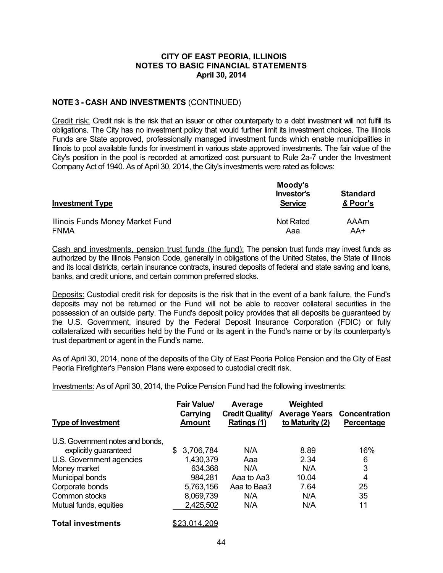## **NOTE 3 - CASH AND INVESTMENTS** (CONTINUED)

Credit risk: Credit risk is the risk that an issuer or other counterparty to a debt investment will not fulfill its obligations. The City has no investment policy that would further limit its investment choices. The Illinois Funds are State approved, professionally managed investment funds which enable municipalities in Illinois to pool available funds for investment in various state approved investments. The fair value of the City's position in the pool is recorded at amortized cost pursuant to Rule 2a-7 under the Investment Company Act of 1940. As of April 30, 2014, the City's investments were rated as follows:

| <b>Investment Type</b>           | Moody's<br>Investor's<br><b>Service</b> | <b>Standard</b><br>& Poor's |  |
|----------------------------------|-----------------------------------------|-----------------------------|--|
| Illinois Funds Money Market Fund | <b>Not Rated</b>                        | AAAm                        |  |
| <b>FNMA</b>                      | Aaa                                     | AA+                         |  |

Cash and investments, pension trust funds (the fund): The pension trust funds may invest funds as authorized by the Illinois Pension Code, generally in obligations of the United States, the State of Illinois and its local districts, certain insurance contracts, insured deposits of federal and state saving and loans, banks, and credit unions, and certain common preferred stocks.

Deposits: Custodial credit risk for deposits is the risk that in the event of a bank failure, the Fund's deposits may not be returned or the Fund will not be able to recover collateral securities in the possession of an outside party. The Fund's deposit policy provides that all deposits be guaranteed by the U.S. Government, insured by the Federal Deposit Insurance Corporation (FDIC) or fully collateralized with securities held by the Fund or its agent in the Fund's name or by its counterparty's trust department or agent in the Fund's name.

As of April 30, 2014, none of the deposits of the City of East Peoria Police Pension and the City of East Peoria Firefighter's Pension Plans were exposed to custodial credit risk.

Investments: As of April 30, 2014, the Police Pension Fund had the following investments:

| <b>Type of Investment</b>        | <b>Fair Value/</b><br>Carrying<br><b>Amount</b> | Average<br><b>Credit Quality/</b><br>Ratings (1) | Weighted<br><b>Average Years Concentration</b><br>to Maturity (2) | Percentage |
|----------------------------------|-------------------------------------------------|--------------------------------------------------|-------------------------------------------------------------------|------------|
| U.S. Government notes and bonds, |                                                 |                                                  |                                                                   |            |
| explicitly guaranteed            | 3,706,784<br>S.                                 | N/A                                              | 8.89                                                              | 16%        |
| U.S. Government agencies         | 1,430,379                                       | Aaa                                              | 2.34                                                              | 6          |
| Money market                     | 634,368                                         | N/A                                              | N/A                                                               | 3          |
| Municipal bonds                  | 984,281                                         | Aaa to Aa3                                       | 10.04                                                             | 4          |
| Corporate bonds                  | 5,763,156                                       | Aaa to Baa3                                      | 7.64                                                              | 25         |
| Common stocks                    | 8,069,739                                       | N/A                                              | N/A                                                               | 35         |
| Mutual funds, equities           | 2,425,502                                       | N/A                                              | N/A                                                               | 11         |
| <b>Total investments</b>         | <u>\$23.014.209</u>                             |                                                  |                                                                   |            |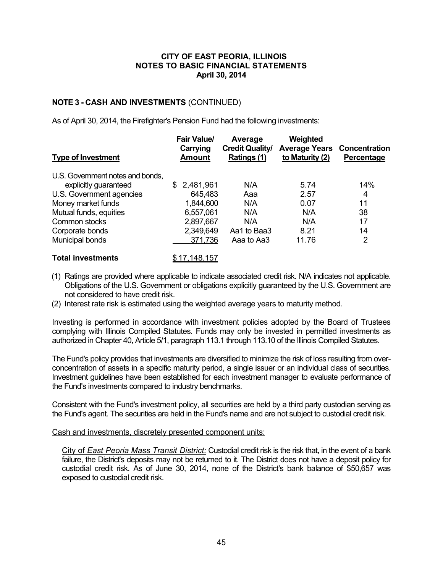## **NOTE 3 - CASH AND INVESTMENTS** (CONTINUED)

As of April 30, 2014, the Firefighter's Pension Fund had the following investments:

| <b>Type of Investment</b>        | <b>Fair Value/</b><br>Carrying<br><b>Amount</b> | Average<br><b>Credit Quality/</b><br>Ratings (1) | Weighted<br><b>Average Years Concentration</b><br>to Maturity (2) | Percentage |
|----------------------------------|-------------------------------------------------|--------------------------------------------------|-------------------------------------------------------------------|------------|
| U.S. Government notes and bonds, |                                                 |                                                  |                                                                   |            |
| explicitly guaranteed            | \$2,481,961                                     | N/A                                              | 5.74                                                              | 14%        |
| U.S. Government agencies         | 645,483                                         | Aaa                                              | 2.57                                                              | 4          |
| Money market funds               | 1,844,600                                       | N/A                                              | 0.07                                                              | 11         |
| Mutual funds, equities           | 6,557,061                                       | N/A                                              | N/A                                                               | 38         |
| Common stocks                    | 2,897,667                                       | N/A                                              | N/A                                                               | 17         |
| Corporate bonds                  | 2,349,649                                       | Aa1 to Baa3                                      | 8.21                                                              | 14         |
| Municipal bonds                  | 371,736                                         | Aaa to Aa3                                       | 11.76                                                             | 2          |

## **Total investments** \$17,148,157

- (1) Ratings are provided where applicable to indicate associated credit risk. N/A indicates not applicable. Obligations of the U.S. Government or obligations explicitly guaranteed by the U.S. Government are not considered to have credit risk.
- (2) Interest rate risk is estimated using the weighted average years to maturity method.

Investing is performed in accordance with investment policies adopted by the Board of Trustees complying with Illinois Compiled Statutes. Funds may only be invested in permitted investments as authorized in Chapter 40, Article 5/1, paragraph 113.1 through 113.10 of the Illinois Compiled Statutes.

The Fund's policy provides that investments are diversified to minimize the risk of loss resulting from overconcentration of assets in a specific maturity period, a single issuer or an individual class of securities. Investment guidelines have been established for each investment manager to evaluate performance of the Fund's investments compared to industry benchmarks.

Consistent with the Fund's investment policy, all securities are held by a third party custodian serving as the Fund's agent. The securities are held in the Fund's name and are not subject to custodial credit risk.

### Cash and investments, discretely presented component units:

City of *East Peoria Mass Transit District:* Custodial credit risk is the risk that, in the event of a bank failure, the District's deposits may not be returned to it. The District does not have a deposit policy for custodial credit risk. As of June 30, 2014, none of the District's bank balance of \$50,657 was exposed to custodial credit risk.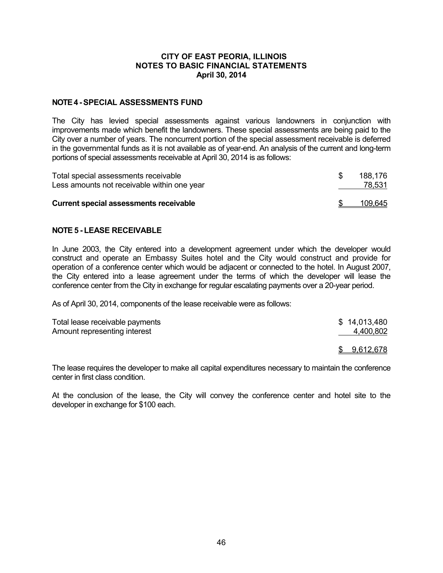### **NOTE 4 -SPECIAL ASSESSMENTS FUND**

The City has levied special assessments against various landowners in conjunction with improvements made which benefit the landowners. These special assessments are being paid to the City over a number of years. The noncurrent portion of the special assessment receivable is deferred in the governmental funds as it is not available as of year-end. An analysis of the current and long-term portions of special assessments receivable at April 30, 2014 is as follows:

| Total special assessments receivable<br>Less amounts not receivable within one year | 188.176<br>78,531 |
|-------------------------------------------------------------------------------------|-------------------|
| <b>Current special assessments receivable</b>                                       | 109,645           |

## **NOTE 5 - LEASE RECEIVABLE**

In June 2003, the City entered into a development agreement under which the developer would construct and operate an Embassy Suites hotel and the City would construct and provide for operation of a conference center which would be adjacent or connected to the hotel. In August 2007, the City entered into a lease agreement under the terms of which the developer will lease the conference center from the City in exchange for regular escalating payments over a 20-year period.

As of April 30, 2014, components of the lease receivable were as follows:

| Total lease receivable payments | \$14,013,480     |
|---------------------------------|------------------|
| Amount representing interest    | 4,400,802        |
|                                 | <u>9,612,678</u> |

The lease requires the developer to make all capital expenditures necessary to maintain the conference center in first class condition.

At the conclusion of the lease, the City will convey the conference center and hotel site to the developer in exchange for \$100 each.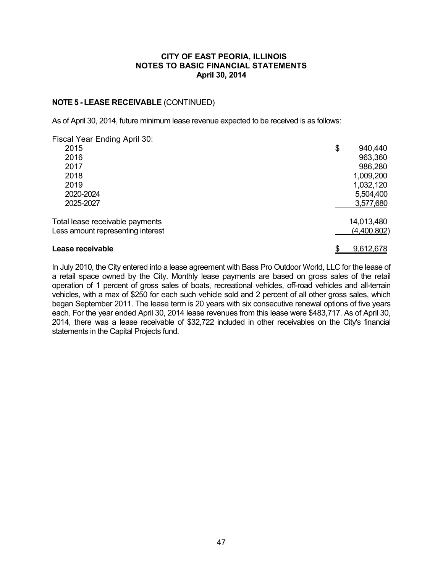## **NOTE 5 - LEASE RECEIVABLE** (CONTINUED)

As of April 30, 2014, future minimum lease revenue expected to be received is as follows:

| Fiscal Year Ending April 30:      |               |
|-----------------------------------|---------------|
| 2015                              | \$<br>940,440 |
| 2016                              | 963,360       |
| 2017                              | 986,280       |
| 2018                              | 1,009,200     |
| 2019                              | 1,032,120     |
| 2020-2024                         | 5,504,400     |
| 2025-2027                         | 3,577,680     |
| Total lease receivable payments   | 14,013,480    |
| Less amount representing interest | (4,400,802)   |
| Lease receivable                  | 9,612,678     |

In July 2010, the City entered into a lease agreement with Bass Pro Outdoor World, LLC for the lease of a retail space owned by the City. Monthly lease payments are based on gross sales of the retail operation of 1 percent of gross sales of boats, recreational vehicles, off-road vehicles and all-terrain vehicles, with a max of \$250 for each such vehicle sold and 2 percent of all other gross sales, which began September 2011. The lease term is 20 years with six consecutive renewal options of five years each. For the year ended April 30, 2014 lease revenues from this lease were \$483,717. As of April 30, 2014, there was a lease receivable of \$32,722 included in other receivables on the City's financial statements in the Capital Projects fund.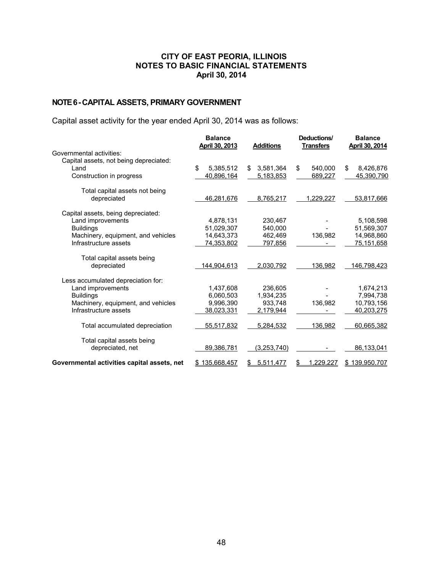# **NOTE 6 -CAPITAL ASSETS, PRIMARY GOVERNMENT**

Capital asset activity for the year ended April 30, 2014 was as follows:

|                                             | <b>Balance</b><br>April 30, 2013 | <b>Additions</b> | Deductions/<br><b>Transfers</b> | <b>Balance</b><br>April 30, 2014 |
|---------------------------------------------|----------------------------------|------------------|---------------------------------|----------------------------------|
| Governmental activities:                    |                                  |                  |                                 |                                  |
| Capital assets, not being depreciated:      |                                  |                  |                                 |                                  |
| Land                                        | \$.<br>5,385,512                 | 3,581,364<br>\$  | \$<br>540.000                   | \$<br>8,426,876                  |
| Construction in progress                    | 40,896,164                       | 5,183,853        | 689,227                         | 45,390,790                       |
| Total capital assets not being              |                                  |                  |                                 |                                  |
| depreciated                                 | 46,281,676                       | 8,765,217        | 1,229,227                       | 53,817,666                       |
| Capital assets, being depreciated:          |                                  |                  |                                 |                                  |
| Land improvements                           | 4,878,131                        | 230,467          |                                 | 5,108,598                        |
| <b>Buildings</b>                            | 51.029.307                       | 540.000          |                                 | 51,569,307                       |
| Machinery, equipment, and vehicles          | 14.643.373                       | 462,469          | 136,982                         | 14,968,860                       |
| Infrastructure assets                       | 74,353,802                       | <u>797,856</u>   |                                 | 75,151,658                       |
| Total capital assets being                  |                                  |                  |                                 |                                  |
| depreciated                                 | <u>144,904,613</u>               | 2,030,792        | 136,982                         | <u>146,798,423</u>               |
| Less accumulated depreciation for:          |                                  |                  |                                 |                                  |
| Land improvements                           | 1,437,608                        | 236.605          |                                 | 1,674,213                        |
| <b>Buildings</b>                            | 6.060.503                        | 1.934.235        |                                 | 7,994,738                        |
| Machinery, equipment, and vehicles          | 9.996.390                        | 933.748          | 136,982                         | 10,793,156                       |
| Infrastructure assets                       | 38,023,331                       | 2,179,944        |                                 | 40,203,275                       |
| Total accumulated depreciation              | 55,517,832                       | 5,284,532        | 136,982                         | 60,665,382                       |
| Total capital assets being                  |                                  |                  |                                 |                                  |
| depreciated, net                            | 89,386,781                       | (3,253,740)      |                                 | 86,133,041                       |
| Governmental activities capital assets, net | \$135.668.457                    | 5.511.477<br>\$  | 1,229,227<br>S                  | \$139.950.707                    |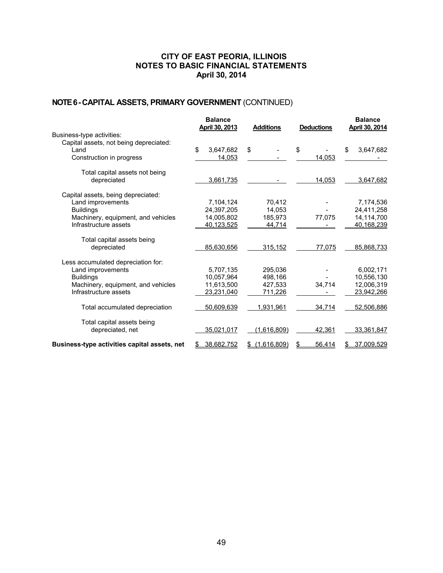# **NOTE 6 -CAPITAL ASSETS, PRIMARY GOVERNMENT** (CONTINUED)

|                                              | <b>Balance</b><br>April 30, 2013 | <b>Additions</b>  | <b>Deductions</b> | <b>Balance</b><br>April 30, 2014 |
|----------------------------------------------|----------------------------------|-------------------|-------------------|----------------------------------|
| Business-type activities:                    |                                  |                   |                   |                                  |
| Capital assets, not being depreciated:       |                                  |                   |                   |                                  |
| Land                                         | \$<br>3,647,682                  | \$                | \$                | \$<br>3,647,682                  |
| Construction in progress                     | 14,053                           |                   | 14,053            |                                  |
| Total capital assets not being               |                                  |                   |                   |                                  |
| depreciated                                  | 3,661,735                        |                   | 14,053            | 3,647,682                        |
| Capital assets, being depreciated:           |                                  |                   |                   |                                  |
| Land improvements                            | 7,104,124                        | 70,412            |                   | 7,174,536                        |
| <b>Buildings</b>                             | 24,397,205                       | 14,053            |                   | 24,411,258                       |
| Machinery, equipment, and vehicles           | 14,005,802                       | 185,973           | 77,075            | 14,114,700                       |
| Infrastructure assets                        | 40,123,525                       | 44,714            |                   | 40,168,239                       |
| Total capital assets being                   |                                  |                   |                   |                                  |
| depreciated                                  | 85,630,656                       | 315,152           | 77,075            | 85,868,733                       |
| Less accumulated depreciation for:           |                                  |                   |                   |                                  |
| Land improvements                            | 5.707.135                        | 295.036           |                   | 6.002.171                        |
| <b>Buildings</b>                             | 10,057,964                       | 498,166           |                   | 10,556,130                       |
| Machinery, equipment, and vehicles           | 11.613.500                       | 427.533           | 34,714            | 12,006,319                       |
| Infrastructure assets                        | 23,231,040                       | 711,226           |                   | 23,942,266                       |
| Total accumulated depreciation               | 50,609,639                       | 1,931,961         | 34,714            | 52,506,886                       |
| Total capital assets being                   |                                  |                   |                   |                                  |
| depreciated, net                             | 35,021,017                       | (1,616,809)       | 42,361            | 33,361,847                       |
| Business-type activities capital assets, net | 38,682,752                       | (1,616,809)<br>\$ | 56,414<br>S       | 37,009,529                       |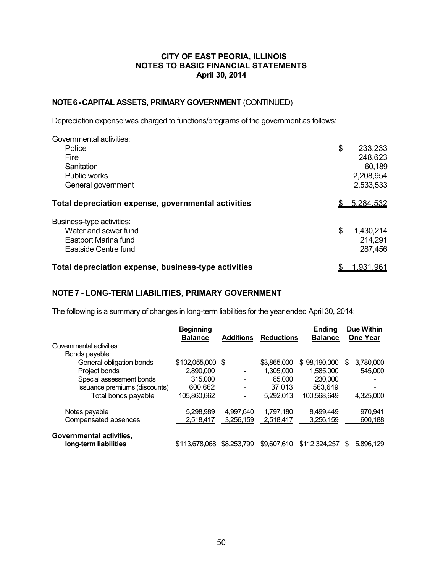## **NOTE 6 -CAPITAL ASSETS, PRIMARY GOVERNMENT** (CONTINUED)

Depreciation expense was charged to functions/programs of the government as follows:

| Governmental activities:                             |                 |
|------------------------------------------------------|-----------------|
| Police                                               | \$<br>233,233   |
| Fire                                                 | 248,623         |
| Sanitation                                           | 60,189          |
| Public works                                         | 2,208,954       |
| General government                                   | 2,533,533       |
| Total depreciation expense, governmental activities  | 5,284,532       |
| Business-type activities:                            |                 |
| Water and sewer fund                                 | \$<br>1,430,214 |
| Eastport Marina fund                                 | 214,291         |
| Eastside Centre fund                                 | 287,456         |
| Total depreciation expense, business-type activities | 1,931,961       |

## **NOTE 7 - LONG-TERM LIABILITIES, PRIMARY GOVERNMENT**

The following is a summary of changes in long-term liabilities for the year ended April 30, 2014:

|                               | <b>Beginning</b><br><b>Balance</b> | <b>Additions</b> | <b>Reductions</b> | Ending<br><b>Balance</b> | <b>Due Within</b><br><b>One Year</b> |
|-------------------------------|------------------------------------|------------------|-------------------|--------------------------|--------------------------------------|
| Governmental activities:      |                                    |                  |                   |                          |                                      |
| Bonds payable:                |                                    |                  |                   |                          |                                      |
| General obligation bonds      | \$102,055,000                      | - \$             | \$3,865,000       | \$98,190,000             | 3,780,000<br>S                       |
| Project bonds                 | 2,890,000                          |                  | 1,305,000         | 1.585.000                | 545,000                              |
| Special assessment bonds      | 315,000                            |                  | 85,000            | 230,000                  |                                      |
| Issuance premiums (discounts) | 600.662                            |                  | 37.013            | 563.649                  |                                      |
| Total bonds payable           | 105.860.662                        |                  | 5.292.013         | 100.568.649              | 4,325,000                            |
| Notes payable                 | 5.298.989                          | 4.997.640        | 1,797,180         | 8,499,449                | 970,941                              |
| Compensated absences          | 2,518,417                          | 3,256,159        | 2,518,417         | 3,256,159                | 600,188                              |
| Governmental activities,      |                                    |                  |                   |                          |                                      |
| long-term liabilities         | \$113,678,068                      | \$8,253,799      | \$9,607,610       | \$112,324,257            | 5,896,129<br>S                       |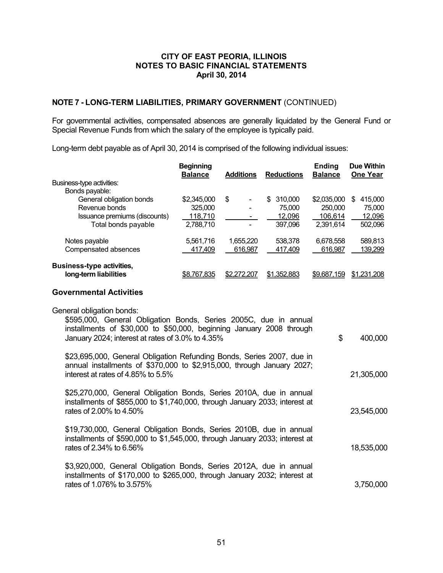## **NOTE 7 - LONG-TERM LIABILITIES, PRIMARY GOVERNMENT** (CONTINUED)

For governmental activities, compensated absences are generally liquidated by the General Fund or Special Revenue Funds from which the salary of the employee is typically paid.

Long-term debt payable as of April 30, 2014 is comprised of the following individual issues:

|                                  | <b>Beginning</b><br><b>Balance</b> | <b>Additions</b>               | <b>Reductions</b>  | <b>Ending</b><br><b>Balance</b> | <b>Due Within</b><br>One Year |
|----------------------------------|------------------------------------|--------------------------------|--------------------|---------------------------------|-------------------------------|
| Business-type activities:        |                                    |                                |                    |                                 |                               |
| Bonds payable:                   |                                    |                                |                    |                                 |                               |
| General obligation bonds         | \$2,345,000                        | \$<br>$\overline{\phantom{a}}$ | 310,000<br>\$.     | \$2,035,000                     | 415,000<br>S                  |
| Revenue bonds                    | 325,000                            |                                | 75,000             | 250,000                         | 75,000                        |
| Issuance premiums (discounts)    | 118,710                            |                                | 12,096             | 106.614                         | 12,096                        |
| Total bonds payable              | 2,788,710                          |                                | 397,096            | 2.391.614                       | 502,096                       |
| Notes payable                    | 5.561.716                          | 1,655,220                      | 538,378            | 6,678,558                       | 589,813                       |
| Compensated absences             | 417,409                            | 616,987                        | 417,409            | 616,987                         | 139,299                       |
| <b>Business-type activities,</b> |                                    |                                |                    |                                 |                               |
| long-term liabilities            | \$8,767,835                        | \$2,272,207                    | <u>\$1,352,883</u> | \$9,687,159                     | \$1.231.208                   |

### **Governmental Activities**

| General obligation bonds:<br>\$595,000, General Obligation Bonds, Series 2005C, due in annual                                                                                         |               |
|---------------------------------------------------------------------------------------------------------------------------------------------------------------------------------------|---------------|
| installments of \$30,000 to \$50,000, beginning January 2008 through<br>January 2024; interest at rates of 3.0% to 4.35%                                                              | \$<br>400,000 |
| \$23,695,000, General Obligation Refunding Bonds, Series 2007, due in<br>annual installments of \$370,000 to \$2,915,000, through January 2027;<br>interest at rates of 4.85% to 5.5% | 21,305,000    |
| \$25,270,000, General Obligation Bonds, Series 2010A, due in annual<br>installments of \$855,000 to \$1,740,000, through January 2033; interest at<br>rates of 2,00% to 4,50%         | 23,545,000    |
| \$19,730,000, General Obligation Bonds, Series 2010B, due in annual<br>installments of \$590,000 to \$1,545,000, through January 2033; interest at<br>rates of 2.34% to 6.56%         | 18,535,000    |
| \$3,920,000, General Obligation Bonds, Series 2012A, due in annual<br>installments of \$170,000 to \$265,000, through January 2032; interest at<br>rates of 1.076% to 3.575%          | 3,750,000     |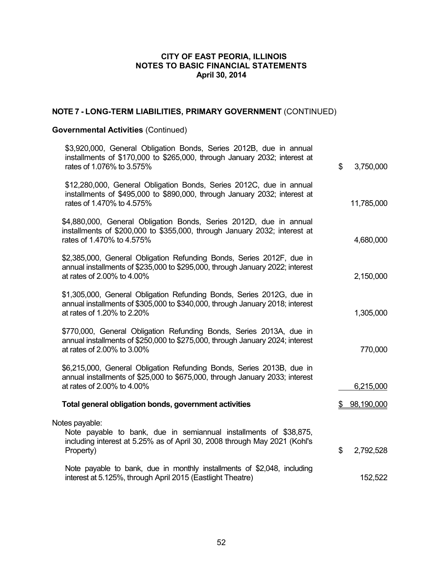# **NOTE 7 - LONG-TERM LIABILITIES, PRIMARY GOVERNMENT** (CONTINUED)

# **Governmental Activities** (Continued)

| \$<br>3,750,000              | \$3,920,000, General Obligation Bonds, Series 2012B, due in annual<br>installments of \$170,000 to \$265,000, through January 2032; interest at<br>rates of 1.076% to 3.575%         |  |
|------------------------------|--------------------------------------------------------------------------------------------------------------------------------------------------------------------------------------|--|
| 11,785,000                   | \$12,280,000, General Obligation Bonds, Series 2012C, due in annual<br>installments of \$495,000 to \$890,000, through January 2032; interest at<br>rates of 1.470% to 4.575%        |  |
| 4,680,000                    | \$4,880,000, General Obligation Bonds, Series 2012D, due in annual<br>installments of \$200,000 to \$355,000, through January 2032; interest at<br>rates of 1.470% to 4.575%         |  |
| 2,150,000                    | \$2,385,000, General Obligation Refunding Bonds, Series 2012F, due in<br>annual installments of \$235,000 to \$295,000, through January 2022; interest<br>at rates of 2.00% to 4.00% |  |
| 1,305,000                    | \$1,305,000, General Obligation Refunding Bonds, Series 2012G, due in<br>annual installments of \$305,000 to \$340,000, through January 2018; interest<br>at rates of 1.20% to 2.20% |  |
| 770,000                      | \$770,000, General Obligation Refunding Bonds, Series 2013A, due in<br>annual installments of \$250,000 to \$275,000, through January 2024; interest<br>at rates of 2.00% to 3.00%   |  |
| 6,215,000                    | \$6,215,000, General Obligation Refunding Bonds, Series 2013B, due in<br>annual installments of \$25,000 to \$675,000, through January 2033; interest<br>at rates of 2.00% to 4.00%  |  |
| 98,190,000<br>$\mathbb{S}^-$ | Total general obligation bonds, government activities                                                                                                                                |  |
| \$<br>2,792,528              | Notes payable:<br>Note payable to bank, due in semiannual installments of \$38,875,<br>including interest at 5.25% as of April 30, 2008 through May 2021 (Kohl's<br>Property)        |  |
| 152,522                      | Note payable to bank, due in monthly installments of \$2,048, including<br>interest at 5.125%, through April 2015 (Eastlight Theatre)                                                |  |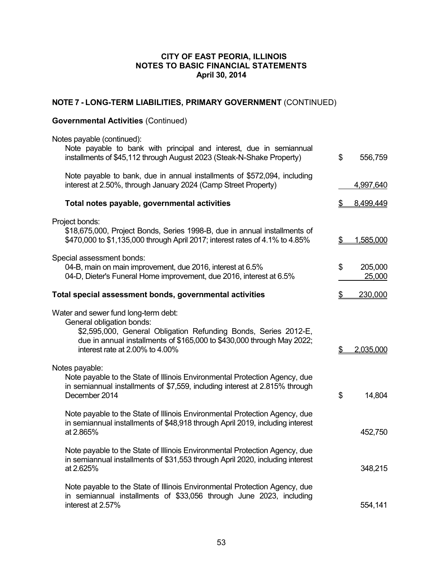# **NOTE 7 - LONG-TERM LIABILITIES, PRIMARY GOVERNMENT** (CONTINUED)

# **Governmental Activities** (Continued)

| Notes payable (continued):                                                                                                                                                                                                                        |    |                   |
|---------------------------------------------------------------------------------------------------------------------------------------------------------------------------------------------------------------------------------------------------|----|-------------------|
| Note payable to bank with principal and interest, due in semiannual<br>installments of \$45,112 through August 2023 (Steak-N-Shake Property)                                                                                                      | \$ | 556,759           |
| Note payable to bank, due in annual installments of \$572,094, including<br>interest at 2.50%, through January 2024 (Camp Street Property)                                                                                                        |    | 4,997,640         |
| Total notes payable, governmental activities                                                                                                                                                                                                      |    | 8,499,449         |
| Project bonds:<br>\$18,675,000, Project Bonds, Series 1998-B, due in annual installments of<br>\$470,000 to \$1,135,000 through April 2017; interest rates of 4.1% to 4.85%                                                                       | \$ | 1,585,000         |
| Special assessment bonds:<br>04-B, main on main improvement, due 2016, interest at 6.5%<br>04-D, Dieter's Funeral Home improvement, due 2016, interest at 6.5%                                                                                    | \$ | 205,000<br>25,000 |
| Total special assessment bonds, governmental activities                                                                                                                                                                                           | 2  | 230,000           |
| Water and sewer fund long-term debt:<br>General obligation bonds:<br>\$2,595,000, General Obligation Refunding Bonds, Series 2012-E,<br>due in annual installments of \$165,000 to \$430,000 through May 2022;<br>interest rate at 2.00% to 4.00% | \$ | 2,035,000         |
| Notes payable:<br>Note payable to the State of Illinois Environmental Protection Agency, due<br>in semiannual installments of \$7,559, including interest at 2.815% through<br>December 2014                                                      | \$ | 14,804            |
| Note payable to the State of Illinois Environmental Protection Agency, due<br>in semiannual installments of \$48,918 through April 2019, including interest<br>at 2.865%                                                                          |    | 452,750           |
| Note payable to the State of Illinois Environmental Protection Agency, due<br>in semiannual installments of \$31,553 through April 2020, including interest<br>at 2.625%                                                                          |    | 348,215           |
| Note payable to the State of Illinois Environmental Protection Agency, due<br>in semiannual installments of \$33,056 through June 2023, including<br>interest at 2.57%                                                                            |    | 554,141           |
|                                                                                                                                                                                                                                                   |    |                   |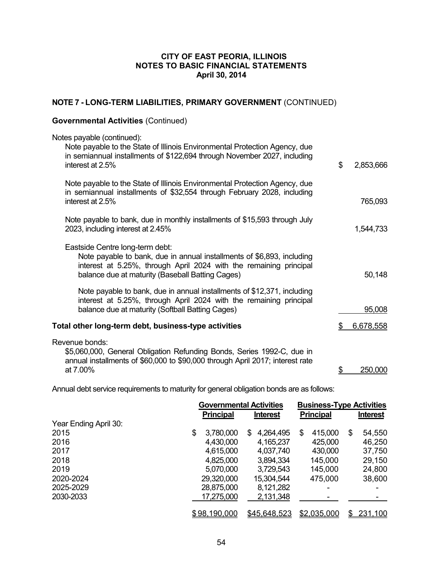# **NOTE 7 - LONG-TERM LIABILITIES, PRIMARY GOVERNMENT** (CONTINUED)

# **Governmental Activities** (Continued)

| Notes payable (continued):<br>Note payable to the State of Illinois Environmental Protection Agency, due<br>in semiannual installments of \$122,694 through November 2027, including<br>interest at 2.5%                            | \$<br>2,853,666 |
|-------------------------------------------------------------------------------------------------------------------------------------------------------------------------------------------------------------------------------------|-----------------|
| Note payable to the State of Illinois Environmental Protection Agency, due<br>in semiannual installments of \$32,554 through February 2028, including<br>interest at 2.5%                                                           | 765,093         |
| Note payable to bank, due in monthly installments of \$15,593 through July<br>2023, including interest at 2.45%                                                                                                                     | 1,544,733       |
| Eastside Centre long-term debt:<br>Note payable to bank, due in annual installments of \$6,893, including<br>interest at 5.25%, through April 2024 with the remaining principal<br>balance due at maturity (Baseball Batting Cages) | 50,148          |
| Note payable to bank, due in annual installments of \$12,371, including<br>interest at 5.25%, through April 2024 with the remaining principal<br>balance due at maturity (Softball Batting Cages)                                   | 95,008          |
| Total other long-term debt, business-type activities                                                                                                                                                                                | 6,678,558       |
| Revenue bonds:<br>\$5,060,000, General Obligation Refunding Bonds, Series 1992-C, due in<br>annual installments of \$60,000 to \$90,000 through April 2017; interest rate<br>at 7.00%                                               | 250,000         |

Annual debt service requirements to maturity for general obligation bonds are as follows:

|                       | <b>Governmental Activities</b> |                 | <b>Business-Type Activities</b> |                 |
|-----------------------|--------------------------------|-----------------|---------------------------------|-----------------|
|                       | <b>Principal</b>               | <b>Interest</b> | <b>Principal</b>                | <b>Interest</b> |
| Year Ending April 30: |                                |                 |                                 |                 |
| 2015                  | 3,780,000<br>\$                | 4,264,495<br>S. | 415,000<br>S                    | \$<br>54,550    |
| 2016                  | 4,430,000                      | 4,165,237       | 425,000                         | 46,250          |
| 2017                  | 4,615,000                      | 4,037,740       | 430,000                         | 37,750          |
| 2018                  | 4,825,000                      | 3,894,334       | 145,000                         | 29,150          |
| 2019                  | 5,070,000                      | 3,729,543       | 145,000                         | 24,800          |
| 2020-2024             | 29,320,000                     | 15,304,544      | 475,000                         | 38,600          |
| 2025-2029             | 28,875,000                     | 8,121,282       |                                 |                 |
| 2030-2033             | 17,275,000                     | 2,131,348       |                                 |                 |
|                       | \$98,190,000                   | \$45,648,523    | \$2,035,000                     | 231,100<br>\$   |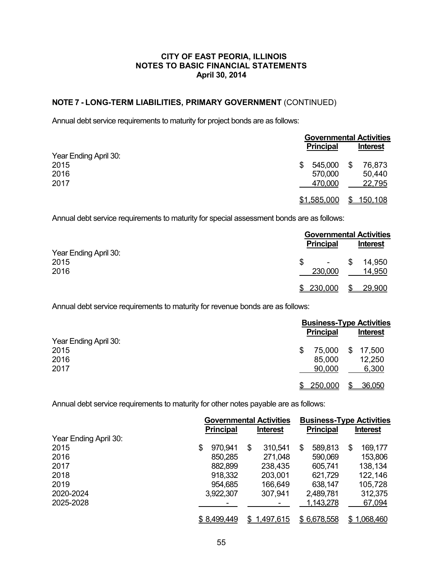## **NOTE 7 - LONG-TERM LIABILITIES, PRIMARY GOVERNMENT** (CONTINUED)

Annual debt service requirements to maturity for project bonds are as follows:

|                       |                    | <b>Governmental Activities</b> |  |
|-----------------------|--------------------|--------------------------------|--|
|                       | <b>Principal</b>   | <b>Interest</b>                |  |
| Year Ending April 30: |                    |                                |  |
| 2015                  | 545,000<br>S       | 76,873<br>S                    |  |
| 2016                  | 570,000            | 50,440                         |  |
| 2017                  | 470,000            | 22,795                         |  |
|                       | <u>\$1,585,000</u> | <u>150,108</u>                 |  |

Annual debt service requirements to maturity for special assessment bonds are as follows:

|                       |                                     | <b>Governmental Activities</b> |  |
|-----------------------|-------------------------------------|--------------------------------|--|
| Year Ending April 30: | <b>Principal</b>                    | <b>Interest</b>                |  |
| 2015<br>2016          | $\overline{\phantom{a}}$<br>230,000 | 14,950<br>S<br>14,950          |  |
|                       | 230,000                             | <u>29,900</u>                  |  |

Annual debt service requirements to maturity for revenue bonds are as follows:

|                       | <b>Business-Type Activities</b> |                 |  |
|-----------------------|---------------------------------|-----------------|--|
| Year Ending April 30: | <b>Principal</b>                | <b>Interest</b> |  |
| 2015                  | 75,000                          | \$<br>17,500    |  |
| 2016                  | 85,000                          | 12,250          |  |
| 2017                  | 90,000                          | 6,300           |  |
|                       | 250,000                         | 36,050<br>\$    |  |

Annual debt service requirements to maturity for other notes payable are as follows:

|                       | <b>Governmental Activities</b> |                 | <b>Business-Type Activities</b> |                 |
|-----------------------|--------------------------------|-----------------|---------------------------------|-----------------|
|                       | <b>Principal</b>               | <b>Interest</b> | <b>Principal</b>                | <b>Interest</b> |
| Year Ending April 30: |                                |                 |                                 |                 |
| 2015                  | 970,941<br>S                   | \$<br>310,541   | 589,813<br>\$.                  | 169,177<br>S    |
| 2016                  | 850,285                        | 271,048         | 590,069                         | 153,806         |
| 2017                  | 882,899                        | 238,435         | 605,741                         | 138,134         |
| 2018                  | 918,332                        | 203,001         | 621,729                         | 122,146         |
| 2019                  | 954,685                        | 166,649         | 638,147                         | 105,728         |
| 2020-2024             | 3,922,307                      | 307,941         | 2,489,781                       | 312,375         |
| 2025-2028             |                                |                 | 1,143,278                       | 67,094          |
|                       | \$8,499,449                    | 1,497,615<br>S. | \$6,678,558                     | \$1,068,460     |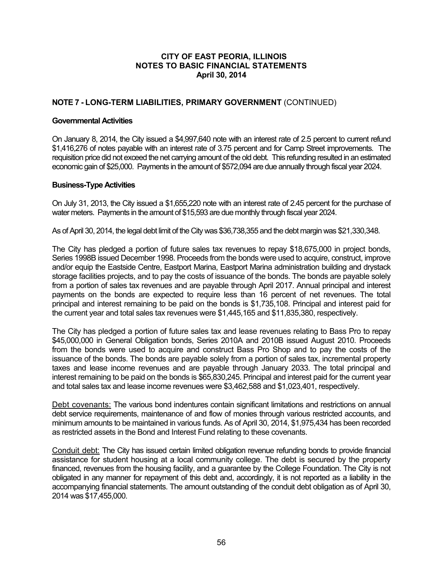## **NOTE 7 - LONG-TERM LIABILITIES, PRIMARY GOVERNMENT** (CONTINUED)

### **Governmental Activities**

On January 8, 2014, the City issued a \$4,997,640 note with an interest rate of 2.5 percent to current refund \$1,416,276 of notes payable with an interest rate of 3.75 percent and for Camp Street improvements. The requisition price did not exceed the net carrying amount of the old debt. This refunding resulted in an estimated economic gain of \$25,000. Payments in the amount of \$572,094 are due annually through fiscal year 2024.

### **Business-Type Activities**

On July 31, 2013, the City issued a \$1,655,220 note with an interest rate of 2.45 percent for the purchase of water meters. Payments in the amount of \$15,593 are due monthly through fiscal year 2024.

As of April 30, 2014, the legal debt limit of the City was \$36,738,355 and the debt margin was \$21,330,348.

The City has pledged a portion of future sales tax revenues to repay \$18,675,000 in project bonds, Series 1998B issued December 1998. Proceeds from the bonds were used to acquire, construct, improve and/or equip the Eastside Centre, Eastport Marina, Eastport Marina administration building and drystack storage facilities projects, and to pay the costs of issuance of the bonds. The bonds are payable solely from a portion of sales tax revenues and are payable through April 2017. Annual principal and interest payments on the bonds are expected to require less than 16 percent of net revenues. The total principal and interest remaining to be paid on the bonds is \$1,735,108. Principal and interest paid for the current year and total sales tax revenues were \$1,445,165 and \$11,835,380, respectively.

The City has pledged a portion of future sales tax and lease revenues relating to Bass Pro to repay \$45,000,000 in General Obligation bonds, Series 2010A and 2010B issued August 2010. Proceeds from the bonds were used to acquire and construct Bass Pro Shop and to pay the costs of the issuance of the bonds. The bonds are payable solely from a portion of sales tax, incremental property taxes and lease income revenues and are payable through January 2033. The total principal and interest remaining to be paid on the bonds is \$65,830,245. Principal and interest paid for the current year and total sales tax and lease income revenues were \$3,462,588 and \$1,023,401, respectively.

Debt covenants: The various bond indentures contain significant limitations and restrictions on annual debt service requirements, maintenance of and flow of monies through various restricted accounts, and minimum amounts to be maintained in various funds. As of April 30, 2014, \$1,975,434 has been recorded as restricted assets in the Bond and Interest Fund relating to these covenants.

Conduit debt: The City has issued certain limited obligation revenue refunding bonds to provide financial assistance for student housing at a local community college. The debt is secured by the property financed, revenues from the housing facility, and a guarantee by the College Foundation. The City is not obligated in any manner for repayment of this debt and, accordingly, it is not reported as a liability in the accompanying financial statements. The amount outstanding of the conduit debt obligation as of April 30, 2014 was \$17,455,000.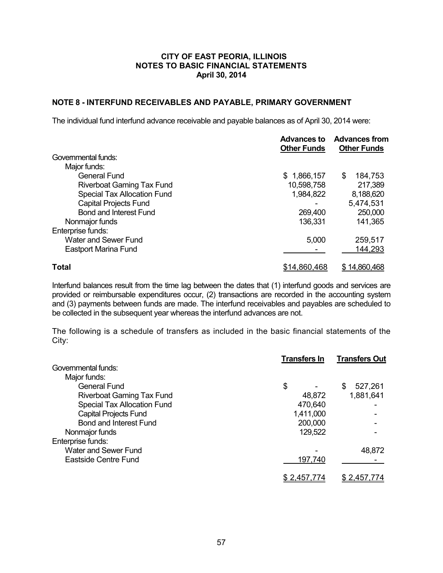## **NOTE 8 - INTERFUND RECEIVABLES AND PAYABLE, PRIMARY GOVERNMENT**

The individual fund interfund advance receivable and payable balances as of April 30, 2014 were:

|                                    | <b>Advances to</b><br><b>Other Funds</b> | <b>Advances from</b><br><b>Other Funds</b> |
|------------------------------------|------------------------------------------|--------------------------------------------|
| Governmental funds:                |                                          |                                            |
| Major funds:                       |                                          |                                            |
| General Fund                       | \$1,866,157                              | 184,753<br>S                               |
| <b>Riverboat Gaming Tax Fund</b>   | 10,598,758                               | 217,389                                    |
| <b>Special Tax Allocation Fund</b> | 1,984,822                                | 8,188,620                                  |
| <b>Capital Projects Fund</b>       |                                          | 5,474,531                                  |
| <b>Bond and Interest Fund</b>      | 269,400                                  | 250,000                                    |
| Nonmajor funds                     | 136,331                                  | 141,365                                    |
| Enterprise funds:                  |                                          |                                            |
| <b>Water and Sewer Fund</b>        | 5,000                                    | 259,517                                    |
| <b>Eastport Marina Fund</b>        |                                          | 144,293                                    |
| <b>Total</b>                       | \$14,860,468                             | \$14,860,468                               |

Interfund balances result from the time lag between the dates that (1) interfund goods and services are provided or reimbursable expenditures occur, (2) transactions are recorded in the accounting system and (3) payments between funds are made. The interfund receivables and payables are scheduled to be collected in the subsequent year whereas the interfund advances are not.

The following is a schedule of transfers as included in the basic financial statements of the City:

|                                    | <b>Transfers In</b> | <b>Transfers Out</b> |
|------------------------------------|---------------------|----------------------|
| Governmental funds:                |                     |                      |
| Major funds:                       |                     |                      |
| <b>General Fund</b>                | \$                  | 527,261<br>S         |
| <b>Riverboat Gaming Tax Fund</b>   | 48,872              | 1,881,641            |
| <b>Special Tax Allocation Fund</b> | 470,640             |                      |
| <b>Capital Projects Fund</b>       | 1,411,000           |                      |
| <b>Bond and Interest Fund</b>      | 200,000             |                      |
| Nonmajor funds                     | 129,522             |                      |
| Enterprise funds:                  |                     |                      |
| <b>Water and Sewer Fund</b>        |                     | 48,872               |
| Eastside Centre Fund               | 197,740             |                      |
|                                    | <u>\$2,457,774</u>  | <u>\$2,457,774</u>   |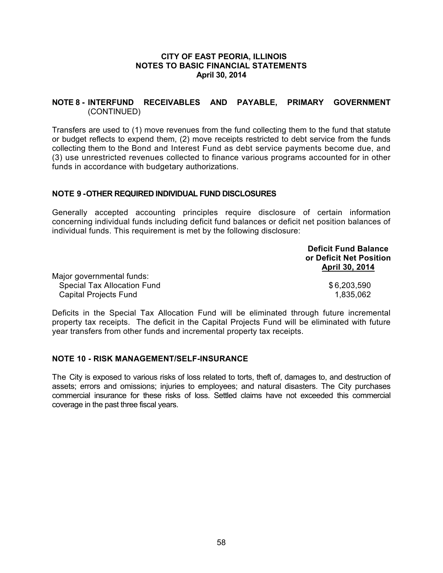## **NOTE 8 - INTERFUND RECEIVABLES AND PAYABLE, PRIMARY GOVERNMENT** (CONTINUED)

Transfers are used to (1) move revenues from the fund collecting them to the fund that statute or budget reflects to expend them, (2) move receipts restricted to debt service from the funds collecting them to the Bond and Interest Fund as debt service payments become due, and (3) use unrestricted revenues collected to finance various programs accounted for in other funds in accordance with budgetary authorizations.

## **NOTE 9 -OTHER REQUIRED INDIVIDUAL FUND DISCLOSURES**

Generally accepted accounting principles require disclosure of certain information concerning individual funds including deficit fund balances or deficit net position balances of individual funds. This requirement is met by the following disclosure:

|                                    | <b>Deficit Fund Balance</b> |
|------------------------------------|-----------------------------|
|                                    | or Deficit Net Position     |
|                                    | April 30, 2014              |
| Major governmental funds:          |                             |
| <b>Special Tax Allocation Fund</b> | \$6,203,590                 |
| <b>Capital Projects Fund</b>       | 1,835,062                   |

Deficits in the Special Tax Allocation Fund will be eliminated through future incremental property tax receipts. The deficit in the Capital Projects Fund will be eliminated with future year transfers from other funds and incremental property tax receipts.

### **NOTE 10 - RISK MANAGEMENT/SELF-INSURANCE**

The City is exposed to various risks of loss related to torts, theft of, damages to, and destruction of assets; errors and omissions; injuries to employees; and natural disasters. The City purchases commercial insurance for these risks of loss. Settled claims have not exceeded this commercial coverage in the past three fiscal years.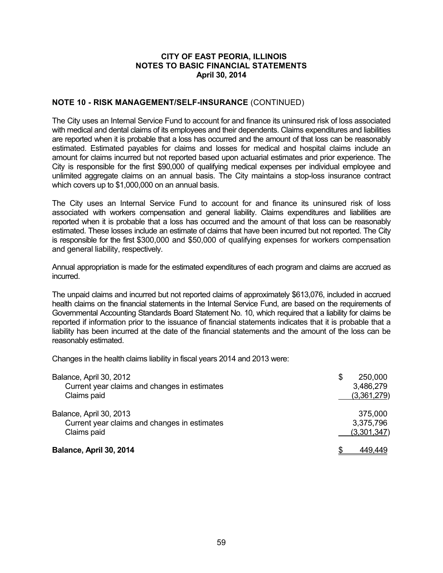## **NOTE 10 - RISK MANAGEMENT/SELF-INSURANCE** (CONTINUED)

The City uses an Internal Service Fund to account for and finance its uninsured risk of loss associated with medical and dental claims of its employees and their dependents. Claims expenditures and liabilities are reported when it is probable that a loss has occurred and the amount of that loss can be reasonably estimated. Estimated payables for claims and losses for medical and hospital claims include an amount for claims incurred but not reported based upon actuarial estimates and prior experience. The City is responsible for the first \$90,000 of qualifying medical expenses per individual employee and unlimited aggregate claims on an annual basis. The City maintains a stop-loss insurance contract which covers up to \$1,000,000 on an annual basis.

The City uses an Internal Service Fund to account for and finance its uninsured risk of loss associated with workers compensation and general liability. Claims expenditures and liabilities are reported when it is probable that a loss has occurred and the amount of that loss can be reasonably estimated. These losses include an estimate of claims that have been incurred but not reported. The City is responsible for the first \$300,000 and \$50,000 of qualifying expenses for workers compensation and general liability, respectively.

Annual appropriation is made for the estimated expenditures of each program and claims are accrued as incurred.

The unpaid claims and incurred but not reported claims of approximately \$613,076, included in accrued health claims on the financial statements in the Internal Service Fund, are based on the requirements of Governmental Accounting Standards Board Statement No. 10, which required that a liability for claims be reported if information prior to the issuance of financial statements indicates that it is probable that a liability has been incurred at the date of the financial statements and the amount of the loss can be reasonably estimated.

Changes in the health claims liability in fiscal years 2014 and 2013 were:

| Balance, April 30, 2012<br>Current year claims and changes in estimates<br>Claims paid | S | 250,000<br>3,486,279<br>(3,361,279) |
|----------------------------------------------------------------------------------------|---|-------------------------------------|
| Balance, April 30, 2013<br>Current year claims and changes in estimates<br>Claims paid |   | 375,000<br>3,375,796<br>(3,301,347) |
| Balance, April 30, 2014                                                                |   | 449.449                             |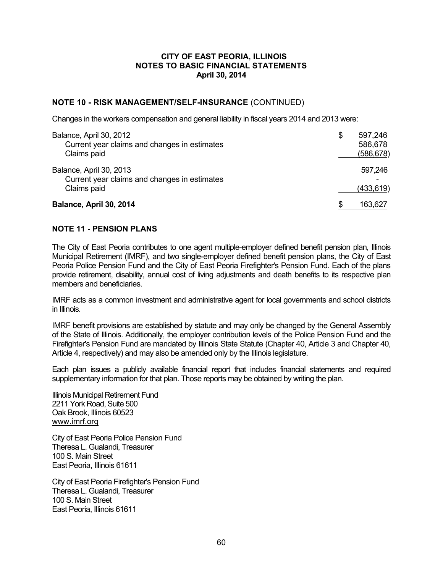## **NOTE 10 - RISK MANAGEMENT/SELF-INSURANCE** (CONTINUED)

Changes in the workers compensation and general liability in fiscal years 2014 and 2013 were:

| Balance, April 30, 2012                                                                | \$<br>597,246         |
|----------------------------------------------------------------------------------------|-----------------------|
| Current year claims and changes in estimates<br>Claims paid                            | 586,678<br>(586, 678) |
| Balance, April 30, 2013<br>Current year claims and changes in estimates<br>Claims paid | 597,246<br>(433, 619) |
| Balance, April 30, 2014                                                                | 163,627               |

### **NOTE 11 - PENSION PLANS**

The City of East Peoria contributes to one agent multiple-employer defined benefit pension plan, Illinois Municipal Retirement (IMRF), and two single-employer defined benefit pension plans, the City of East Peoria Police Pension Fund and the City of East Peoria Firefighter's Pension Fund. Each of the plans provide retirement, disability, annual cost of living adjustments and death benefits to its respective plan members and beneficiaries.

IMRF acts as a common investment and administrative agent for local governments and school districts in Illinois.

IMRF benefit provisions are established by statute and may only be changed by the General Assembly of the State of Illinois. Additionally, the employer contribution levels of the Police Pension Fund and the Firefighter's Pension Fund are mandated by Illinois State Statute (Chapter 40, Article 3 and Chapter 40, Article 4, respectively) and may also be amended only by the Illinois legislature.

Each plan issues a publicly available financial report that includes financial statements and required supplementary information for that plan. Those reports may be obtained by writing the plan.

Illinois Municipal Retirement Fund 2211 York Road, Suite 500 Oak Brook, Illinois 60523 www.imrf.orq

City of East Peoria Police Pension Fund Theresa L. Gualandi, Treasurer 100 S. Main Street East Peoria, Illinois 61611

City of East Peoria Firefighter's Pension Fund Theresa L. Gualandi, Treasurer 100 S. Main Street East Peoria, Illinois 61611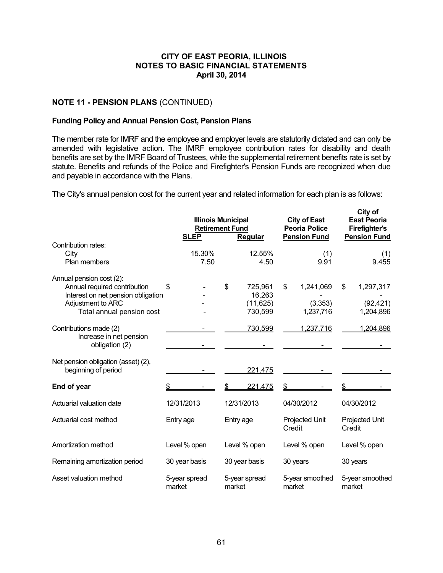## **NOTE 11 - PENSION PLANS** (CONTINUED)

## **Funding Policy and Annual Pension Cost, Pension Plans**

The member rate for IMRF and the employee and employer levels are statutorily dictated and can only be amended with legislative action. The IMRF employee contribution rates for disability and death benefits are set by the IMRF Board of Trustees, while the supplemental retirement benefits rate is set by statute. Benefits and refunds of the Police and Firefighter's Pension Funds are recognized when due and payable in accordance with the Plans.

The City's annual pension cost for the current year and related information for each plan is as follows:

|                                                                                                                                                  | <b>SLEP</b>             | <b>Illinois Municipal</b><br><b>Retirement Fund</b><br>Regular | <b>City of East</b><br><b>Peoria Police</b><br><b>Pension Fund</b> | City of<br><b>East Peoria</b><br><b>Firefighter's</b><br><b>Pension Fund</b> |  |
|--------------------------------------------------------------------------------------------------------------------------------------------------|-------------------------|----------------------------------------------------------------|--------------------------------------------------------------------|------------------------------------------------------------------------------|--|
| Contribution rates:<br>City<br>Plan members                                                                                                      | 15.30%<br>7.50          | 12.55%<br>4.50                                                 | (1)<br>9.91                                                        | (1)<br>9.455                                                                 |  |
| Annual pension cost (2):<br>Annual required contribution<br>Interest on net pension obligation<br>Adjustment to ARC<br>Total annual pension cost | \$                      | \$<br>725,961<br>16,263<br>(11, 625)<br>730,599                | 1,241,069<br>\$<br>(3,353)<br>1,237,716                            | \$<br>1,297,317<br>(92, 421)<br>1,204,896                                    |  |
| Contributions made (2)<br>Increase in net pension<br>obligation (2)                                                                              |                         | 730,599                                                        | 1,237,716                                                          | 1,204,896                                                                    |  |
| Net pension obligation (asset) (2),<br>beginning of period                                                                                       |                         | 221,475                                                        |                                                                    |                                                                              |  |
| End of year                                                                                                                                      | \$                      | \$<br>221,475                                                  | \$                                                                 | \$                                                                           |  |
| Actuarial valuation date                                                                                                                         | 12/31/2013              | 12/31/2013                                                     | 04/30/2012                                                         | 04/30/2012                                                                   |  |
| Actuarial cost method                                                                                                                            | Entry age               | Entry age                                                      | <b>Projected Unit</b><br>Credit                                    | <b>Projected Unit</b><br>Credit                                              |  |
| Amortization method                                                                                                                              | Level % open            | Level % open                                                   | Level % open                                                       | Level % open                                                                 |  |
| Remaining amortization period                                                                                                                    | 30 year basis           | 30 year basis                                                  | 30 years                                                           | 30 years                                                                     |  |
| Asset valuation method                                                                                                                           | 5-year spread<br>market | 5-year spread<br>market                                        | 5-year smoothed<br>market                                          | 5-year smoothed<br>market                                                    |  |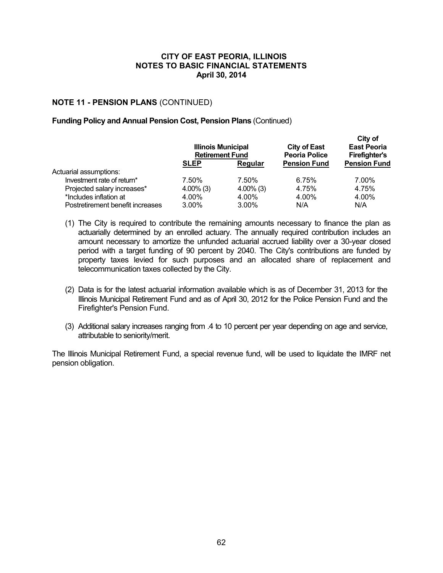## **NOTE 11 - PENSION PLANS** (CONTINUED)

### **Funding Policy and Annual Pension Cost, Pension Plans** (Continued)

|                                  | <b>Illinois Municipal</b><br><b>Retirement Fund</b> |              | <b>City of East</b><br><b>Peoria Police</b> | City of<br><b>East Peoria</b><br><b>Firefighter's</b> |
|----------------------------------|-----------------------------------------------------|--------------|---------------------------------------------|-------------------------------------------------------|
|                                  | <b>SLEP</b>                                         | Regular      | <b>Pension Fund</b>                         | <b>Pension Fund</b>                                   |
| Actuarial assumptions:           |                                                     |              |                                             |                                                       |
| Investment rate of return*       | 7.50%                                               | 7.50%        | 6.75%                                       | 7.00%                                                 |
| Projected salary increases*      | $4.00\%$ (3)                                        | $4.00\%$ (3) | 4.75%                                       | 4.75%                                                 |
| *Includes inflation at           | 4.00%                                               | 4.00%        | 4.00%                                       | 4.00%                                                 |
| Postretirement benefit increases | $3.00\%$                                            | $3.00\%$     | N/A                                         | N/A                                                   |

- (1) The City is required to contribute the remaining amounts necessary to finance the plan as actuarially determined by an enrolled actuary. The annually required contribution includes an amount necessary to amortize the unfunded actuarial accrued liability over a 30-year closed period with a target funding of 90 percent by 2040. The City's contributions are funded by property taxes levied for such purposes and an allocated share of replacement and telecommunication taxes collected by the City.
- (2) Data is for the latest actuarial information available which is as of December 31, 2013 for the Illinois Municipal Retirement Fund and as of April 30, 2012 for the Police Pension Fund and the Firefighter's Pension Fund.
- (3) Additional salary increases ranging from .4 to 10 percent per year depending on age and service, attributable to seniority/merit.

The Illinois Municipal Retirement Fund, a special revenue fund, will be used to liquidate the IMRF net pension obligation.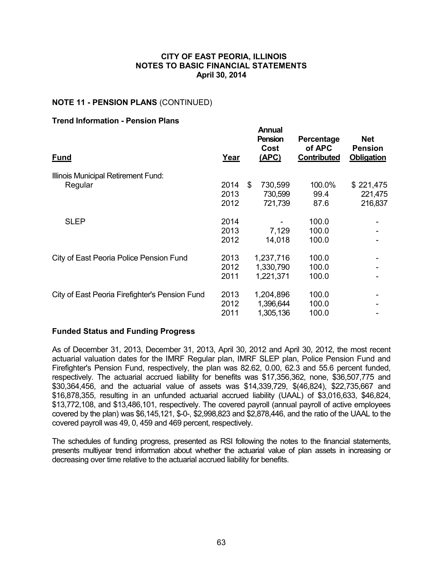## **NOTE 11 - PENSION PLANS** (CONTINUED)

## **Trend Information - Pension Plans**

| <b>Fund</b>                                    | Year                 | <b>Annual</b><br><b>Pension</b><br>Cost<br>(APC) | Percentage<br>of APC<br>Contributed | <b>Net</b><br><b>Pension</b><br>Obligation |
|------------------------------------------------|----------------------|--------------------------------------------------|-------------------------------------|--------------------------------------------|
| Illinois Municipal Retirement Fund:            |                      |                                                  |                                     |                                            |
| Regular                                        | 2014<br>2013<br>2012 | \$<br>730,599<br>730,599<br>721,739              | 100.0%<br>99.4<br>87.6              | \$221,475<br>221,475<br>216,837            |
| <b>SLEP</b>                                    | 2014<br>2013<br>2012 | 7,129<br>14,018                                  | 100.0<br>100.0<br>100.0             |                                            |
| City of East Peoria Police Pension Fund        | 2013<br>2012<br>2011 | 1,237,716<br>1,330,790<br>1,221,371              | 100.0<br>100.0<br>100.0             |                                            |
| City of East Peoria Firefighter's Pension Fund | 2013<br>2012<br>2011 | 1,204,896<br>1,396,644<br>1,305,136              | 100.0<br>100.0<br>100.0             |                                            |

### **Funded Status and Funding Progress**

As of December 31, 2013, December 31, 2013, April 30, 2012 and April 30, 2012, the most recent actuarial valuation dates for the IMRF Regular plan, IMRF SLEP plan, Police Pension Fund and Firefighter's Pension Fund, respectively, the plan was 82.62, 0.00, 62.3 and 55.6 percent funded, respectively. The actuarial accrued liability for benefits was \$17,356,362, none, \$36,507,775 and \$30,364,456, and the actuarial value of assets was \$14,339,729, \$(46,824), \$22,735,667 and \$16,878,355, resulting in an unfunded actuarial accrued liability (UAAL) of \$3,016,633, \$46,824, \$13,772,108, and \$13,486,101, respectively. The covered payroll (annual payroll of active employees covered by the plan) was \$6,145,121, \$-0-, \$2,998,823 and \$2,878,446, and the ratio of the UAAL to the covered payroll was 49, 0, 459 and 469 percent, respectively.

The schedules of funding progress, presented as RSI following the notes to the financial statements, presents multiyear trend information about whether the actuarial value of plan assets in increasing or decreasing over time relative to the actuarial accrued liability for benefits.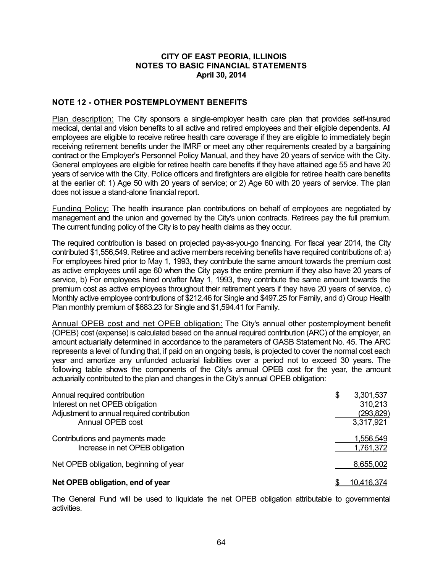## **NOTE 12 - OTHER POSTEMPLOYMENT BENEFITS**

Plan description: The City sponsors a single-employer health care plan that provides self-insured medical, dental and vision benefits to all active and retired employees and their eligible dependents. All employees are eligible to receive retiree health care coverage if they are eligible to immediately begin receiving retirement benefits under the IMRF or meet any other requirements created by a bargaining contract or the Employer's Personnel Policy Manual, and they have 20 years of service with the City. General employees are eligible for retiree health care benefits if they have attained age 55 and have 20 years of service with the City. Police officers and firefighters are eligible for retiree health care benefits at the earlier of: 1) Age 50 with 20 years of service; or 2) Age 60 with 20 years of service. The plan does not issue a stand-alone financial report.

Funding Policy: The health insurance plan contributions on behalf of employees are negotiated by management and the union and governed by the City's union contracts. Retirees pay the full premium. The current funding policy of the City is to pay health claims as they occur.

The required contribution is based on projected pay-as-you-go financing. For fiscal year 2014, the City contributed \$1,556,549. Retiree and active members receiving benefits have required contributions of: a) For employees hired prior to May 1, 1993, they contribute the same amount towards the premium cost as active employees until age 60 when the City pays the entire premium if they also have 20 years of service, b) For employees hired on/after May 1, 1993, they contribute the same amount towards the premium cost as active employees throughout their retirement years if they have 20 years of service, c) Monthly active employee contributions of \$212.46 for Single and \$497.25 for Family, and d) Group Health Plan monthly premium of \$683.23 for Single and \$1,594.41 for Family.

Annual OPEB cost and net OPEB obligation: The City's annual other postemployment benefit (OPEB) cost (expense) is calculated based on the annual required contribution (ARC) of the employer, an amount actuarially determined in accordance to the parameters of GASB Statement No. 45. The ARC represents a level of funding that, if paid on an ongoing basis, is projected to cover the normal cost each year and amortize any unfunded actuarial liabilities over a period not to exceed 30 years. The following table shows the components of the City's annual OPEB cost for the year, the amount actuarially contributed to the plan and changes in the City's annual OPEB obligation:

| Annual required contribution<br>Interest on net OPEB obligation<br>Adjustment to annual required contribution<br>Annual OPEB cost | \$<br>3,301,537<br>310,213<br>(293, 829)<br>3,317,921 |
|-----------------------------------------------------------------------------------------------------------------------------------|-------------------------------------------------------|
| Contributions and payments made<br>Increase in net OPEB obligation                                                                | 1,556,549<br>1,761,372                                |
| Net OPEB obligation, beginning of year                                                                                            | 8,655,002                                             |
| Net OPEB obligation, end of year                                                                                                  | 10,416,374                                            |

The General Fund will be used to liquidate the net OPEB obligation attributable to governmental activities.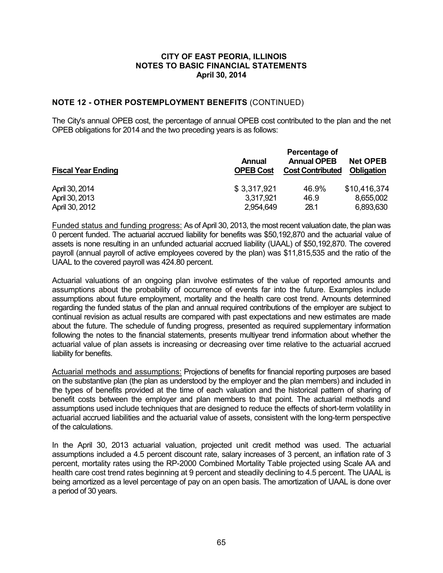## **NOTE 12 - OTHER POSTEMPLOYMENT BENEFITS** (CONTINUED)

The City's annual OPEB cost, the percentage of annual OPEB cost contributed to the plan and the net OPEB obligations for 2014 and the two preceding years is as follows:

| <b>Fiscal Year Ending</b> | <b>Annual</b><br><b>OPEB Cost</b> | Percentage of<br><b>Annual OPEB</b><br><b>Cost Contributed</b> | <b>Net OPEB</b><br>Obligation |  |
|---------------------------|-----------------------------------|----------------------------------------------------------------|-------------------------------|--|
| April 30, 2014            | \$3,317,921                       | 46.9%                                                          | \$10,416,374                  |  |
| April 30, 2013            | 3,317,921                         | 46.9                                                           | 8,655,002                     |  |
| April 30, 2012            | 2,954,649                         | 28.1                                                           | 6,893,630                     |  |

Funded status and funding progress: As of April 30, 2013, the most recent valuation date, the plan was 0 percent funded. The actuarial accrued liability for benefits was \$50,192,870 and the actuarial value of assets is none resulting in an unfunded actuarial accrued liability (UAAL) of \$50,192,870. The covered payroll (annual payroll of active employees covered by the plan) was \$11,815,535 and the ratio of the UAAL to the covered payroll was 424.80 percent.

Actuarial valuations of an ongoing plan involve estimates of the value of reported amounts and assumptions about the probability of occurrence of events far into the future. Examples include assumptions about future employment, mortality and the health care cost trend. Amounts determined regarding the funded status of the plan and annual required contributions of the employer are subject to continual revision as actual results are compared with past expectations and new estimates are made about the future. The schedule of funding progress, presented as required supplementary information following the notes to the financial statements, presents multiyear trend information about whether the actuarial value of plan assets is increasing or decreasing over time relative to the actuarial accrued liability for benefits.

Actuarial methods and assumptions: Projections of benefits for financial reporting purposes are based on the substantive plan (the plan as understood by the employer and the plan members) and included in the types of benefits provided at the time of each valuation and the historical pattern of sharing of benefit costs between the employer and plan members to that point. The actuarial methods and assumptions used include techniques that are designed to reduce the effects of short-term volatility in actuarial accrued liabilities and the actuarial value of assets, consistent with the long-term perspective of the calculations.

In the April 30, 2013 actuarial valuation, projected unit credit method was used. The actuarial assumptions included a 4.5 percent discount rate, salary increases of 3 percent, an inflation rate of 3 percent, mortality rates using the RP-2000 Combined Mortality Table projected using Scale AA and health care cost trend rates beginning at 9 percent and steadily declining to 4.5 percent. The UAAL is being amortized as a level percentage of pay on an open basis. The amortization of UAAL is done over a period of 30 years.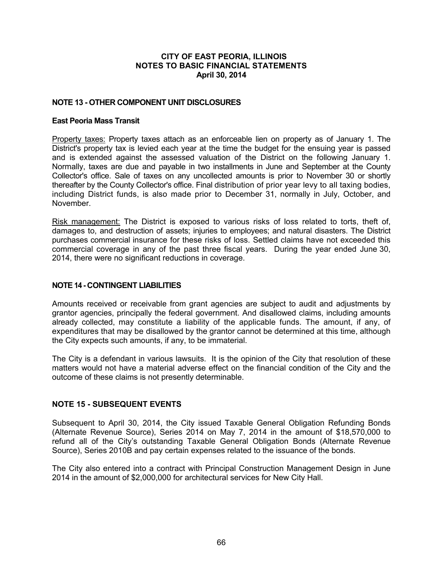## **NOTE 13 - OTHER COMPONENT UNIT DISCLOSURES**

### **East Peoria Mass Transit**

Property taxes: Property taxes attach as an enforceable lien on property as of January 1. The District's property tax is levied each year at the time the budget for the ensuing year is passed and is extended against the assessed valuation of the District on the following January 1. Normally, taxes are due and payable in two installments in June and September at the County Collector's office. Sale of taxes on any uncollected amounts is prior to November 30 or shortly thereafter by the County Collector's office. Final distribution of prior year levy to all taxing bodies, including District funds, is also made prior to December 31, normally in July, October, and November.

Risk management: The District is exposed to various risks of loss related to torts, theft of, damages to, and destruction of assets; injuries to employees; and natural disasters. The District purchases commercial insurance for these risks of loss. Settled claims have not exceeded this commercial coverage in any of the past three fiscal years. During the year ended June 30, 2014, there were no significant reductions in coverage.

## **NOTE 14 - CONTINGENT LIABILITIES**

Amounts received or receivable from grant agencies are subject to audit and adjustments by grantor agencies, principally the federal government. And disallowed claims, including amounts already collected, may constitute a liability of the applicable funds. The amount, if any, of expenditures that may be disallowed by the grantor cannot be determined at this time, although the City expects such amounts, if any, to be immaterial.

The City is a defendant in various lawsuits. It is the opinion of the City that resolution of these matters would not have a material adverse effect on the financial condition of the City and the outcome of these claims is not presently determinable.

## **NOTE 15 - SUBSEQUENT EVENTS**

Subsequent to April 30, 2014, the City issued Taxable General Obligation Refunding Bonds (Alternate Revenue Source), Series 2014 on May 7, 2014 in the amount of \$18,570,000 to refund all of the City's outstanding Taxable General Obligation Bonds (Alternate Revenue Source), Series 2010B and pay certain expenses related to the issuance of the bonds.

The City also entered into a contract with Principal Construction Management Design in June 2014 in the amount of \$2,000,000 for architectural services for New City Hall.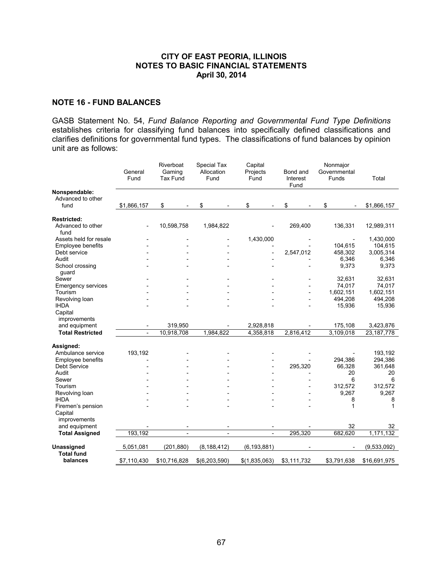### **NOTE 16 - FUND BALANCES**

GASB Statement No. 54, *Fund Balance Reporting and Governmental Fund Type Definitions* establishes criteria for classifying fund balances into specifically defined classifications and clarifies definitions for governmental fund types. The classifications of fund balances by opinion unit are as follows:

|                                    | General<br>Fund          | Riverboat<br>Gaming<br>Tax Fund | Special Tax<br>Allocation<br>Fund | Capital<br>Projects<br>Fund | Bond and<br>Interest<br>Fund | Nonmajor<br>Governmental<br>Funds | Total        |
|------------------------------------|--------------------------|---------------------------------|-----------------------------------|-----------------------------|------------------------------|-----------------------------------|--------------|
| Nonspendable:<br>Advanced to other |                          |                                 |                                   |                             |                              |                                   |              |
| fund                               | \$1,866,157              | \$                              | \$                                | \$                          | \$                           | \$                                | \$1,866,157  |
| <b>Restricted:</b>                 |                          |                                 |                                   |                             |                              |                                   |              |
| Advanced to other<br>fund          |                          | 10,598,758                      | 1,984,822                         |                             | 269,400                      | 136,331                           | 12,989,311   |
| Assets held for resale             |                          |                                 |                                   | 1,430,000                   |                              |                                   | 1,430,000    |
| Employee benefits                  |                          |                                 |                                   |                             |                              | 104,615                           | 104,615      |
| Debt service                       |                          |                                 |                                   |                             | 2,547,012                    | 458,302                           | 3,005,314    |
| Audit                              |                          |                                 |                                   |                             |                              | 6,346                             | 6,346        |
| School crossing<br>guard           |                          |                                 |                                   |                             |                              | 9,373                             | 9,373        |
| Sewer                              |                          |                                 |                                   |                             |                              | 32,631                            | 32,631       |
| <b>Emergency services</b>          |                          |                                 |                                   |                             |                              | 74,017                            | 74,017       |
| Tourism                            |                          |                                 |                                   |                             |                              | 1,602,151                         | 1,602,151    |
| Revolving loan                     |                          |                                 |                                   |                             |                              | 494,208                           | 494,208      |
| <b>IHDA</b><br>Capital             |                          |                                 |                                   |                             |                              | 15,936                            | 15,936       |
| improvements                       |                          |                                 |                                   |                             |                              |                                   |              |
| and equipment                      |                          | 319,950                         |                                   | 2,928,818                   |                              | 175,108                           | 3,423,876    |
| <b>Total Restricted</b>            | $\overline{\phantom{a}}$ | 10,918,708                      | 1,984,822                         | 4,358,818                   | 2,816,412                    | 3,109,018                         | 23, 187, 778 |
| Assigned:                          |                          |                                 |                                   |                             |                              |                                   |              |
| Ambulance service                  | 193,192                  |                                 |                                   |                             |                              |                                   | 193,192      |
| <b>Employee benefits</b>           |                          |                                 |                                   |                             |                              | 294,386                           | 294,386      |
| Debt Service                       |                          |                                 |                                   |                             | 295,320                      | 66,328                            | 361,648      |
| Audit                              |                          |                                 |                                   |                             |                              | 20                                | 20           |
| Sewer                              |                          |                                 |                                   |                             |                              | 6                                 | 6            |
| Tourism                            |                          |                                 |                                   |                             |                              | 312,572                           | 312,572      |
| Revolving loan                     |                          |                                 |                                   |                             |                              | 9,267                             | 9,267        |
| <b>IHDA</b>                        |                          |                                 |                                   |                             |                              | 8                                 | 8            |
| Firemen's pension                  |                          |                                 |                                   |                             |                              | 1                                 | 1            |
| Capital<br>improvements            |                          |                                 |                                   |                             |                              |                                   |              |
| and equipment                      |                          |                                 |                                   |                             |                              | 32                                | 32           |
| <b>Total Assigned</b>              | 193,192                  |                                 |                                   |                             | 295,320                      | 682.620                           | 1,171,132    |
| Unassigned                         | 5,051,081                | (201, 880)                      | (8, 188, 412)                     | (6, 193, 881)               |                              |                                   | (9,533,092)  |
| <b>Total fund</b><br>balances      | \$7,110,430              | \$10,716,828                    | \$(6,203,590)                     | \$(1,835,063)               | \$3,111,732                  | \$3,791,638                       | \$16,691,975 |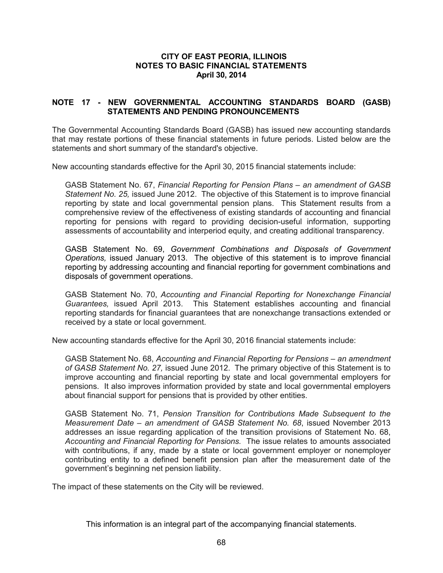## **NOTE 17 - NEW GOVERNMENTAL ACCOUNTING STANDARDS BOARD (GASB) STATEMENTS AND PENDING PRONOUNCEMENTS**

The Governmental Accounting Standards Board (GASB) has issued new accounting standards that may restate portions of these financial statements in future periods. Listed below are the statements and short summary of the standard's objective.

New accounting standards effective for the April 30, 2015 financial statements include:

GASB Statement No. 67, *Financial Reporting for Pension Plans – an amendment of GASB Statement No. 25,* issued June 2012. The objective of this Statement is to improve financial reporting by state and local governmental pension plans. This Statement results from a comprehensive review of the effectiveness of existing standards of accounting and financial reporting for pensions with regard to providing decision-useful information, supporting assessments of accountability and interperiod equity, and creating additional transparency.

GASB Statement No. 69, *Government Combinations and Disposals of Government Operations,* issued January 2013. The objective of this statement is to improve financial reporting by addressing accounting and financial reporting for government combinations and disposals of government operations.

GASB Statement No. 70, *Accounting and Financial Reporting for Nonexchange Financial Guarantees,* issued April 2013. This Statement establishes accounting and financial reporting standards for financial guarantees that are nonexchange transactions extended or received by a state or local government.

New accounting standards effective for the April 30, 2016 financial statements include:

GASB Statement No. 68, *Accounting and Financial Reporting for Pensions – an amendment of GASB Statement No. 27,* issued June 2012. The primary objective of this Statement is to improve accounting and financial reporting by state and local governmental employers for pensions. It also improves information provided by state and local governmental employers about financial support for pensions that is provided by other entities.

GASB Statement No. 71, *Pension Transition for Contributions Made Subsequent to the Measurement Date – an amendment of GASB Statement No. 68*, issued November 2013 addresses an issue regarding application of the transition provisions of Statement No. 68, *Accounting and Financial Reporting for Pensions.* The issue relates to amounts associated with contributions, if any, made by a state or local government employer or nonemployer contributing entity to a defined benefit pension plan after the measurement date of the government's beginning net pension liability.

The impact of these statements on the City will be reviewed.

This information is an integral part of the accompanying financial statements.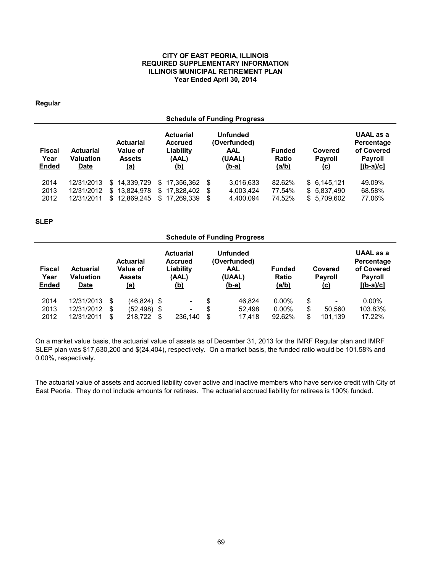#### **CITY OF EAST PEORIA, ILLINOIS REQUIRED SUPPLEMENTARY INFORMATION ILLINOIS MUNICIPAL RETIREMENT PLAN Year Ended April 30, 2014**

### **Regular**

|                                | <b>Schedule of Funding Progress</b>                 |                                                             |                                                                        |                                                                         |                                        |                                            |                                                                        |  |  |
|--------------------------------|-----------------------------------------------------|-------------------------------------------------------------|------------------------------------------------------------------------|-------------------------------------------------------------------------|----------------------------------------|--------------------------------------------|------------------------------------------------------------------------|--|--|
| Fiscal<br>Year<br><b>Ended</b> | <b>Actuarial</b><br><b>Valuation</b><br><u>Date</u> | <b>Actuarial</b><br>Value of<br><b>Assets</b><br><u>(a)</u> | <b>Actuarial</b><br><b>Accrued</b><br>Liability<br>(AAL)<br><u>(b)</u> | <b>Unfunded</b><br>(Overfunded)<br><b>AAL</b><br>(UAAL)<br><u>(b-a)</u> | <b>Funded</b><br>Ratio<br><u>(a/b)</u> | Covered<br><b>Payroll</b><br><u>(c)</u>    | UAAL as a<br>Percentage<br>of Covered<br><b>Payroll</b><br>$[(b-a)/c]$ |  |  |
| 2014<br>2013<br>2012           | 12/31/2013<br>12/31/2012<br>12/31/2011              | 14,339,729<br>\$<br>13,824,978<br>S.<br>12,869,245<br>S.    | 17.356.362<br>\$.<br>\$17.828.402<br>17.269.339<br>\$.                 | 3,016,633<br>-S<br>4,003,424<br>S<br>4,400,094<br>S                     | 82.62%<br>77.54%<br>74.52%             | \$6.145.121<br>\$5,837,490<br>\$ 5,709,602 | 49.09%<br>68.58%<br>77.06%                                             |  |  |

#### **SLEP**

| <b>Schedule of Funding Progress</b>   |                                              |    |                                                                    |                                                                        |                          |                                                                         |        |                                        |    |                                         |                                                                               |
|---------------------------------------|----------------------------------------------|----|--------------------------------------------------------------------|------------------------------------------------------------------------|--------------------------|-------------------------------------------------------------------------|--------|----------------------------------------|----|-----------------------------------------|-------------------------------------------------------------------------------|
| <b>Fiscal</b><br>Year<br><b>Ended</b> | <b>Actuarial</b><br>Valuation<br><u>Date</u> |    | <b>Actuarial</b><br><b>Value of</b><br><b>Assets</b><br><u>(a)</u> | <b>Actuarial</b><br><b>Accrued</b><br>Liability<br>(AAL)<br><u>(b)</u> |                          | <b>Unfunded</b><br>(Overfunded)<br><b>AAL</b><br>(UAAL)<br><u>(b-a)</u> |        | <b>Funded</b><br>Ratio<br><u>(a/b)</u> |    | Covered<br><b>Payroll</b><br><u>(c)</u> | <b>UAAL as a</b><br>Percentage<br>of Covered<br><b>Payroll</b><br>$[(b-a)/c]$ |
| 2014                                  | 12/31/2013                                   | S  | $(46, 824)$ \$                                                     |                                                                        | $\overline{\phantom{a}}$ | \$                                                                      | 46.824 | $0.00\%$                               | \$ | $\overline{\phantom{0}}$                | $0.00\%$                                                                      |
| 2013                                  | 12/31/2012                                   | S  | $(52, 498)$ \$                                                     |                                                                        | ۰                        | S                                                                       | 52.498 | $0.00\%$                               | \$ | 50.560                                  | 103.83%                                                                       |
| 2012                                  | 12/31/2011                                   | \$ | 218.722                                                            | \$                                                                     | 236.140                  | \$                                                                      | 17.418 | 92.62%                                 | \$ | 101.139                                 | 17.22%                                                                        |

On a market value basis, the actuarial value of assets as of December 31, 2013 for the IMRF Regular plan and IMRF SLEP plan was \$17,630,200 and \$(24,404), respectively. On a market basis, the funded ratio would be 101.58% and 0.00%, respectively.

The actuarial value of assets and accrued liability cover active and inactive members who have service credit with City of East Peoria. They do not include amounts for retirees. The actuarial accrued liability for retirees is 100% funded.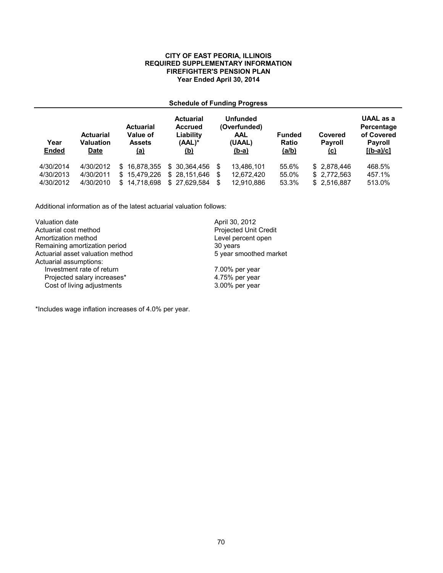#### **CITY OF EAST PEORIA, ILLINOIS REQUIRED SUPPLEMENTARY INFORMATION FIREFIGHTER'S PENSION PLAN Year Ended April 30, 2014**

## **Schedule of Funding Progress**

| Year<br><b>Ended</b> | <b>Actuarial</b><br><b>Valuation</b><br>Date | <b>Actuarial</b><br>Value of<br><b>Assets</b><br><u>(a)</u> | <b>Actuarial</b><br><b>Accrued</b><br>Liability<br>$(AAL)^*$<br><u>(b)</u> | <b>Unfunded</b><br>(Overfunded)<br><b>AAL</b><br>(UAAL)<br>$(b-a)$ | <b>Funded</b><br>Ratio<br>(a/b) |              | UAAL as a<br>Percentage<br>of Covered<br><b>Payroll</b><br>$[(b-a)/c]$ |  |
|----------------------|----------------------------------------------|-------------------------------------------------------------|----------------------------------------------------------------------------|--------------------------------------------------------------------|---------------------------------|--------------|------------------------------------------------------------------------|--|
| 4/30/2014            | 4/30/2012                                    | \$16,878,355                                                | \$ 30.364.456                                                              | 13.486.101<br>S                                                    | 55.6%                           | \$ 2.878.446 | 468.5%                                                                 |  |
| 4/30/2013            | 4/30/2011                                    | \$15,479,226                                                | \$28.151.646                                                               | 12,672,420<br>S                                                    | 55.0%                           | \$2,772,563  | 457.1%                                                                 |  |
| 4/30/2012            | 4/30/2010                                    | 14.718.698<br>\$.                                           | \$27.629.584                                                               | 12.910.886<br>S                                                    | 53.3%                           | \$2.516.887  | 513.0%                                                                 |  |

Additional information as of the latest actuarial valuation follows:

| Valuation date                   | April 30, 2012               |
|----------------------------------|------------------------------|
| Actuarial cost method            | <b>Projected Unit Credit</b> |
| Amortization method              | Level percent open           |
| Remaining amortization period    | 30 years                     |
| Actuarial asset valuation method | 5 year smoothed market       |
| Actuarial assumptions:           |                              |
| Investment rate of return        | 7.00% per year               |
| Projected salary increases*      | 4.75% per year               |
| Cost of living adjustments       | 3.00% per year               |

\*Includes wage inflation increases of 4.0% per year.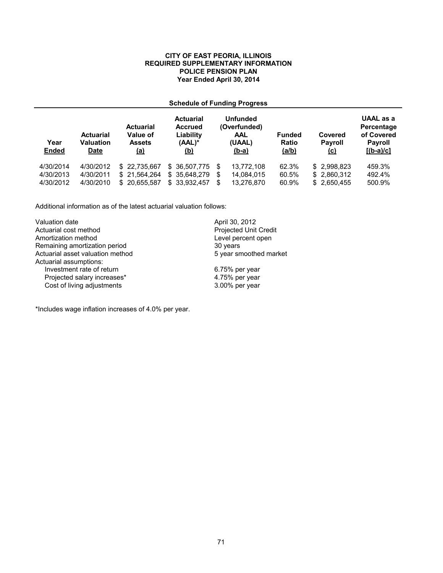#### **CITY OF EAST PEORIA, ILLINOIS REQUIRED SUPPLEMENTARY INFORMATION POLICE PENSION PLAN Year Ended April 30, 2014**

## **Schedule of Funding Progress**

| Year<br><b>Ended</b> | <b>Actuarial</b><br><b>Valuation</b><br>Date | <b>Actuarial</b><br>Value of<br><b>Assets</b><br><u>(a)</u> | <b>Actuarial</b><br><b>Accrued</b><br>Liability<br>$(AAL)^*$<br><u>(b)</u> | <b>Unfunded</b><br>(Overfunded)<br>AAL<br>(UAAL)<br><u>(b-a)</u> | <b>Funded</b><br>Covered<br><b>Payroll</b><br>Ratio<br>(a/b)<br><u>(c)</u> |              | UAAL as a<br>Percentage<br>of Covered<br><b>Payroll</b><br>$[(b-a)/c]$ |
|----------------------|----------------------------------------------|-------------------------------------------------------------|----------------------------------------------------------------------------|------------------------------------------------------------------|----------------------------------------------------------------------------|--------------|------------------------------------------------------------------------|
| 4/30/2014            | 4/30/2012                                    | \$22,735,667                                                | \$36,507,775                                                               | 13.772.108<br>S                                                  | 62.3%                                                                      | \$2.998.823  | 459.3%                                                                 |
| 4/30/2013            | 4/30/2011                                    | \$21,564,264                                                | \$ 35,648,279                                                              | 14,084,015<br>S                                                  | 60.5%                                                                      | \$ 2.860.312 | 492.4%                                                                 |
| 4/30/2012            | 4/30/2010                                    | \$20.655.587                                                | 33.932.457<br>\$                                                           | 13,276,870<br>\$.                                                | 60.9%                                                                      | \$ 2.650.455 | 500.9%                                                                 |

Additional information as of the latest actuarial valuation follows:

| Valuation date                   | April 30, 2012               |
|----------------------------------|------------------------------|
| Actuarial cost method            | <b>Projected Unit Credit</b> |
| Amortization method              | Level percent open           |
| Remaining amortization period    | 30 years                     |
| Actuarial asset valuation method | 5 year smoothed market       |
| Actuarial assumptions:           |                              |
| Investment rate of return        | 6.75% per year               |
| Projected salary increases*      | 4.75% per year               |
| Cost of living adjustments       | 3.00% per year               |

\*Includes wage inflation increases of 4.0% per year.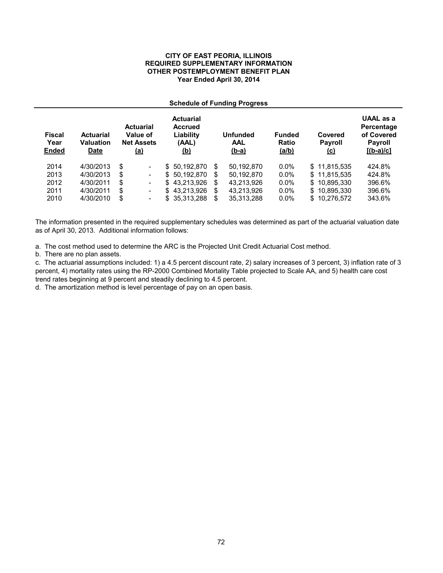#### **CITY OF EAST PEORIA, ILLINOIS REQUIRED SUPPLEMENTARY INFORMATION OTHER POSTEMPLOYMENT BENEFIT PLAN Year Ended April 30, 2014**

#### **Schedule of Funding Progress**

| <b>Fiscal</b><br>Year<br><b>Ended</b> | <b>Actuarial</b><br>Valuation<br><b>Date</b> | <b>Actuarial</b><br>Value of<br><b>Net Assets</b><br><u>(a)</u> | <b>Actuarial</b><br><b>Accrued</b><br>Liability<br>(AAL)<br><u>(b)</u> |    | <b>Unfunded</b><br><b>AAL</b><br>$(b-a)$ | <b>Funded</b><br>Ratio<br>(a/b) | Covered<br><b>Payroll</b><br><u>(c)</u> | UAAL as a<br>Percentage<br>of Covered<br><b>Payroll</b><br>$[(b-a)/c]$ |
|---------------------------------------|----------------------------------------------|-----------------------------------------------------------------|------------------------------------------------------------------------|----|------------------------------------------|---------------------------------|-----------------------------------------|------------------------------------------------------------------------|
| 2014                                  | 4/30/2013                                    | \$<br>$\overline{\phantom{a}}$                                  | \$50.192.870                                                           | \$ | 50.192.870                               | $0.0\%$                         | \$11.815.535                            | 424.8%                                                                 |
| 2013                                  | 4/30/2013                                    | \$<br>$\overline{\phantom{a}}$                                  | \$ 50.192.870                                                          | S  | 50.192.870                               | $0.0\%$                         | \$11.815.535                            | 424.8%                                                                 |
| 2012                                  | 4/30/2011                                    | \$<br>$\overline{\phantom{a}}$                                  | \$43.213.926                                                           | \$ | 43.213.926                               | $0.0\%$                         | \$10.895.330                            | 396.6%                                                                 |
| 2011                                  | 4/30/2011                                    | \$<br>$\overline{\phantom{a}}$                                  | \$43.213.926                                                           | \$ | 43.213.926                               | $0.0\%$                         | \$10.895.330                            | 396.6%                                                                 |
| 2010                                  | 4/30/2010                                    | \$<br>٠                                                         | \$ 35,313,288                                                          | S  | 35,313,288                               | $0.0\%$                         | \$10.276.572                            | 343.6%                                                                 |

The information presented in the required supplementary schedules was determined as part of the actuarial valuation date as of April 30, 2013. Additional information follows:

a. The cost method used to determine the ARC is the Projected Unit Credit Actuarial Cost method.

b. There are no plan assets.

c. The actuarial assumptions included: 1) a 4.5 percent discount rate, 2) salary increases of 3 percent, 3) inflation rate of 3 percent, 4) mortality rates using the RP-2000 Combined Mortality Table projected to Scale AA, and 5) health care cost trend rates beginning at 9 percent and steadily declining to 4.5 percent.

d. The amortization method is level percentage of pay on an open basis.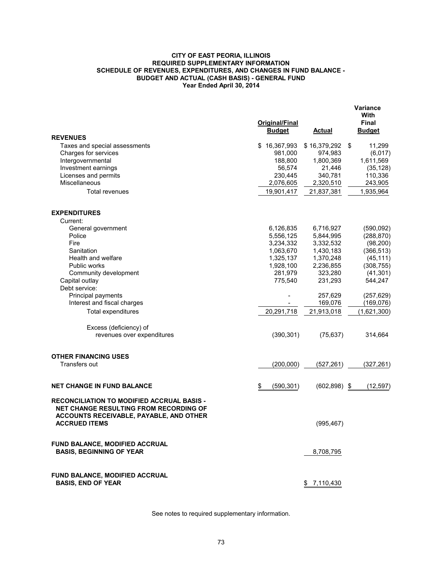#### **CITY OF EAST PEORIA, ILLINOIS REQUIRED SUPPLEMENTARY INFORMATION SCHEDULE OF REVENUES, EXPENDITURES, AND CHANGES IN FUND BALANCE - BUDGET AND ACTUAL (CASH BASIS) - GENERAL FUND Year Ended April 30, 2014**

|                                                                                                                                                         | Original/Final<br><b>Budget</b> | <b>Actual</b>           | Variance<br>With<br><b>Final</b><br><b>Budget</b> |
|---------------------------------------------------------------------------------------------------------------------------------------------------------|---------------------------------|-------------------------|---------------------------------------------------|
| <b>REVENUES</b>                                                                                                                                         |                                 |                         |                                                   |
| Taxes and special assessments<br>Charges for services                                                                                                   | \$16,367,993<br>981,000         | \$16,379,292<br>974,983 | 11,299<br>\$<br>(6, 017)                          |
| Intergovernmental                                                                                                                                       | 188,800                         | 1,800,369               | 1,611,569                                         |
| Investment earnings                                                                                                                                     | 56,574                          | 21,446                  | (35, 128)                                         |
| Licenses and permits                                                                                                                                    | 230,445                         | 340,781                 | 110,336                                           |
| <b>Miscellaneous</b>                                                                                                                                    | 2,076,605                       | 2,320,510               | 243,905                                           |
| <b>Total revenues</b>                                                                                                                                   | 19,901,417                      | 21,837,381              | 1,935,964                                         |
| <b>EXPENDITURES</b>                                                                                                                                     |                                 |                         |                                                   |
| Current:                                                                                                                                                |                                 |                         |                                                   |
| General government                                                                                                                                      | 6,126,835                       | 6,716,927               | (590,092)                                         |
| Police                                                                                                                                                  | 5,556,125                       | 5,844,995               | (288, 870)                                        |
| Fire                                                                                                                                                    | 3,234,332                       | 3,332,532               | (98, 200)                                         |
| Sanitation                                                                                                                                              | 1,063,670                       | 1,430,183               | (366, 513)                                        |
| Health and welfare                                                                                                                                      | 1,325,137                       | 1,370,248               | (45, 111)                                         |
| Public works                                                                                                                                            | 1,928,100                       | 2,236,855               | (308, 755)                                        |
| Community development                                                                                                                                   | 281,979                         | 323,280                 | (41, 301)                                         |
| Capital outlay                                                                                                                                          | 775,540                         | 231,293                 | 544,247                                           |
| Debt service:                                                                                                                                           |                                 |                         |                                                   |
| Principal payments                                                                                                                                      |                                 | 257,629                 | (257, 629)                                        |
| Interest and fiscal charges                                                                                                                             |                                 | 169,076                 | (169, 076)                                        |
| Total expenditures                                                                                                                                      | 20,291,718                      | 21,913,018              | (1,621,300)                                       |
| Excess (deficiency) of                                                                                                                                  |                                 |                         |                                                   |
| revenues over expenditures                                                                                                                              | (390, 301)                      | (75, 637)               | 314,664                                           |
| <b>OTHER FINANCING USES</b>                                                                                                                             |                                 |                         |                                                   |
| Transfers out                                                                                                                                           | (200,000)                       | (527, 261)              | (327, 261)                                        |
| <b>NET CHANGE IN FUND BALANCE</b>                                                                                                                       | \$<br>(590, 301)                | $(602, 898)$ \$         | (12, 597)                                         |
| RECONCILIATION TO MODIFIED ACCRUAL BASIS -<br>NET CHANGE RESULTING FROM RECORDING OF<br>ACCOUNTS RECEIVABLE, PAYABLE, AND OTHER<br><b>ACCRUED ITEMS</b> |                                 | (995, 467)              |                                                   |
| FUND BALANCE, MODIFIED ACCRUAL                                                                                                                          |                                 |                         |                                                   |
| <b>BASIS, BEGINNING OF YEAR</b>                                                                                                                         |                                 | 8,708,795               |                                                   |
| FUND BALANCE, MODIFIED ACCRUAL<br><b>BASIS, END OF YEAR</b>                                                                                             |                                 | \$7,110,430             |                                                   |

See notes to required supplementary information.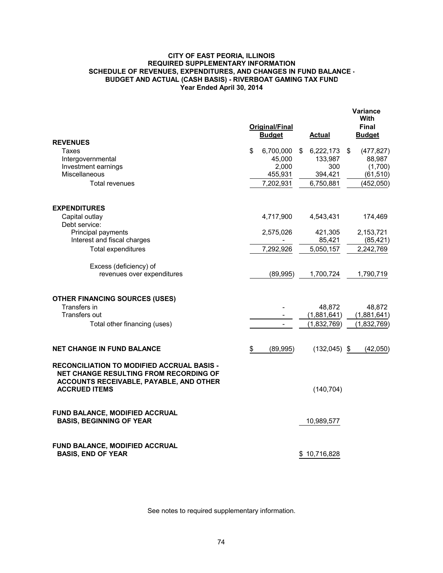#### **CITY OF EAST PEORIA, ILLINOIS REQUIRED SUPPLEMENTARY INFORMATION SCHEDULE OF REVENUES, EXPENDITURES, AND CHANGES IN FUND BALANCE - BUDGET AND ACTUAL (CASH BASIS) - RIVERBOAT GAMING TAX FUND Year Ended April 30, 2014**

|                                                                                                                                                                       | <b>Original/Final</b><br><b>Budget</b> | Actual                     | Variance<br>With<br>Final<br><b>Budget</b> |
|-----------------------------------------------------------------------------------------------------------------------------------------------------------------------|----------------------------------------|----------------------------|--------------------------------------------|
| <b>REVENUES</b>                                                                                                                                                       |                                        |                            |                                            |
| Taxes<br>Intergovernmental                                                                                                                                            | \$<br>6,700,000<br>45,000              | \$<br>6,222,173<br>133,987 | \$<br>(477, 827)<br>88,987                 |
| Investment earnings                                                                                                                                                   | 2,000                                  | 300                        | (1,700)                                    |
| Miscellaneous                                                                                                                                                         | 455,931                                | 394,421                    | (61, 510)                                  |
| <b>Total revenues</b>                                                                                                                                                 | 7,202,931                              | 6,750,881                  | (452,050)                                  |
| <b>EXPENDITURES</b>                                                                                                                                                   |                                        |                            |                                            |
| Capital outlay                                                                                                                                                        | 4,717,900                              | 4,543,431                  | 174,469                                    |
| Debt service:                                                                                                                                                         |                                        |                            |                                            |
| Principal payments                                                                                                                                                    | 2,575,026                              | 421,305                    | 2,153,721                                  |
| Interest and fiscal charges                                                                                                                                           |                                        | 85,421                     | (85, 421)                                  |
| <b>Total expenditures</b>                                                                                                                                             | 7,292,926                              | 5,050,157                  | 2,242,769                                  |
| Excess (deficiency) of                                                                                                                                                |                                        |                            |                                            |
| revenues over expenditures                                                                                                                                            | (89,995)                               | 1,700,724                  | 1,790,719                                  |
| <b>OTHER FINANCING SOURCES (USES)</b>                                                                                                                                 |                                        |                            |                                            |
| Transfers in                                                                                                                                                          |                                        | 48,872                     | 48,872                                     |
| Transfers out                                                                                                                                                         |                                        | (1,881,641)                | (1,881,641)                                |
| Total other financing (uses)                                                                                                                                          |                                        | (1,832,769)                | (1,832,769)                                |
| <b>NET CHANGE IN FUND BALANCE</b>                                                                                                                                     | \$<br>(89, 995)                        | $(132,045)$ \$             | (42,050)                                   |
| <b>RECONCILIATION TO MODIFIED ACCRUAL BASIS -</b><br><b>NET CHANGE RESULTING FROM RECORDING OF</b><br>ACCOUNTS RECEIVABLE, PAYABLE, AND OTHER<br><b>ACCRUED ITEMS</b> |                                        | (140, 704)                 |                                            |
| FUND BALANCE, MODIFIED ACCRUAL<br><b>BASIS, BEGINNING OF YEAR</b>                                                                                                     |                                        | 10,989,577                 |                                            |
| FUND BALANCE, MODIFIED ACCRUAL<br><b>BASIS, END OF YEAR</b>                                                                                                           |                                        | \$10,716,828               |                                            |

See notes to required supplementary information.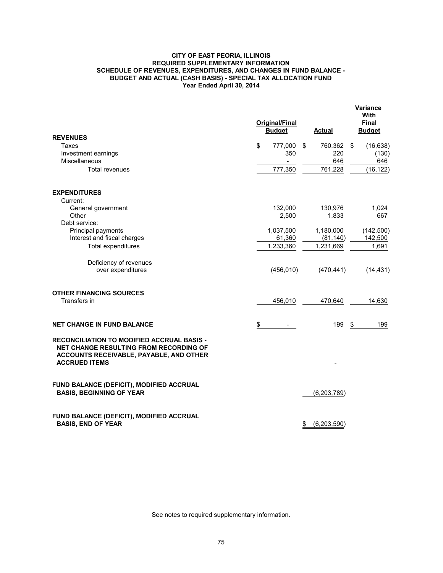#### **CITY OF EAST PEORIA, ILLINOIS REQUIRED SUPPLEMENTARY INFORMATION SCHEDULE OF REVENUES, EXPENDITURES, AND CHANGES IN FUND BALANCE - BUDGET AND ACTUAL (CASH BASIS) - SPECIAL TAX ALLOCATION FUND Year Ended April 30, 2014**

|                                                                                                                                                                | Original/Final<br><b>Budget</b> |     | <b>Actual</b>          | <b>Variance</b><br>With<br>Final<br><b>Budget</b> |
|----------------------------------------------------------------------------------------------------------------------------------------------------------------|---------------------------------|-----|------------------------|---------------------------------------------------|
| <b>REVENUES</b>                                                                                                                                                |                                 |     |                        |                                                   |
| Taxes                                                                                                                                                          | \$<br>777,000                   | -\$ | 760,362                | \$<br>(16, 638)                                   |
| Investment earnings                                                                                                                                            | 350                             |     | 220                    | (130)                                             |
| <b>Miscellaneous</b>                                                                                                                                           | $\blacksquare$                  |     | 646                    | 646                                               |
| <b>Total revenues</b>                                                                                                                                          | 777,350                         |     | 761,228                | (16, 122)                                         |
| <b>EXPENDITURES</b>                                                                                                                                            |                                 |     |                        |                                                   |
| Current:                                                                                                                                                       |                                 |     |                        |                                                   |
| General government                                                                                                                                             | 132,000                         |     | 130,976                | 1,024                                             |
| Other                                                                                                                                                          | 2,500                           |     | 1,833                  | 667                                               |
| Debt service:                                                                                                                                                  |                                 |     |                        |                                                   |
| Principal payments<br>Interest and fiscal charges                                                                                                              | 1,037,500<br>61,360             |     | 1,180,000              | (142, 500)<br>142,500                             |
|                                                                                                                                                                | 1,233,360                       |     | (81, 140)<br>1,231,669 | 1,691                                             |
| Total expenditures                                                                                                                                             |                                 |     |                        |                                                   |
| Deficiency of revenues                                                                                                                                         |                                 |     |                        |                                                   |
| over expenditures                                                                                                                                              | (456, 010)                      |     | (470, 441)             | (14, 431)                                         |
| <b>OTHER FINANCING SOURCES</b>                                                                                                                                 |                                 |     |                        |                                                   |
| Transfers in                                                                                                                                                   | 456,010                         |     | 470,640                | 14,630                                            |
| <b>NET CHANGE IN FUND BALANCE</b>                                                                                                                              | \$                              |     | 199                    | \$<br>199                                         |
| RECONCILIATION TO MODIFIED ACCRUAL BASIS -<br><b>NET CHANGE RESULTING FROM RECORDING OF</b><br>ACCOUNTS RECEIVABLE, PAYABLE, AND OTHER<br><b>ACCRUED ITEMS</b> |                                 |     |                        |                                                   |
| FUND BALANCE (DEFICIT), MODIFIED ACCRUAL<br><b>BASIS, BEGINNING OF YEAR</b>                                                                                    |                                 |     | (6,203,789)            |                                                   |
| FUND BALANCE (DEFICIT), MODIFIED ACCRUAL<br><b>BASIS, END OF YEAR</b>                                                                                          |                                 | \$  | (6,203,590)            |                                                   |

See notes to required supplementary information.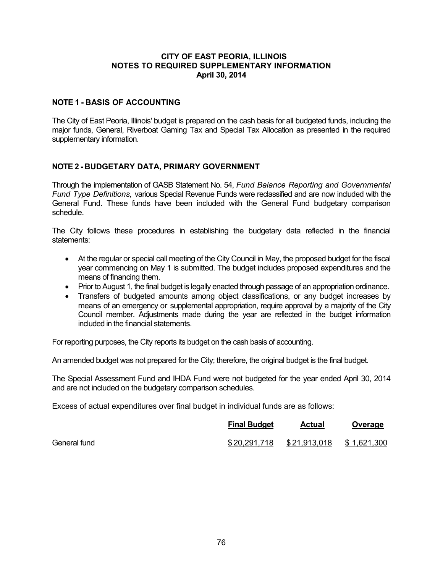## **CITY OF EAST PEORIA, ILLINOIS NOTES TO REQUIRED SUPPLEMENTARY INFORMATION April 30, 2014**

# **NOTE 1 - BASIS OF ACCOUNTING**

The City of East Peoria, Illinois' budget is prepared on the cash basis for all budgeted funds, including the major funds, General, Riverboat Gaming Tax and Special Tax Allocation as presented in the required supplementary information.

## **NOTE 2 - BUDGETARY DATA, PRIMARY GOVERNMENT**

Through the implementation of GASB Statement No. 54, *Fund Balance Reporting and Governmental Fund Type Definitions,* various Special Revenue Funds were reclassified and are now included with the General Fund. These funds have been included with the General Fund budgetary comparison schedule.

The City follows these procedures in establishing the budgetary data reflected in the financial statements:

- At the regular or special call meeting of the City Council in May, the proposed budget for the fiscal year commencing on May 1 is submitted. The budget includes proposed expenditures and the means of financing them.
- Prior to August 1, the final budget is legally enacted through passage of an appropriation ordinance.
- Transfers of budgeted amounts among object classifications, or any budget increases by means of an emergency or supplemental appropriation, require approval by a majority of the City Council member. Adjustments made during the year are reflected in the budget information included in the financial statements.

For reporting purposes, the City reports its budget on the cash basis of accounting.

An amended budget was not prepared for the City; therefore, the original budget is the final budget.

The Special Assessment Fund and IHDA Fund were not budgeted for the year ended April 30, 2014 and are not included on the budgetary comparison schedules.

Excess of actual expenditures over final budget in individual funds are as follows:

|              | <b>Final Budget</b> | <b>Actual</b> | Overage     |
|--------------|---------------------|---------------|-------------|
| General fund | \$20,291,718        | \$21,913,018  | \$1,621,300 |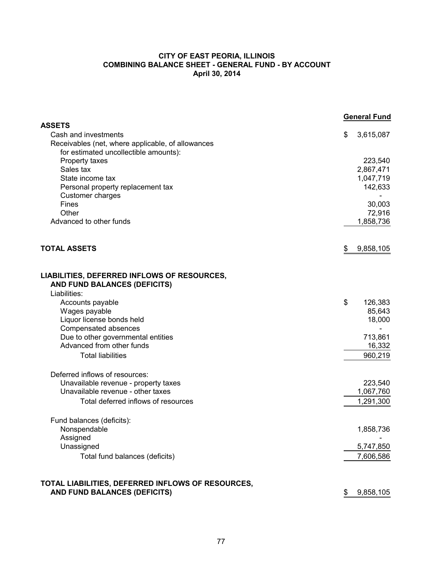#### **CITY OF EAST PEORIA, ILLINOIS COMBINING BALANCE SHEET - GENERAL FUND - BY ACCOUNT April 30, 2014**

|                                                                             | <b>General Fund</b> |
|-----------------------------------------------------------------------------|---------------------|
| <b>ASSETS</b><br>Cash and investments                                       | \$<br>3,615,087     |
| Receivables (net, where applicable, of allowances                           |                     |
| for estimated uncollectible amounts):                                       |                     |
| Property taxes                                                              | 223,540             |
| Sales tax                                                                   | 2,867,471           |
| State income tax                                                            | 1,047,719           |
| Personal property replacement tax                                           | 142,633             |
| Customer charges                                                            |                     |
| <b>Fines</b>                                                                | 30,003              |
| Other<br>Advanced to other funds                                            | 72,916              |
|                                                                             | 1,858,736           |
| <b>TOTAL ASSETS</b>                                                         | \$<br>9,858,105     |
| LIABILITIES, DEFERRED INFLOWS OF RESOURCES,<br>AND FUND BALANCES (DEFICITS) |                     |
| Liabilities:                                                                |                     |
| Accounts payable                                                            | \$<br>126,383       |
| Wages payable                                                               | 85,643              |
| Liquor license bonds held                                                   | 18,000              |
| Compensated absences                                                        |                     |
| Due to other governmental entities<br>Advanced from other funds             | 713,861             |
|                                                                             | 16,332              |
| <b>Total liabilities</b>                                                    | 960,219             |
| Deferred inflows of resources:                                              |                     |
| Unavailable revenue - property taxes                                        | 223,540             |
| Unavailable revenue - other taxes                                           | 1,067,760           |
| Total deferred inflows of resources                                         | 1,291,300           |
| Fund balances (deficits):                                                   |                     |
| Nonspendable                                                                | 1,858,736           |
| Assigned                                                                    |                     |
| Unassigned                                                                  | 5,747,850           |
| Total fund balances (deficits)                                              | 7,606,586           |
| TOTAL LIABILITIES, DEFERRED INFLOWS OF RESOURCES,                           |                     |
| AND FUND BALANCES (DEFICITS)                                                | 9,858,105<br>\$     |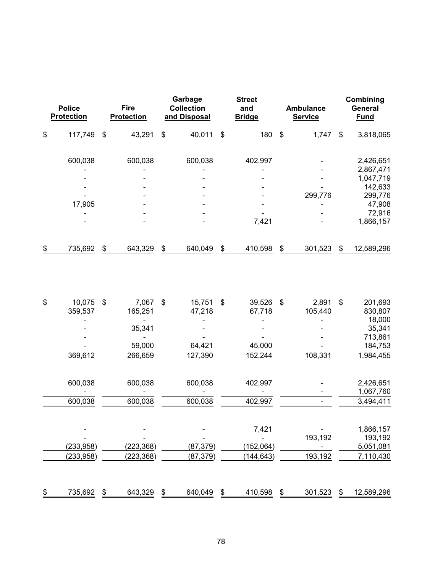| <b>Police</b><br><b>Protection</b> |                          | <b>Fire</b><br><b>Protection</b> |                          |    | Garbage<br><b>Collection</b><br>and Disposal | <b>Street</b><br>and<br><b>Bridge</b> |                           | <b>Ambulance</b><br><b>Service</b> | Combining<br>General<br><b>Fund</b> |                                   |  |
|------------------------------------|--------------------------|----------------------------------|--------------------------|----|----------------------------------------------|---------------------------------------|---------------------------|------------------------------------|-------------------------------------|-----------------------------------|--|
| \$                                 | 117,749                  | \$                               | 43,291                   | \$ | 40,011                                       | \$<br>180                             | $\boldsymbol{\mathsf{S}}$ | 1,747                              | \$                                  | 3,818,065                         |  |
|                                    | 600,038                  |                                  | 600,038                  |    | 600,038                                      | 402,997                               |                           |                                    |                                     | 2,426,651                         |  |
|                                    |                          |                                  |                          |    |                                              |                                       |                           |                                    |                                     | 2,867,471<br>1,047,719<br>142,633 |  |
|                                    | 17,905                   |                                  |                          |    |                                              |                                       |                           | 299,776                            |                                     | 299,776<br>47,908<br>72,916       |  |
|                                    |                          |                                  |                          |    |                                              | 7,421                                 |                           |                                    |                                     | 1,866,157                         |  |
| \$                                 | 735,692                  | \$                               | 643,329                  | \$ | 640,049                                      | \$<br>410,598                         | \$                        | 301,523                            | \$                                  | 12,589,296                        |  |
| \$                                 | 10,075<br>359,537        | \$                               | 7,067<br>165,251         | \$ | 15,751<br>47,218                             | \$<br>39,526<br>67,718                | \$                        | 2,891<br>105,440                   | \$                                  | 201,693<br>830,807                |  |
|                                    |                          |                                  | 35,341                   |    |                                              |                                       |                           |                                    |                                     | 18,000<br>35,341<br>713,861       |  |
|                                    | 369,612                  |                                  | 59,000<br>266,659        |    | 64,421<br>127,390                            | 45,000<br>152,244                     |                           | 108,331                            |                                     | 184,753<br>1,984,455              |  |
|                                    | 600,038                  |                                  | 600,038                  |    | 600,038                                      | 402,997                               |                           |                                    |                                     | 2,426,651<br>1,067,760            |  |
|                                    | 600,038                  |                                  | 600,038                  |    | 600,038                                      | 402,997                               |                           |                                    |                                     | 3,494,411                         |  |
|                                    |                          |                                  |                          |    |                                              | 7,421                                 |                           | 193,192                            |                                     | 1,866,157<br>193,192              |  |
|                                    | (233, 958)<br>(233, 958) |                                  | (223, 368)<br>(223, 368) |    | (87, 379)<br>(87, 379)                       | (152,064)<br>(144, 643)               |                           | 193,192                            |                                     | 5,051,081<br>7,110,430            |  |
| \$                                 | 735,692                  | \$                               | 643,329                  | \$ | 640,049                                      | \$<br>410,598                         | \$                        | 301,523                            | \$                                  | 12,589,296                        |  |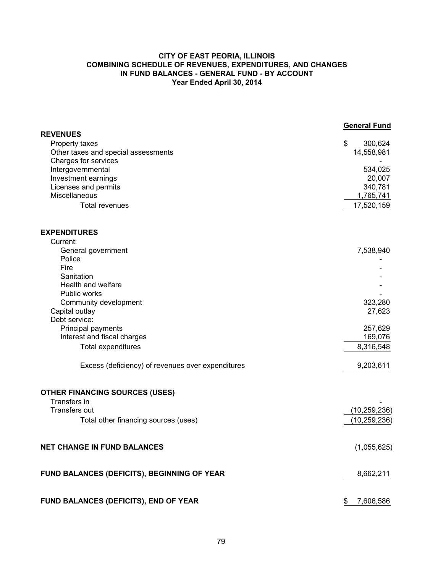#### **CITY OF EAST PEORIA, ILLINOIS COMBINING SCHEDULE OF REVENUES, EXPENDITURES, AND CHANGES IN FUND BALANCES - GENERAL FUND - BY ACCOUNT Year Ended April 30, 2014**

|                                                             | <b>General Fund</b> |
|-------------------------------------------------------------|---------------------|
| <b>REVENUES</b>                                             |                     |
| Property taxes                                              | \$<br>300,624       |
| Other taxes and special assessments<br>Charges for services | 14,558,981          |
| Intergovernmental                                           | 534,025             |
| Investment earnings                                         | 20,007              |
| Licenses and permits                                        | 340,781             |
| Miscellaneous                                               | 1,765,741           |
| Total revenues                                              | 17,520,159          |
| <b>EXPENDITURES</b>                                         |                     |
| Current:                                                    |                     |
| General government                                          | 7,538,940           |
| Police                                                      |                     |
| Fire                                                        |                     |
| Sanitation                                                  |                     |
| Health and welfare                                          |                     |
| Public works                                                |                     |
| Community development                                       | 323,280             |
| Capital outlay                                              | 27,623              |
| Debt service:                                               |                     |
| Principal payments                                          | 257,629             |
| Interest and fiscal charges                                 | 169,076             |
| Total expenditures                                          | 8,316,548           |
| Excess (deficiency) of revenues over expenditures           | 9,203,611           |
| <b>OTHER FINANCING SOURCES (USES)</b>                       |                     |
| Transfers in                                                |                     |
| Transfers out                                               | (10, 259, 236)      |
| Total other financing sources (uses)                        | (10, 259, 236)      |
| <b>NET CHANGE IN FUND BALANCES</b>                          | (1,055,625)         |
| FUND BALANCES (DEFICITS), BEGINNING OF YEAR                 | 8,662,211           |
| FUND BALANCES (DEFICITS), END OF YEAR                       | 7,606,586<br>\$     |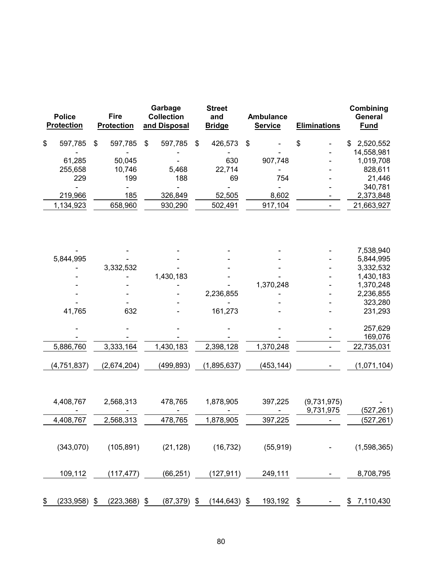| <b>Police</b><br><b>Protection</b> | Garbage<br>Fire<br><b>Collection</b><br><b>Protection</b><br>and Disposal |                            | <b>Street</b><br>and<br><b>Bridge</b> | <b>Ambulance</b><br><b>Service</b> | <b>Eliminations</b>      | Combining<br>General<br><b>Fund</b> |  |  |
|------------------------------------|---------------------------------------------------------------------------|----------------------------|---------------------------------------|------------------------------------|--------------------------|-------------------------------------|--|--|
| \$<br>597,785                      | \$<br>597,785                                                             | $\$\$<br>597,785           | \$<br>426,573                         | \$                                 | \$                       | \$2,520,552                         |  |  |
|                                    |                                                                           |                            |                                       |                                    |                          | 14,558,981                          |  |  |
| 61,285                             | 50,045                                                                    |                            | 630                                   | 907,748                            |                          | 1,019,708                           |  |  |
| 255,658                            | 10,746                                                                    | 5,468                      | 22,714                                |                                    |                          | 828,611                             |  |  |
| 229                                | 199                                                                       | 188                        | 69                                    | 754                                |                          | 21,446                              |  |  |
| 219,966                            | $\overline{\phantom{a}}$<br>185                                           | 326,849                    | 52,505                                | 8,602                              |                          | 340,781<br>2,373,848                |  |  |
| 1,134,923                          | 658,960                                                                   | 930,290                    | 502,491                               |                                    |                          | 21,663,927                          |  |  |
|                                    |                                                                           |                            |                                       | 917,104                            |                          |                                     |  |  |
|                                    |                                                                           |                            |                                       |                                    |                          | 7,538,940                           |  |  |
| 5,844,995                          |                                                                           |                            |                                       |                                    |                          | 5,844,995                           |  |  |
|                                    | 3,332,532                                                                 | 1,430,183                  |                                       |                                    |                          | 3,332,532<br>1,430,183              |  |  |
|                                    |                                                                           |                            |                                       | 1,370,248                          |                          | 1,370,248                           |  |  |
|                                    |                                                                           |                            | 2,236,855                             |                                    |                          | 2,236,855                           |  |  |
|                                    |                                                                           |                            |                                       |                                    |                          | 323,280                             |  |  |
| 41,765                             | 632                                                                       |                            | 161,273                               |                                    |                          | 231,293                             |  |  |
|                                    |                                                                           |                            |                                       |                                    |                          | 257,629                             |  |  |
|                                    |                                                                           |                            |                                       |                                    |                          | 169,076                             |  |  |
| 5,886,760                          | 3,333,164                                                                 | 1,430,183                  | 2,398,128                             | 1,370,248                          |                          | 22,735,031                          |  |  |
| (4, 751, 837)                      | (2,674,204)                                                               | (499, 893)                 | (1,895,637)                           | (453, 144)                         |                          | (1,071,104)                         |  |  |
| 4,408,767                          | 2,568,313                                                                 | 478,765                    | 1,878,905                             | 397,225                            | (9,731,975)<br>9,731,975 |                                     |  |  |
|                                    |                                                                           | 478,765                    |                                       |                                    |                          | (527, 261)                          |  |  |
| 4,408,767                          | 2,568,313                                                                 |                            | 1,878,905                             | 397,225                            |                          | (527, 261)                          |  |  |
| (343,070)                          | (105, 891)                                                                | (21, 128)                  | (16, 732)                             | (55, 919)                          |                          | (1,598,365)                         |  |  |
| 109,112                            | (117, 477)                                                                | (66, 251)                  | (127, 911)                            | 249,111                            |                          | 8,708,795                           |  |  |
| \$<br>(233, 958)                   | (223, 368)<br>\$                                                          | $\frac{3}{2}$<br>(87, 379) | $\frac{1}{2}$<br>(144, 643)           | \$<br>193,192                      | \$                       | \$7,110,430                         |  |  |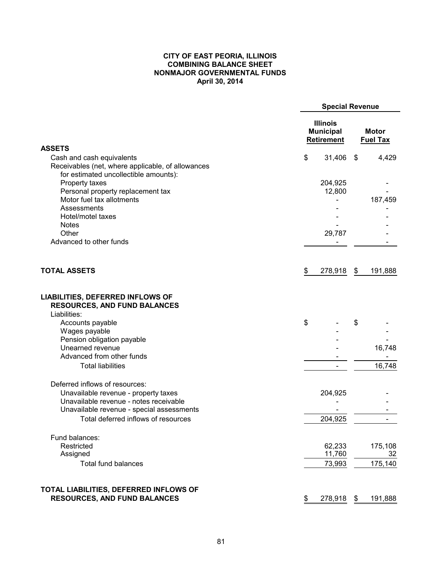#### **CITY OF EAST PEORIA, ILLINOIS COMBINING BALANCE SHEET NONMAJOR GOVERNMENTAL FUNDS April 30, 2014**

|                                                                                |                                                          | <b>Special Revenue</b>          |
|--------------------------------------------------------------------------------|----------------------------------------------------------|---------------------------------|
|                                                                                | <b>Illinois</b><br><b>Municipal</b><br><b>Retirement</b> | <b>Motor</b><br><b>Fuel Tax</b> |
| <b>ASSETS</b>                                                                  |                                                          |                                 |
| Cash and cash equivalents                                                      | \$<br>31,406                                             | \$<br>4,429                     |
| Receivables (net, where applicable, of allowances                              |                                                          |                                 |
| for estimated uncollectible amounts):                                          |                                                          |                                 |
| Property taxes                                                                 | 204,925                                                  |                                 |
| Personal property replacement tax                                              | 12,800                                                   |                                 |
| Motor fuel tax allotments                                                      |                                                          | 187,459                         |
| Assessments                                                                    |                                                          |                                 |
| Hotel/motel taxes                                                              |                                                          |                                 |
| <b>Notes</b>                                                                   |                                                          |                                 |
| Other                                                                          | 29,787                                                   |                                 |
| Advanced to other funds                                                        |                                                          |                                 |
| <b>TOTAL ASSETS</b>                                                            | 278,918<br>\$                                            | \$<br>191,888                   |
| <b>RESOURCES, AND FUND BALANCES</b><br>Liabilities:<br>Accounts payable        | \$                                                       | \$                              |
| Wages payable                                                                  |                                                          |                                 |
| Pension obligation payable                                                     |                                                          |                                 |
| Unearned revenue                                                               |                                                          | 16,748                          |
| Advanced from other funds                                                      |                                                          |                                 |
| <b>Total liabilities</b>                                                       |                                                          | 16,748                          |
| Deferred inflows of resources:                                                 | 204,925                                                  |                                 |
| Unavailable revenue - property taxes<br>Unavailable revenue - notes receivable |                                                          |                                 |
| Unavailable revenue - special assessments                                      |                                                          |                                 |
| Total deferred inflows of resources                                            | 204,925                                                  |                                 |
|                                                                                |                                                          |                                 |
| Fund balances:                                                                 |                                                          |                                 |
| Restricted                                                                     | 62,233                                                   | 175,108                         |
| Assigned                                                                       | 11,760                                                   | 32                              |
| <b>Total fund balances</b>                                                     | 73,993                                                   | 175,140                         |
| TOTAL LIABILITIES, DEFERRED INFLOWS OF                                         |                                                          |                                 |
| <b>RESOURCES, AND FUND BALANCES</b>                                            | 278,918<br>\$                                            | 191,888<br>\$                   |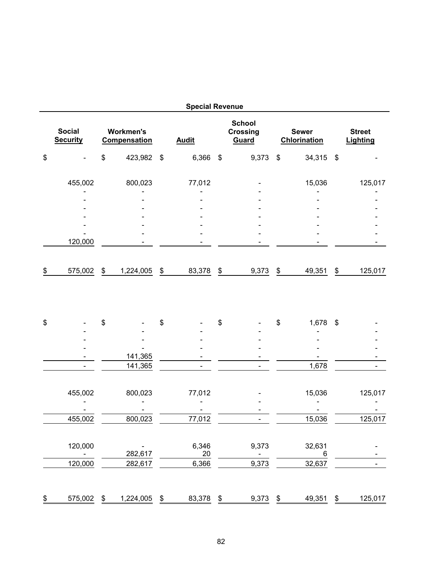|                                  |                                         | <b>Special Revenue</b> |                           |                                           |                                     |                           |                           |
|----------------------------------|-----------------------------------------|------------------------|---------------------------|-------------------------------------------|-------------------------------------|---------------------------|---------------------------|
| <b>Social</b><br><b>Security</b> | <b>Workmen's</b><br><b>Compensation</b> | <b>Audit</b>           |                           | <b>School</b><br><b>Crossing</b><br>Guard | <b>Sewer</b><br><b>Chlorination</b> |                           | <b>Street</b><br>Lighting |
| \$                               | \$<br>423,982 \$                        | 6,366                  | $\boldsymbol{\mathsf{S}}$ | 9,373                                     | \$<br>34,315                        | $\boldsymbol{\mathsf{S}}$ |                           |
| 455,002                          | 800,023                                 | 77,012                 |                           |                                           | 15,036                              |                           | 125,017                   |
|                                  |                                         |                        |                           |                                           |                                     |                           |                           |
|                                  |                                         |                        |                           |                                           |                                     |                           |                           |
|                                  |                                         |                        |                           |                                           |                                     |                           |                           |
|                                  |                                         |                        |                           |                                           |                                     |                           |                           |
| 120,000                          |                                         |                        |                           |                                           |                                     |                           |                           |
| \$<br>575,002                    | \$<br>1,224,005                         | \$<br>83,378           | \$                        | 9,373                                     | \$<br>49,351                        | \$                        | 125,017                   |
| \$                               | \$                                      | \$                     | \$                        |                                           | \$<br>1,678                         | $\boldsymbol{\mathsf{S}}$ |                           |
|                                  |                                         |                        |                           |                                           |                                     |                           |                           |
|                                  |                                         |                        |                           |                                           |                                     |                           |                           |
|                                  | 141,365                                 |                        |                           |                                           |                                     |                           |                           |
|                                  | 141,365                                 |                        |                           |                                           | 1,678                               |                           |                           |
| 455,002                          | 800,023                                 | 77,012                 |                           |                                           | 15,036                              |                           | 125,017                   |
|                                  |                                         |                        |                           |                                           |                                     |                           |                           |
| 455,002                          | 800,023                                 | 77,012                 |                           |                                           | 15,036                              |                           | 125,017                   |
| 120,000                          | 282,617                                 | 6,346<br>20            |                           | 9,373                                     | 32,631<br>6                         |                           |                           |
| 120,000                          | 282,617                                 | 6,366                  |                           | 9,373                                     | 32,637                              |                           |                           |
|                                  |                                         |                        |                           |                                           |                                     |                           |                           |
| \$<br>$575,002$ \$               | 1,224,005 \$                            | $83,378$ \$            |                           | $9,373$ \$                                | 49,351 \$                           |                           | 125,017                   |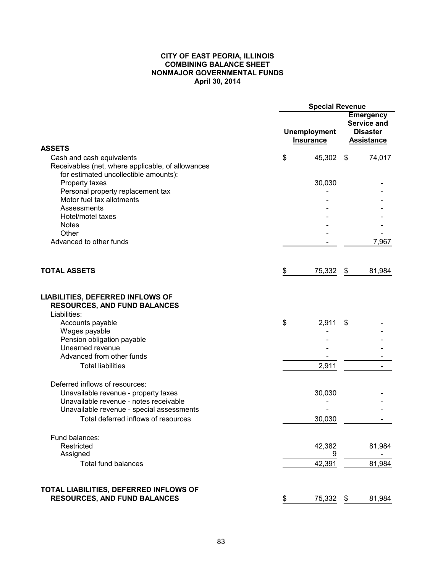#### **CITY OF EAST PEORIA, ILLINOIS COMBINING BALANCE SHEET NONMAJOR GOVERNMENTAL FUNDS April 30, 2014**

|                                                                                                                         | <b>Special Revenue</b> |                                         |    |                                                                                |  |  |  |
|-------------------------------------------------------------------------------------------------------------------------|------------------------|-----------------------------------------|----|--------------------------------------------------------------------------------|--|--|--|
|                                                                                                                         |                        | <b>Unemployment</b><br><b>Insurance</b> |    | <b>Emergency</b><br><b>Service and</b><br><b>Disaster</b><br><b>Assistance</b> |  |  |  |
| <b>ASSETS</b>                                                                                                           |                        |                                         |    |                                                                                |  |  |  |
| Cash and cash equivalents<br>Receivables (net, where applicable, of allowances<br>for estimated uncollectible amounts): | \$                     | 45,302 \$                               |    | 74,017                                                                         |  |  |  |
| Property taxes                                                                                                          |                        | 30,030                                  |    |                                                                                |  |  |  |
| Personal property replacement tax                                                                                       |                        |                                         |    |                                                                                |  |  |  |
| Motor fuel tax allotments                                                                                               |                        |                                         |    |                                                                                |  |  |  |
| Assessments                                                                                                             |                        |                                         |    |                                                                                |  |  |  |
| Hotel/motel taxes                                                                                                       |                        |                                         |    |                                                                                |  |  |  |
| <b>Notes</b>                                                                                                            |                        |                                         |    |                                                                                |  |  |  |
| Other                                                                                                                   |                        |                                         |    |                                                                                |  |  |  |
| Advanced to other funds                                                                                                 |                        |                                         |    | 7,967                                                                          |  |  |  |
| <b>TOTAL ASSETS</b>                                                                                                     | \$                     | 75,332                                  | \$ | 81,984                                                                         |  |  |  |
| Accounts payable<br>Wages payable<br>Pension obligation payable<br>Unearned revenue<br>Advanced from other funds        | \$                     | 2,911                                   | S  |                                                                                |  |  |  |
| <b>Total liabilities</b>                                                                                                |                        | 2,911                                   |    |                                                                                |  |  |  |
| Deferred inflows of resources:<br>Unavailable revenue - property taxes                                                  |                        | 30,030                                  |    |                                                                                |  |  |  |
| Unavailable revenue - notes receivable                                                                                  |                        |                                         |    |                                                                                |  |  |  |
| Unavailable revenue - special assessments                                                                               |                        |                                         |    |                                                                                |  |  |  |
| Total deferred inflows of resources                                                                                     |                        | 30,030                                  |    |                                                                                |  |  |  |
| Fund balances:                                                                                                          |                        |                                         |    |                                                                                |  |  |  |
| Restricted<br>Assigned                                                                                                  |                        | 42,382<br>9                             |    | 81,984                                                                         |  |  |  |
| <b>Total fund balances</b>                                                                                              |                        | 42,391                                  |    | 81,984                                                                         |  |  |  |
| TOTAL LIABILITIES, DEFERRED INFLOWS OF                                                                                  |                        |                                         |    |                                                                                |  |  |  |
| <b>RESOURCES, AND FUND BALANCES</b>                                                                                     | \$                     | <u>75,332</u>                           | \$ | 81,984                                                                         |  |  |  |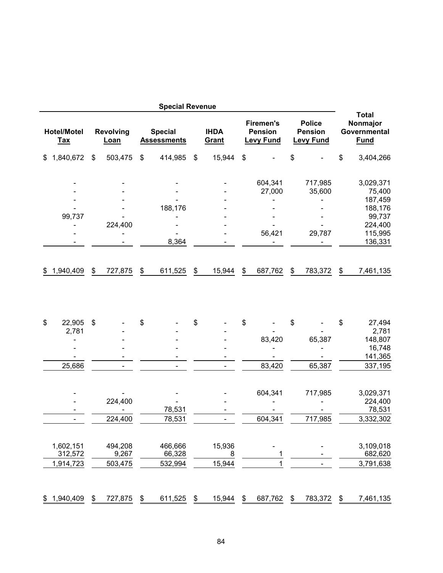|                                  |                      |                          |                  |                                   | <b>Special Revenue</b>               |               |                             |                                                        |                                                     |                          |                                                         |
|----------------------------------|----------------------|--------------------------|------------------|-----------------------------------|--------------------------------------|---------------|-----------------------------|--------------------------------------------------------|-----------------------------------------------------|--------------------------|---------------------------------------------------------|
| <b>Hotel/Motel</b><br><b>Tax</b> |                      | <b>Revolving</b><br>Loan |                  |                                   | <b>Special</b><br><b>Assessments</b> |               | <b>IHDA</b><br><b>Grant</b> | <b>Firemen's</b><br><b>Pension</b><br><b>Levy Fund</b> | <b>Police</b><br><b>Pension</b><br><b>Levy Fund</b> |                          | <b>Total</b><br>Nonmajor<br>Governmental<br><b>Fund</b> |
| \$                               | 1,840,672            | \$                       | 503,475          | \$                                | 414,985                              | \$            | 15,944                      | \$                                                     | \$                                                  | \$                       | 3,404,266                                               |
|                                  |                      |                          |                  |                                   |                                      |               |                             | 604,341<br>27,000                                      | 717,985<br>35,600                                   |                          | 3,029,371<br>75,400<br>187,459                          |
|                                  | 99,737               |                          | 224,400          |                                   | 188,176                              |               |                             |                                                        |                                                     |                          | 188,176<br>99,737<br>224,400                            |
|                                  |                      |                          |                  |                                   | 8,364                                |               |                             | 56,421                                                 | 29,787                                              |                          | 115,995<br>136,331                                      |
| \$                               | 1,940,409            | \$                       | 727,875          | \$                                | 611,525                              | $\frac{1}{2}$ | 15,944                      | \$<br>687,762                                          | \$<br>783,372                                       | \$                       | 7,461,135                                               |
| \$                               | 22,905               | \$                       |                  | \$                                |                                      | \$            |                             | \$                                                     | \$                                                  | \$                       | 27,494                                                  |
|                                  | 2,781                |                          |                  |                                   |                                      |               |                             |                                                        |                                                     |                          | 2,781                                                   |
|                                  |                      |                          |                  |                                   |                                      |               |                             | 83,420                                                 | 65,387                                              |                          | 148,807                                                 |
|                                  |                      |                          |                  |                                   |                                      |               |                             |                                                        |                                                     |                          | 16,748                                                  |
|                                  |                      |                          |                  |                                   |                                      |               |                             |                                                        |                                                     |                          | 141,365                                                 |
|                                  | 25,686               |                          | $\blacksquare$   |                                   |                                      |               | $\blacksquare$              | 83,420                                                 | 65,387                                              |                          | 337,195                                                 |
|                                  |                      |                          |                  |                                   |                                      |               |                             | 604,341                                                | 717,985                                             |                          | 3,029,371                                               |
|                                  |                      |                          | 224,400          |                                   |                                      |               |                             |                                                        |                                                     |                          | 224,400<br>78,531                                       |
|                                  |                      |                          |                  |                                   | 78,531                               |               | Ξ.                          | 604,341                                                | 717,985                                             |                          |                                                         |
|                                  |                      |                          | 224,400          |                                   | 78,531                               |               |                             |                                                        |                                                     |                          | 3,332,302                                               |
|                                  | 1,602,151<br>312,572 |                          | 494,208<br>9,267 |                                   | 466,666<br>66,328                    |               | 15,936<br>8                 | 1                                                      |                                                     |                          | 3,109,018<br>682,620                                    |
|                                  | 1,914,723            |                          | 503,475          |                                   | 532,994                              |               | 15,944                      | 1                                                      |                                                     |                          | 3,791,638                                               |
|                                  |                      |                          |                  |                                   |                                      |               |                             |                                                        |                                                     |                          |                                                         |
| \$                               | 1,940,409            | \$                       | 727,875          | $\frac{\mathcal{L}}{\mathcal{L}}$ | 611,525                              | \$            | 15,944                      | \$<br>687,762                                          | \$<br>783,372                                       | $\overline{\mathcal{F}}$ | 7,461,135                                               |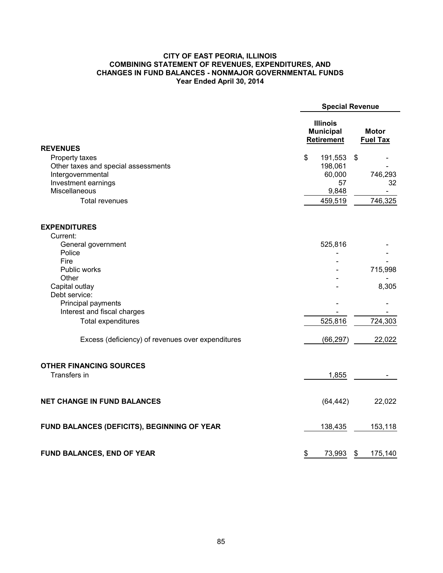### **CITY OF EAST PEORIA, ILLINOIS COMBINING STATEMENT OF REVENUES, EXPENDITURES, AND CHANGES IN FUND BALANCES - NONMAJOR GOVERNMENTAL FUNDS Year Ended April 30, 2014**

|                                                       | <b>Special Revenue</b>                                   |                                 |                          |
|-------------------------------------------------------|----------------------------------------------------------|---------------------------------|--------------------------|
|                                                       | <b>Illinois</b><br><b>Municipal</b><br><b>Retirement</b> | <b>Motor</b><br><b>Fuel Tax</b> |                          |
| <b>REVENUES</b>                                       |                                                          | $\mathfrak{F}$                  |                          |
| Property taxes<br>Other taxes and special assessments | \$<br>191,553<br>198,061                                 |                                 |                          |
| Intergovernmental                                     | 60,000                                                   |                                 | 746,293                  |
| Investment earnings                                   | 57                                                       |                                 | 32                       |
| Miscellaneous                                         | 9,848                                                    |                                 | $\overline{\phantom{0}}$ |
| <b>Total revenues</b>                                 | 459,519                                                  |                                 | 746,325                  |
| <b>EXPENDITURES</b>                                   |                                                          |                                 |                          |
| Current:                                              |                                                          |                                 |                          |
| General government                                    | 525,816                                                  |                                 |                          |
| Police                                                |                                                          |                                 |                          |
| Fire                                                  |                                                          |                                 |                          |
| Public works                                          |                                                          |                                 | 715,998                  |
| Other<br>Capital outlay                               |                                                          |                                 | 8,305                    |
| Debt service:                                         |                                                          |                                 |                          |
| Principal payments                                    |                                                          |                                 |                          |
| Interest and fiscal charges                           |                                                          |                                 |                          |
| <b>Total expenditures</b>                             | 525,816                                                  |                                 | 724,303                  |
| Excess (deficiency) of revenues over expenditures     | (66, 297)                                                |                                 | 22,022                   |
| <b>OTHER FINANCING SOURCES</b><br>Transfers in        | 1,855                                                    |                                 |                          |
| <b>NET CHANGE IN FUND BALANCES</b>                    | (64, 442)                                                |                                 | 22,022                   |
| FUND BALANCES (DEFICITS), BEGINNING OF YEAR           | 138,435                                                  |                                 | 153,118                  |
| FUND BALANCES, END OF YEAR                            | \$<br>73,993                                             | \$                              | 175,140                  |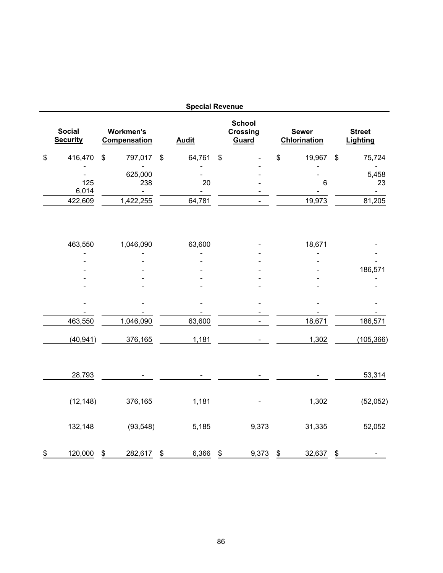|                                  |                                         | <b>Special Revenue</b> |                                           |                                     |                           |                               |
|----------------------------------|-----------------------------------------|------------------------|-------------------------------------------|-------------------------------------|---------------------------|-------------------------------|
| <b>Social</b><br><b>Security</b> | <b>Workmen's</b><br><b>Compensation</b> | <b>Audit</b>           | <b>School</b><br><b>Crossing</b><br>Guard | <b>Sewer</b><br><b>Chlorination</b> |                           | <b>Street</b><br>Lighting     |
| \$<br>416,470                    | \$<br>797,017                           | \$<br>64,761           | \$                                        | \$<br>19,967                        | $\boldsymbol{\mathsf{S}}$ | 75,724                        |
| 125<br>6,014                     | 625,000<br>238<br>$\blacksquare$        | 20                     |                                           | 6                                   |                           | 5,458<br>23<br>$\blacksquare$ |
| 422,609                          | 1,422,255                               | 64,781                 |                                           | 19,973                              |                           | 81,205                        |
| 463,550                          | 1,046,090                               | 63,600                 |                                           | 18,671                              |                           |                               |
|                                  |                                         |                        |                                           |                                     |                           |                               |
|                                  |                                         |                        |                                           |                                     |                           | 186,571                       |
|                                  |                                         |                        |                                           |                                     |                           |                               |
|                                  |                                         |                        |                                           |                                     |                           |                               |
|                                  |                                         |                        |                                           |                                     |                           |                               |
| 463,550                          | 1,046,090                               | 63,600                 |                                           | 18,671                              |                           | 186,571                       |
| (40, 941)                        | 376,165                                 | 1,181                  |                                           | 1,302                               |                           | (105, 366)                    |
| 28,793                           |                                         |                        |                                           |                                     |                           | 53,314                        |
| (12, 148)                        | 376,165                                 | 1,181                  |                                           | 1,302                               |                           | (52,052)                      |
| 132,148                          | (93, 548)                               | 5,185                  | 9,373                                     | 31,335                              |                           | 52,052                        |
| \$<br>120,000                    | \$<br>282,617                           | \$<br>6,366            | \$<br>9,373                               | \$<br>32,637                        | \$                        |                               |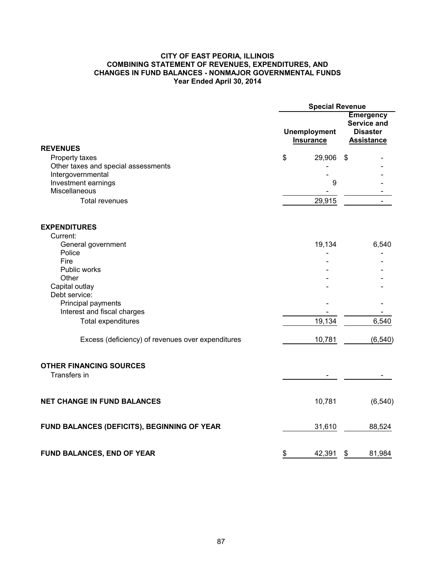### **CITY OF EAST PEORIA, ILLINOIS COMBINING STATEMENT OF REVENUES, EXPENDITURES, AND CHANGES IN FUND BALANCES - NONMAJOR GOVERNMENTAL FUNDS Year Ended April 30, 2014**

|                                                          | <b>Special Revenue</b>                  |                                                                                |  |  |
|----------------------------------------------------------|-----------------------------------------|--------------------------------------------------------------------------------|--|--|
|                                                          | <b>Unemployment</b><br><b>Insurance</b> | <b>Emergency</b><br><b>Service and</b><br><b>Disaster</b><br><b>Assistance</b> |  |  |
| <b>REVENUES</b>                                          |                                         |                                                                                |  |  |
| Property taxes                                           | \$<br>29,906                            | \$                                                                             |  |  |
| Other taxes and special assessments<br>Intergovernmental |                                         |                                                                                |  |  |
| Investment earnings                                      | 9                                       |                                                                                |  |  |
| Miscellaneous                                            |                                         |                                                                                |  |  |
| <b>Total revenues</b>                                    | 29,915                                  |                                                                                |  |  |
| <b>EXPENDITURES</b>                                      |                                         |                                                                                |  |  |
| Current:                                                 |                                         |                                                                                |  |  |
| General government                                       | 19,134                                  | 6,540                                                                          |  |  |
| Police<br>Fire                                           |                                         |                                                                                |  |  |
| Public works                                             |                                         |                                                                                |  |  |
| Other                                                    |                                         |                                                                                |  |  |
| Capital outlay                                           |                                         |                                                                                |  |  |
| Debt service:                                            |                                         |                                                                                |  |  |
| Principal payments                                       |                                         |                                                                                |  |  |
| Interest and fiscal charges                              |                                         |                                                                                |  |  |
| <b>Total expenditures</b>                                | 19,134                                  | 6,540                                                                          |  |  |
| Excess (deficiency) of revenues over expenditures        | 10,781                                  | (6, 540)                                                                       |  |  |
| <b>OTHER FINANCING SOURCES</b><br>Transfers in           |                                         |                                                                                |  |  |
| <b>NET CHANGE IN FUND BALANCES</b>                       | 10,781                                  | (6, 540)                                                                       |  |  |
| FUND BALANCES (DEFICITS), BEGINNING OF YEAR              | 31,610                                  | 88,524                                                                         |  |  |
| FUND BALANCES, END OF YEAR                               | \$<br>42,391                            | \$<br>81,984                                                                   |  |  |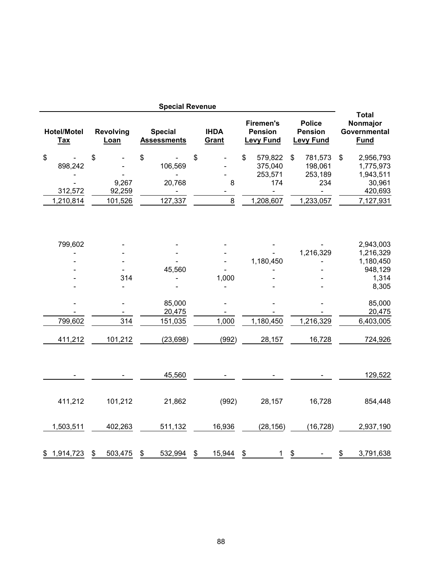|                                  |                          | <b>Special Revenue</b>               |                      |                                                        |              |                                                     |                                                         |
|----------------------------------|--------------------------|--------------------------------------|----------------------|--------------------------------------------------------|--------------|-----------------------------------------------------|---------------------------------------------------------|
| <b>Hotel/Motel</b><br><b>Tax</b> | <b>Revolving</b><br>Loan | <b>Special</b><br><b>Assessments</b> | <b>IHDA</b><br>Grant | <b>Firemen's</b><br><b>Pension</b><br><b>Levy Fund</b> |              | <b>Police</b><br><b>Pension</b><br><b>Levy Fund</b> | <b>Total</b><br>Nonmajor<br>Governmental<br><b>Fund</b> |
| \$                               | \$                       | \$                                   | \$                   | \$<br>579,822                                          | $\mathbb{S}$ | 781,573                                             | \$<br>2,956,793                                         |
| 898,242                          |                          | 106,569                              |                      | 375,040                                                |              | 198,061                                             | 1,775,973                                               |
|                                  |                          |                                      |                      | 253,571                                                |              | 253,189                                             | 1,943,511                                               |
|                                  | 9,267                    | 20,768                               | 8                    | 174                                                    |              | 234                                                 | 30,961                                                  |
| 312,572                          | 92,259                   |                                      |                      |                                                        |              |                                                     | 420,693                                                 |
| 1,210,814                        | 101,526                  | 127,337                              | 8                    | 1,208,607                                              |              | 1,233,057                                           | 7,127,931                                               |
| 799,602                          |                          |                                      |                      |                                                        |              | 1,216,329                                           | 2,943,003<br>1,216,329                                  |
|                                  |                          |                                      |                      | 1,180,450                                              |              |                                                     | 1,180,450                                               |
|                                  |                          | 45,560                               |                      |                                                        |              |                                                     | 948,129                                                 |
|                                  | 314                      |                                      | 1,000                |                                                        |              |                                                     | 1,314                                                   |
|                                  |                          |                                      |                      |                                                        |              |                                                     | 8,305                                                   |
|                                  | $\blacksquare$           | 85,000<br>20,475                     |                      |                                                        |              |                                                     | 85,000<br>20,475                                        |
| 799,602                          | 314                      | 151,035                              | 1,000                | 1,180,450                                              |              | 1,216,329                                           | 6,403,005                                               |
| 411,212                          | 101,212                  | (23, 698)                            | (992)                | 28,157                                                 |              | 16,728                                              | 724,926                                                 |
|                                  |                          | 45,560                               |                      |                                                        |              |                                                     | 129,522                                                 |
| 411,212                          | 101,212                  | 21,862                               | (992)                | 28,157                                                 |              | 16,728                                              | 854,448                                                 |
| 1,503,511                        | 402,263                  | 511,132                              | 16,936               | (28, 156)                                              |              | (16, 728)                                           | 2,937,190                                               |
| \$1,914,723                      | \$<br>503,475            | \$<br>532,994                        | \$<br>15,944         | \$<br>$\mathbf{1}$                                     | \$           |                                                     | \$<br>3,791,638                                         |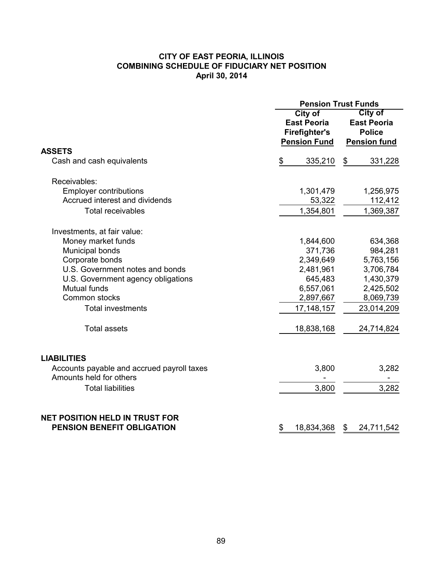# **CITY OF EAST PEORIA, ILLINOIS COMBINING SCHEDULE OF FIDUCIARY NET POSITION April 30, 2014**

|                                                                       | <b>Pension Trust Funds</b>                                                   |                                                                              |  |  |  |  |  |  |
|-----------------------------------------------------------------------|------------------------------------------------------------------------------|------------------------------------------------------------------------------|--|--|--|--|--|--|
|                                                                       | City of<br><b>East Peoria</b><br><b>Firefighter's</b><br><b>Pension Fund</b> | <b>City of</b><br><b>East Peoria</b><br><b>Police</b><br><b>Pension fund</b> |  |  |  |  |  |  |
| <b>ASSETS</b>                                                         |                                                                              |                                                                              |  |  |  |  |  |  |
| Cash and cash equivalents                                             | \$<br>335,210                                                                | 331,228<br>\$                                                                |  |  |  |  |  |  |
| Receivables:                                                          |                                                                              |                                                                              |  |  |  |  |  |  |
| <b>Employer contributions</b>                                         | 1,301,479                                                                    | 1,256,975                                                                    |  |  |  |  |  |  |
| Accrued interest and dividends                                        | 53,322                                                                       | 112,412                                                                      |  |  |  |  |  |  |
| <b>Total receivables</b>                                              | 1,354,801                                                                    | 1,369,387                                                                    |  |  |  |  |  |  |
| Investments, at fair value:                                           |                                                                              |                                                                              |  |  |  |  |  |  |
| Money market funds                                                    | 1,844,600                                                                    | 634,368                                                                      |  |  |  |  |  |  |
| Municipal bonds                                                       | 371,736                                                                      | 984,281                                                                      |  |  |  |  |  |  |
| Corporate bonds                                                       | 2,349,649                                                                    | 5,763,156                                                                    |  |  |  |  |  |  |
| U.S. Government notes and bonds                                       | 2,481,961                                                                    | 3,706,784                                                                    |  |  |  |  |  |  |
| U.S. Government agency obligations                                    | 645,483                                                                      | 1,430,379                                                                    |  |  |  |  |  |  |
| <b>Mutual funds</b>                                                   | 6,557,061                                                                    | 2,425,502                                                                    |  |  |  |  |  |  |
| Common stocks                                                         | 2,897,667                                                                    | 8,069,739                                                                    |  |  |  |  |  |  |
| <b>Total investments</b>                                              | 17, 148, 157                                                                 | 23,014,209                                                                   |  |  |  |  |  |  |
| <b>Total assets</b>                                                   | 18,838,168                                                                   | 24,714,824                                                                   |  |  |  |  |  |  |
| <b>LIABILITIES</b>                                                    |                                                                              |                                                                              |  |  |  |  |  |  |
| Accounts payable and accrued payroll taxes<br>Amounts held for others | 3,800                                                                        | 3,282                                                                        |  |  |  |  |  |  |
| <b>Total liabilities</b>                                              | 3,800                                                                        | 3,282                                                                        |  |  |  |  |  |  |
| <b>NET POSITION HELD IN TRUST FOR</b>                                 |                                                                              |                                                                              |  |  |  |  |  |  |
| <b>PENSION BENEFIT OBLIGATION</b>                                     | \$<br>18,834,368                                                             | 24,711,542<br>\$                                                             |  |  |  |  |  |  |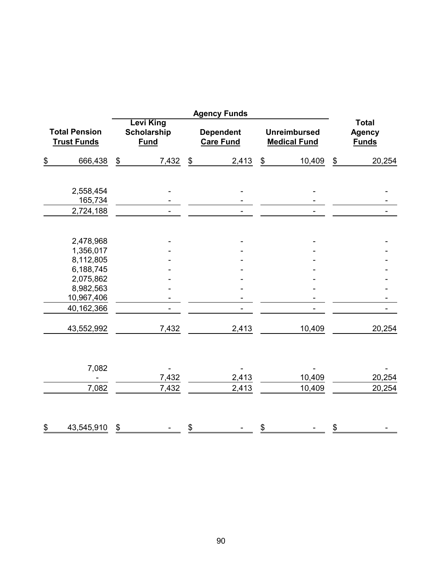|                                            |                                   |                                                       |                |               | <b>Agency Funds</b>                  |               |                                            |                                               |        |  |  |
|--------------------------------------------|-----------------------------------|-------------------------------------------------------|----------------|---------------|--------------------------------------|---------------|--------------------------------------------|-----------------------------------------------|--------|--|--|
| <b>Total Pension</b><br><b>Trust Funds</b> |                                   | <b>Levi King</b><br><b>Scholarship</b><br><b>Fund</b> |                |               | <b>Dependent</b><br><b>Care Fund</b> |               | <b>Unreimbursed</b><br><b>Medical Fund</b> | <b>Total</b><br><b>Agency</b><br><b>Funds</b> |        |  |  |
| $\underline{\$}$                           | 666,438                           | \$                                                    | 7,432          | \$            | 2,413                                | $\,$          | 10,409                                     | $\frac{1}{2}$                                 | 20,254 |  |  |
|                                            | 2,558,454<br>165,734              |                                                       |                |               |                                      |               |                                            |                                               |        |  |  |
|                                            | 2,724,188                         |                                                       | $\blacksquare$ |               | $\blacksquare$                       |               |                                            |                                               |        |  |  |
|                                            | 2,478,968                         |                                                       |                |               |                                      |               |                                            |                                               |        |  |  |
|                                            | 1,356,017                         |                                                       |                |               |                                      |               |                                            |                                               |        |  |  |
|                                            | 8,112,805                         |                                                       |                |               |                                      |               |                                            |                                               |        |  |  |
|                                            | 6,188,745                         |                                                       |                |               |                                      |               |                                            |                                               |        |  |  |
|                                            | 2,075,862                         |                                                       |                |               |                                      |               |                                            |                                               |        |  |  |
|                                            | 8,982,563                         |                                                       |                |               |                                      |               |                                            |                                               |        |  |  |
|                                            | 10,967,406                        |                                                       |                |               |                                      |               |                                            |                                               |        |  |  |
|                                            | 40,162,366                        |                                                       |                |               |                                      |               |                                            |                                               |        |  |  |
|                                            | 43,552,992                        |                                                       | 7,432          |               | 2,413                                |               | 10,409                                     |                                               | 20,254 |  |  |
|                                            | 7,082<br>$\overline{\phantom{a}}$ |                                                       | 7,432          |               | 2,413                                |               | 10,409                                     |                                               | 20,254 |  |  |
|                                            |                                   |                                                       | 7,432          |               |                                      |               | 10,409                                     |                                               | 20,254 |  |  |
|                                            | 7,082                             |                                                       |                |               | 2,413                                |               |                                            |                                               |        |  |  |
| \$                                         | 43,545,910                        | \$                                                    |                | $\frac{1}{2}$ |                                      | $\frac{\$}{}$ |                                            | \$                                            |        |  |  |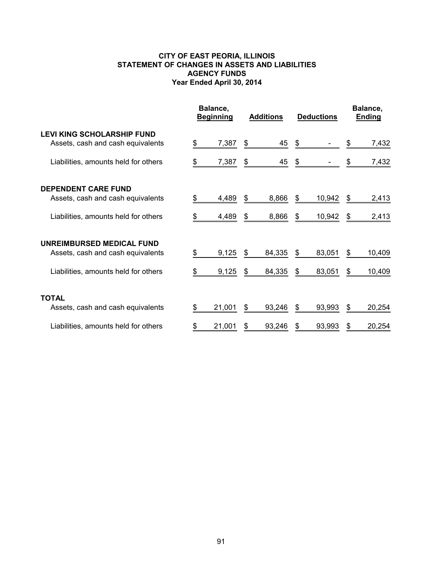## **CITY OF EAST PEORIA, ILLINOIS STATEMENT OF CHANGES IN ASSETS AND LIABILITIES AGENCY FUNDS Year Ended April 30, 2014**

|                                                                        | Balance,<br><b>Beginning</b> |        | <b>Additions</b> |        | <b>Deductions</b> | Balance,<br>Ending |    |        |
|------------------------------------------------------------------------|------------------------------|--------|------------------|--------|-------------------|--------------------|----|--------|
| <b>LEVI KING SCHOLARSHIP FUND</b><br>Assets, cash and cash equivalents |                              | 7,387  |                  | 45     | \$                |                    |    | 7,432  |
| Liabilities, amounts held for others                                   |                              | 7,387  | \$               | 45     | \$                |                    |    | 7,432  |
| <b>DEPENDENT CARE FUND</b>                                             |                              |        |                  |        |                   |                    |    |        |
| Assets, cash and cash equivalents                                      | \$                           | 4,489  | \$               | 8,866  | S                 | 10,942             | S. | 2,413  |
| Liabilities, amounts held for others                                   | \$                           | 4,489  | \$               | 8,866  | S.                | 10,942             | \$ | 2,413  |
| UNREIMBURSED MEDICAL FUND                                              |                              |        |                  |        |                   |                    |    |        |
| Assets, cash and cash equivalents                                      |                              | 9,125  | \$               | 84,335 | \$                | 83,051             | \$ | 10,409 |
| Liabilities, amounts held for others                                   |                              | 9,125  | \$               | 84,335 | S                 | 83,051             | \$ | 10,409 |
| <b>TOTAL</b>                                                           |                              |        |                  |        |                   |                    |    |        |
| Assets, cash and cash equivalents                                      | S                            | 21,001 | \$               | 93,246 | S                 | 93,993             | \$ | 20,254 |
| Liabilities, amounts held for others                                   |                              | 21,001 | S                | 93,246 |                   | 93,993             | \$ | 20,254 |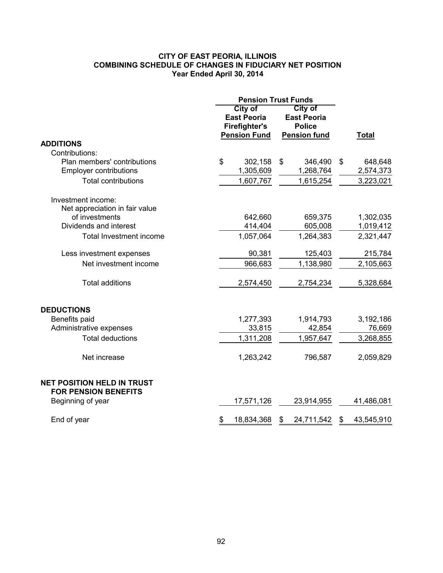## **CITY OF EAST PEORIA, ILLINOIS COMBINING SCHEDULE OF CHANGES IN FIDUCIARY NET POSITION Year Ended April 30, 2014**

|                                   | <b>Pension Trust Funds</b> |                      |                    |                     |               |              |
|-----------------------------------|----------------------------|----------------------|--------------------|---------------------|---------------|--------------|
|                                   | <b>City of</b>             |                      |                    | City of             |               |              |
|                                   |                            | <b>East Peoria</b>   | <b>East Peoria</b> |                     |               |              |
|                                   |                            | <b>Firefighter's</b> |                    | <b>Police</b>       |               |              |
|                                   |                            | <b>Pension Fund</b>  |                    | <b>Pension fund</b> |               | <b>Total</b> |
| <b>ADDITIONS</b>                  |                            |                      |                    |                     |               |              |
| Contributions:                    |                            |                      |                    |                     |               |              |
| Plan members' contributions       | \$                         | 302,158              | \$                 | 346,490             | $\mathsf{\$}$ | 648,648      |
| <b>Employer contributions</b>     |                            | 1,305,609            |                    | 1,268,764           |               | 2,574,373    |
| <b>Total contributions</b>        |                            | 1,607,767            |                    | 1,615,254           |               | 3,223,021    |
|                                   |                            |                      |                    |                     |               |              |
| Investment income:                |                            |                      |                    |                     |               |              |
| Net appreciation in fair value    |                            |                      |                    |                     |               |              |
| of investments                    |                            | 642,660              |                    | 659,375             |               | 1,302,035    |
| Dividends and interest            |                            | 414,404              |                    | 605,008             |               | 1,019,412    |
| Total Investment income           |                            | 1,057,064            |                    | 1,264,383           |               | 2,321,447    |
|                                   |                            |                      |                    |                     |               |              |
| Less investment expenses          |                            | 90,381               |                    | 125,403             |               | 215,784      |
| Net investment income             |                            | 966,683              |                    | 1,138,980           |               | 2,105,663    |
|                                   |                            |                      |                    |                     |               |              |
| <b>Total additions</b>            |                            | 2,574,450            |                    | 2,754,234           |               | 5,328,684    |
| <b>DEDUCTIONS</b>                 |                            |                      |                    |                     |               |              |
|                                   |                            |                      |                    | 1,914,793           |               |              |
| Benefits paid                     |                            | 1,277,393            |                    | 42,854              |               | 3,192,186    |
| Administrative expenses           |                            | 33,815               |                    |                     |               | 76,669       |
| <b>Total deductions</b>           |                            | 1,311,208            |                    | 1,957,647           |               | 3,268,855    |
| Net increase                      |                            | 1,263,242            |                    | 796,587             |               | 2,059,829    |
|                                   |                            |                      |                    |                     |               |              |
| <b>NET POSITION HELD IN TRUST</b> |                            |                      |                    |                     |               |              |
| <b>FOR PENSION BENEFITS</b>       |                            |                      |                    |                     |               |              |
| Beginning of year                 |                            | 17,571,126           |                    | 23,914,955          |               | 41,486,081   |
|                                   | \$                         | 18,834,368           |                    |                     | \$            |              |
| End of year                       |                            |                      | \$                 | 24,711,542          |               | 43,545,910   |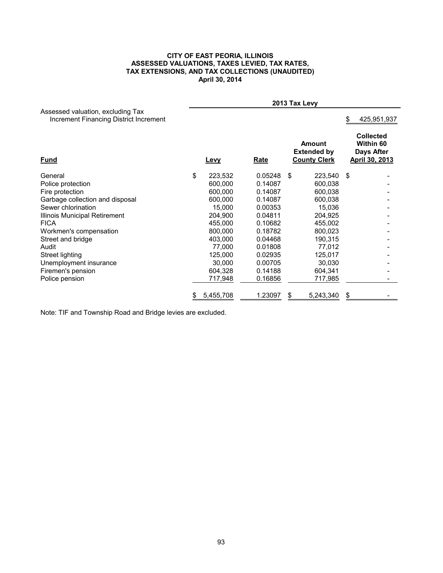#### **CITY OF EAST PEORIA, ILLINOIS ASSESSED VALUATIONS, TAXES LEVIED, TAX RATES, TAX EXTENSIONS, AND TAX COLLECTIONS (UNAUDITED) April 30, 2014**

|                                                                             | 2013 Tax Levy |         |     |                                                            |     |                                                               |  |  |  |
|-----------------------------------------------------------------------------|---------------|---------|-----|------------------------------------------------------------|-----|---------------------------------------------------------------|--|--|--|
| Assessed valuation, excluding Tax<br>Increment Financing District Increment |               |         |     |                                                            |     | 425,951,937                                                   |  |  |  |
| <b>Fund</b>                                                                 | Levy          | Rate    |     | <b>Amount</b><br><b>Extended by</b><br><b>County Clerk</b> |     | <b>Collected</b><br>Within 60<br>Days After<br>April 30, 2013 |  |  |  |
| General                                                                     | \$<br>223,532 | 0.05248 | -\$ | 223,540                                                    | -\$ |                                                               |  |  |  |
| Police protection                                                           | 600,000       | 0.14087 |     | 600,038                                                    |     |                                                               |  |  |  |
| Fire protection                                                             | 600,000       | 0.14087 |     | 600,038                                                    |     |                                                               |  |  |  |
| Garbage collection and disposal                                             | 600,000       | 0.14087 |     | 600,038                                                    |     |                                                               |  |  |  |
| Sewer chlorination                                                          | 15,000        | 0.00353 |     | 15,036                                                     |     |                                                               |  |  |  |
| Illinois Municipal Retirement                                               | 204,900       | 0.04811 |     | 204,925                                                    |     |                                                               |  |  |  |
| <b>FICA</b>                                                                 | 455,000       | 0.10682 |     | 455,002                                                    |     |                                                               |  |  |  |
| Workmen's compensation                                                      | 800,000       | 0.18782 |     | 800,023                                                    |     |                                                               |  |  |  |
| Street and bridge                                                           | 403,000       | 0.04468 |     | 190,315                                                    |     |                                                               |  |  |  |
| Audit                                                                       | 77,000        | 0.01808 |     | 77,012                                                     |     |                                                               |  |  |  |
| Street lighting                                                             | 125,000       | 0.02935 |     | 125,017                                                    |     |                                                               |  |  |  |
| Unemployment insurance                                                      | 30,000        | 0.00705 |     | 30,030                                                     |     |                                                               |  |  |  |
| Firemen's pension                                                           | 604,328       | 0.14188 |     | 604,341                                                    |     |                                                               |  |  |  |
| Police pension                                                              | 717,948       | 0.16856 |     | 717,985                                                    |     |                                                               |  |  |  |
|                                                                             | 5,455,708     | 1.23097 | \$  | 5,243,340                                                  | \$  |                                                               |  |  |  |

Note: TIF and Township Road and Bridge levies are excluded.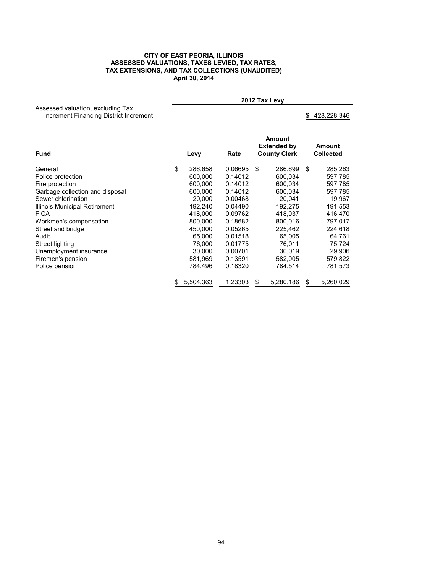#### **CITY OF EAST PEORIA, ILLINOIS ASSESSED VALUATIONS, TAXES LEVIED, TAX RATES, TAX EXTENSIONS, AND TAX COLLECTIONS (UNAUDITED) April 30, 2014**

Assessed valuation, excluding Tax Increment Financing District Increment \$ 428,228,346

**2012 Tax Levy**

| <u>Fund</u>                     |    | <u>Levy</u> |         | Amount<br><b>Extended by</b><br><b>County Clerk</b> |           | Amount<br>Collected |           |  |
|---------------------------------|----|-------------|---------|-----------------------------------------------------|-----------|---------------------|-----------|--|
| General                         | \$ | 286.658     | 0.06695 | \$                                                  | 286.699   | \$                  | 285,263   |  |
| Police protection               |    | 600,000     | 0.14012 |                                                     | 600,034   |                     | 597,785   |  |
| Fire protection                 |    | 600.000     | 0.14012 |                                                     | 600,034   |                     | 597,785   |  |
| Garbage collection and disposal |    | 600.000     | 0.14012 |                                                     | 600,034   |                     | 597,785   |  |
| Sewer chlorination              |    | 20,000      | 0.00468 |                                                     | 20.041    |                     | 19,967    |  |
| Illinois Municipal Retirement   |    | 192,240     | 0.04490 |                                                     | 192,275   |                     | 191,553   |  |
| <b>FICA</b>                     |    | 418.000     | 0.09762 |                                                     | 418,037   |                     | 416,470   |  |
| Workmen's compensation          |    | 800,000     | 0.18682 |                                                     | 800,016   |                     | 797,017   |  |
| Street and bridge               |    | 450.000     | 0.05265 |                                                     | 225,462   |                     | 224,618   |  |
| Audit                           |    | 65,000      | 0.01518 |                                                     | 65,005    |                     | 64,761    |  |
| Street lighting                 |    | 76,000      | 0.01775 |                                                     | 76.011    |                     | 75,724    |  |
| Unemployment insurance          |    | 30,000      | 0.00701 |                                                     | 30,019    |                     | 29,906    |  |
| Firemen's pension               |    | 581,969     | 0.13591 |                                                     | 582,005   |                     | 579,822   |  |
| Police pension                  |    | 784,496     | 0.18320 |                                                     | 784,514   |                     | 781,573   |  |
|                                 | \$ | 5,504,363   | 1.23303 | \$                                                  | 5,280,186 | S                   | 5,260,029 |  |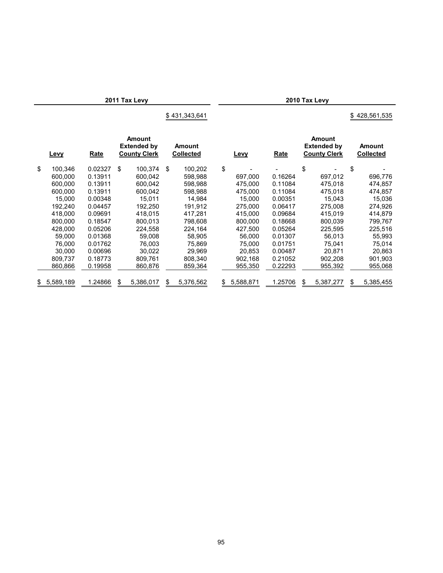**2011 Tax Levy 2010 Tax Levy**

\$ 428,561,535

| <b>Levy</b>     | Rate    | <b>Amount</b><br><b>Extended by</b><br><b>County Clerk</b> |           | <b>Amount</b><br><b>Collected</b> |           |     | Levy      | Rate    | <b>Amount</b><br><b>Extended by</b><br><b>County Clerk</b> |    | Amount<br><b>Collected</b> |
|-----------------|---------|------------------------------------------------------------|-----------|-----------------------------------|-----------|-----|-----------|---------|------------------------------------------------------------|----|----------------------------|
| \$<br>100,346   | 0.02327 | \$                                                         | 100,374   | \$                                | 100,202   | \$  |           |         | \$                                                         | \$ |                            |
| 600.000         | 0.13911 |                                                            | 600.042   |                                   | 598,988   |     | 697.000   | 0.16264 | 697,012                                                    |    | 696,776                    |
| 600.000         | 0.13911 |                                                            | 600.042   |                                   | 598.988   |     | 475.000   | 0.11084 | 475.018                                                    |    | 474,857                    |
| 600,000         | 0.13911 |                                                            | 600,042   |                                   | 598,988   |     | 475,000   | 0.11084 | 475,018                                                    |    | 474,857                    |
| 15.000          | 0.00348 |                                                            | 15.011    |                                   | 14.984    |     | 15.000    | 0.00351 | 15.043                                                     |    | 15,036                     |
| 192.240         | 0.04457 |                                                            | 192,250   |                                   | 191,912   |     | 275,000   | 0.06417 | 275,008                                                    |    | 274,926                    |
| 418.000         | 0.09691 |                                                            | 418.015   |                                   | 417.281   |     | 415,000   | 0.09684 | 415,019                                                    |    | 414,879                    |
| 800,000         | 0.18547 |                                                            | 800.013   |                                   | 798,608   |     | 800.000   | 0.18668 | 800,039                                                    |    | 799.767                    |
| 428.000         | 0.05206 |                                                            | 224.558   |                                   | 224,164   |     | 427.500   | 0.05264 | 225.595                                                    |    | 225,516                    |
| 59,000          | 0.01368 |                                                            | 59,008    |                                   | 58,905    |     | 56,000    | 0.01307 | 56,013                                                     |    | 55,993                     |
| 76.000          | 0.01762 |                                                            | 76.003    |                                   | 75.869    |     | 75.000    | 0.01751 | 75.041                                                     |    | 75,014                     |
| 30.000          | 0.00696 |                                                            | 30,022    |                                   | 29,969    |     | 20,853    | 0.00487 | 20,871                                                     |    | 20,863                     |
| 809.737         | 0.18773 |                                                            | 809.761   |                                   | 808.340   |     | 902.168   | 0.21052 | 902.208                                                    |    | 901,903                    |
| 860,866         | 0.19958 |                                                            | 860,876   |                                   | 859,364   |     | 955,350   | 0.22293 | 955,392                                                    |    | 955,068                    |
| \$<br>5,589,189 | 1.24866 | \$                                                         | 5,386,017 | \$                                | 5,376,562 | \$. | 5,588,871 | 1.25706 | \$<br>5,387,277                                            | S  | 5,385,455                  |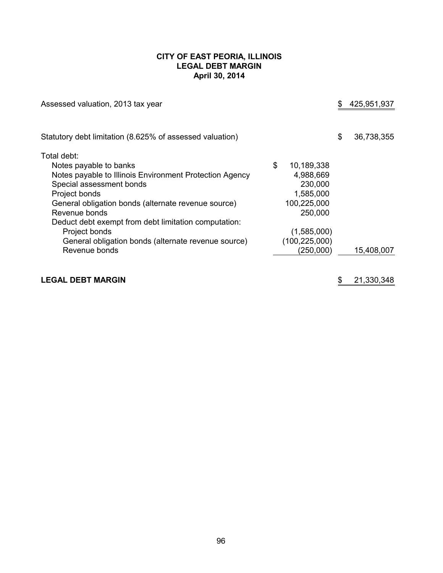## **CITY OF EAST PEORIA, ILLINOIS LEGAL DEBT MARGIN April 30, 2014**

| Assessed valuation, 2013 tax year                        |                  | 425,951,937      |
|----------------------------------------------------------|------------------|------------------|
| Statutory debt limitation (8.625% of assessed valuation) |                  | \$<br>36,738,355 |
| Total debt:<br>Notes payable to banks                    | \$<br>10,189,338 |                  |
| Notes payable to Illinois Environment Protection Agency  | 4,988,669        |                  |
| Special assessment bonds                                 | 230,000          |                  |
| Project bonds                                            | 1,585,000        |                  |
| General obligation bonds (alternate revenue source)      | 100,225,000      |                  |
| Revenue bonds                                            | 250,000          |                  |
| Deduct debt exempt from debt limitation computation:     |                  |                  |
| Project bonds                                            | (1,585,000)      |                  |
| General obligation bonds (alternate revenue source)      | (100, 225, 000)  |                  |
| Revenue bonds                                            | (250,000)        | 15,408,007       |
|                                                          |                  |                  |

# **LEGAL DEBT MARGIN EXECUTE: 1.1.2.2.1.2.2.1.2.2.1.3.30.348**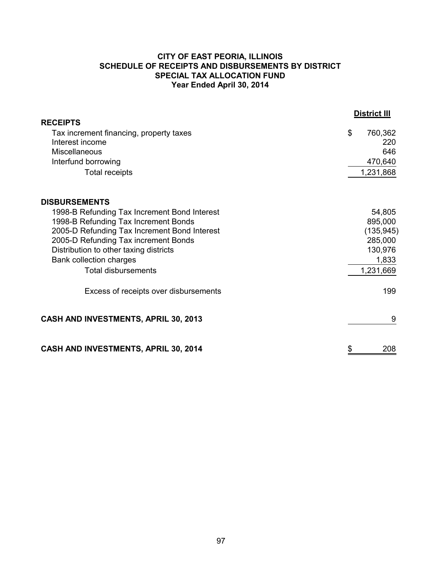# **CITY OF EAST PEORIA, ILLINOIS SCHEDULE OF RECEIPTS AND DISBURSEMENTS BY DISTRICT SPECIAL TAX ALLOCATION FUND Year Ended April 30, 2014**

|                                                                                                                                                                                                                                                                                        | <b>District III</b>                                                         |
|----------------------------------------------------------------------------------------------------------------------------------------------------------------------------------------------------------------------------------------------------------------------------------------|-----------------------------------------------------------------------------|
| <b>RECEIPTS</b><br>Tax increment financing, property taxes<br>Interest income<br>Miscellaneous<br>Interfund borrowing<br><b>Total receipts</b>                                                                                                                                         | \$<br>760,362<br>220<br>646<br>470,640<br>1,231,868                         |
| <b>DISBURSEMENTS</b>                                                                                                                                                                                                                                                                   |                                                                             |
| 1998-B Refunding Tax Increment Bond Interest<br>1998-B Refunding Tax Increment Bonds<br>2005-D Refunding Tax Increment Bond Interest<br>2005-D Refunding Tax increment Bonds<br>Distribution to other taxing districts<br><b>Bank collection charges</b><br><b>Total disbursements</b> | 54,805<br>895,000<br>(135, 945)<br>285,000<br>130,976<br>1,833<br>1,231,669 |
| Excess of receipts over disbursements                                                                                                                                                                                                                                                  | 199                                                                         |
| CASH AND INVESTMENTS, APRIL 30, 2013                                                                                                                                                                                                                                                   | 9                                                                           |
| CASH AND INVESTMENTS, APRIL 30, 2014                                                                                                                                                                                                                                                   | \$<br>208                                                                   |